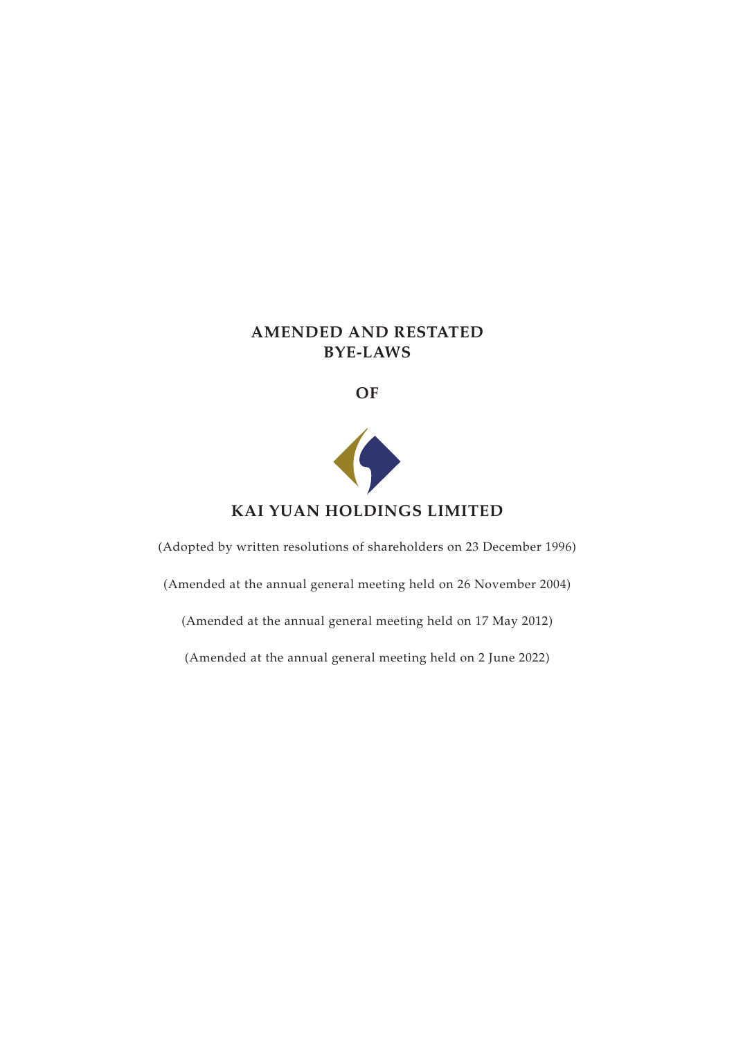# **AMENDED AND RESTATED BYE-LAWS**

**OF**



# **KAI YUAN HOLDINGS LIMITED**

(Adopted by written resolutions of shareholders on 23 December 1996)

(Amended at the annual general meeting held on 26 November 2004)

(Amended at the annual general meeting held on 17 May 2012)

(Amended at the annual general meeting held on 2 June 2022)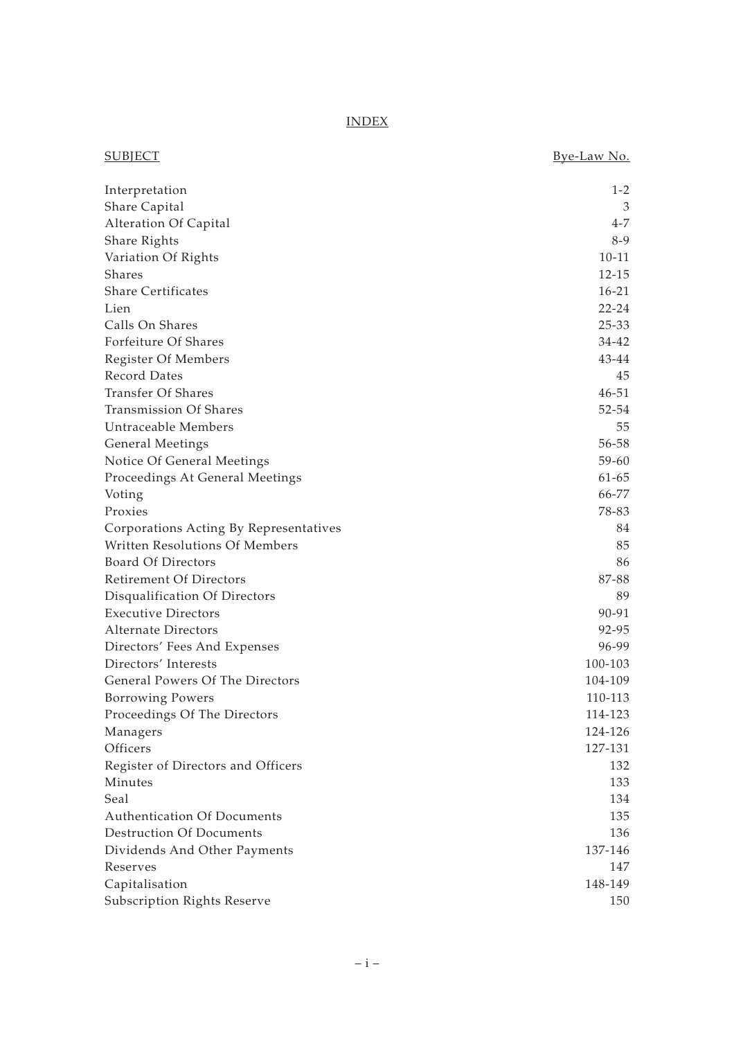INDEX

| <b>SUBJECT</b>                         | Bye-Law No. |
|----------------------------------------|-------------|
| Interpretation                         | $1 - 2$     |
| Share Capital                          | 3           |
| Alteration Of Capital                  | 4-7         |
| Share Rights                           | $8-9$       |
| Variation Of Rights                    | $10 - 11$   |
| Shares                                 | $12 - 15$   |
| <b>Share Certificates</b>              | $16 - 21$   |
| Lien                                   | $22 - 24$   |
| Calls On Shares                        | $25 - 33$   |
| Forfeiture Of Shares                   | $34 - 42$   |
| Register Of Members                    | 43-44       |
| Record Dates                           | 45          |
| <b>Transfer Of Shares</b>              | $46 - 51$   |
| <b>Transmission Of Shares</b>          | $52 - 54$   |
| Untraceable Members                    | 55          |
| <b>General Meetings</b>                | $56 - 58$   |
| Notice Of General Meetings             | $59 - 60$   |
| Proceedings At General Meetings        | $61 - 65$   |
| Voting                                 | 66-77       |
| Proxies                                | 78-83       |
| Corporations Acting By Representatives | 84          |
| Written Resolutions Of Members         | 85          |
| <b>Board Of Directors</b>              | 86          |
| Retirement Of Directors                | 87-88       |
| Disqualification Of Directors          | 89          |
| <b>Executive Directors</b>             | 90-91       |
| <b>Alternate Directors</b>             | 92-95       |
| Directors' Fees And Expenses           | 96-99       |
| Directors' Interests                   | 100-103     |
| General Powers Of The Directors        | 104-109     |
| Borrowing Powers                       | 110-113     |
| Proceedings Of The Directors           | 114-123     |
| Managers                               | 124-126     |
| Officers                               | 127-131     |
| Register of Directors and Officers     | 132         |
| Minutes                                | 133         |
| Seal                                   | 134         |
| <b>Authentication Of Documents</b>     | 135         |
| <b>Destruction Of Documents</b>        | 136         |
| Dividends And Other Payments           | 137-146     |
| Reserves                               | 147         |
| Capitalisation                         | 148-149     |
| Subscription Rights Reserve            | 150         |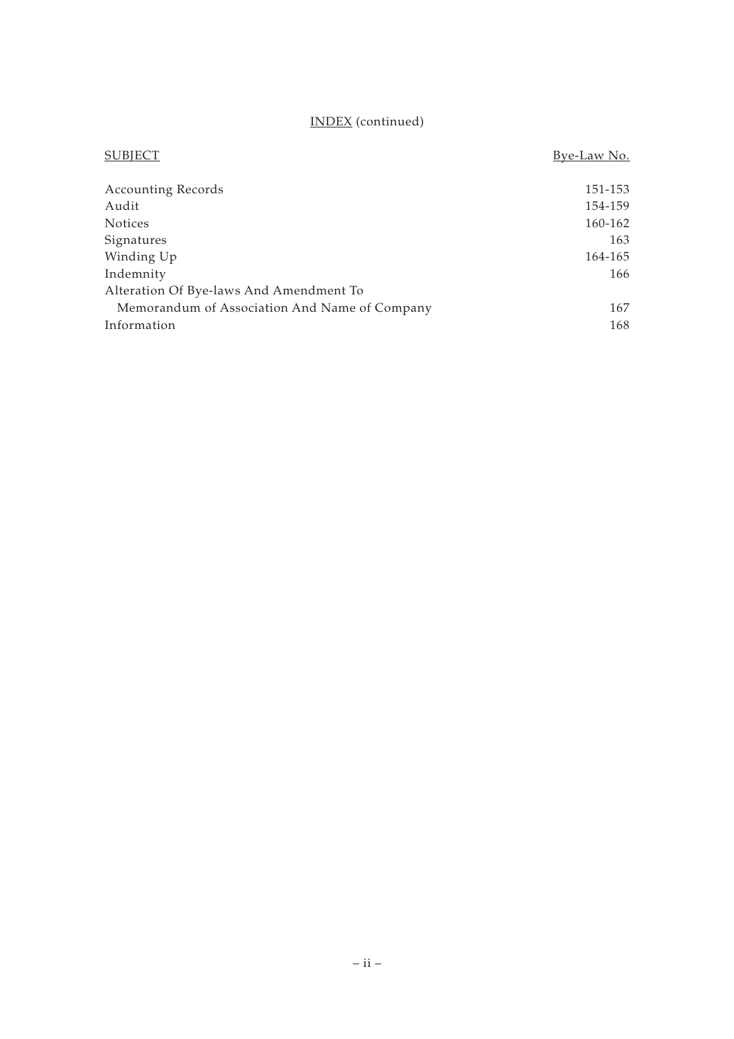# INDEX (continued)

| <b>SUBJECT</b>                                | Bye-Law No. |
|-----------------------------------------------|-------------|
| <b>Accounting Records</b>                     | 151-153     |
| Audit                                         | 154-159     |
| <b>Notices</b>                                | 160-162     |
| Signatures                                    | 163         |
| Winding Up                                    | 164-165     |
| Indemnity                                     | 166         |
| Alteration Of Bye-laws And Amendment To       |             |
| Memorandum of Association And Name of Company | 167         |
| Information                                   | 168         |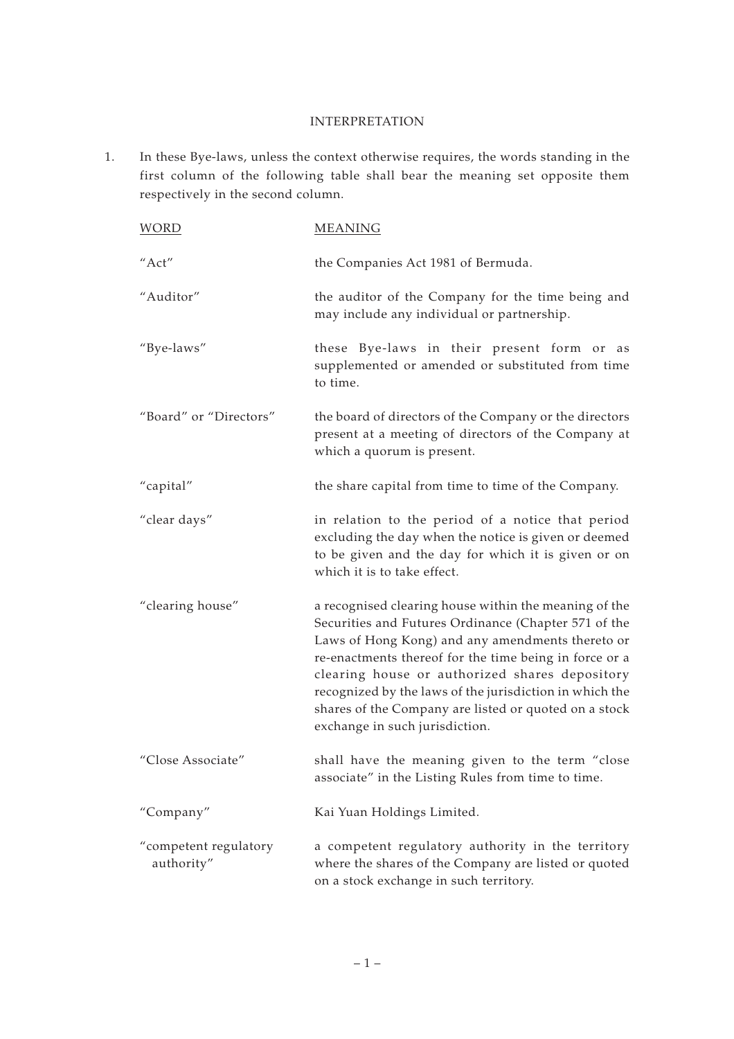## INTERPRETATION

1. In these Bye-laws, unless the context otherwise requires, the words standing in the first column of the following table shall bear the meaning set opposite them respectively in the second column.

| <b>WORD</b>                         | <b>MEANING</b>                                                                                                                                                                                                                                                                                                                                                                                                                      |
|-------------------------------------|-------------------------------------------------------------------------------------------------------------------------------------------------------------------------------------------------------------------------------------------------------------------------------------------------------------------------------------------------------------------------------------------------------------------------------------|
| "Act"                               | the Companies Act 1981 of Bermuda.                                                                                                                                                                                                                                                                                                                                                                                                  |
| "Auditor"                           | the auditor of the Company for the time being and<br>may include any individual or partnership.                                                                                                                                                                                                                                                                                                                                     |
| "Bye-laws"                          | these Bye-laws in their present form or as<br>supplemented or amended or substituted from time<br>to time.                                                                                                                                                                                                                                                                                                                          |
| "Board" or "Directors"              | the board of directors of the Company or the directors<br>present at a meeting of directors of the Company at<br>which a quorum is present.                                                                                                                                                                                                                                                                                         |
| "capital"                           | the share capital from time to time of the Company.                                                                                                                                                                                                                                                                                                                                                                                 |
| "clear days"                        | in relation to the period of a notice that period<br>excluding the day when the notice is given or deemed<br>to be given and the day for which it is given or on<br>which it is to take effect.                                                                                                                                                                                                                                     |
| "clearing house"                    | a recognised clearing house within the meaning of the<br>Securities and Futures Ordinance (Chapter 571 of the<br>Laws of Hong Kong) and any amendments thereto or<br>re-enactments thereof for the time being in force or a<br>clearing house or authorized shares depository<br>recognized by the laws of the jurisdiction in which the<br>shares of the Company are listed or quoted on a stock<br>exchange in such jurisdiction. |
| "Close Associate"                   | shall have the meaning given to the term "close<br>associate" in the Listing Rules from time to time.                                                                                                                                                                                                                                                                                                                               |
| "Company"                           | Kai Yuan Holdings Limited.                                                                                                                                                                                                                                                                                                                                                                                                          |
| "competent regulatory<br>authority" | a competent regulatory authority in the territory<br>where the shares of the Company are listed or quoted<br>on a stock exchange in such territory.                                                                                                                                                                                                                                                                                 |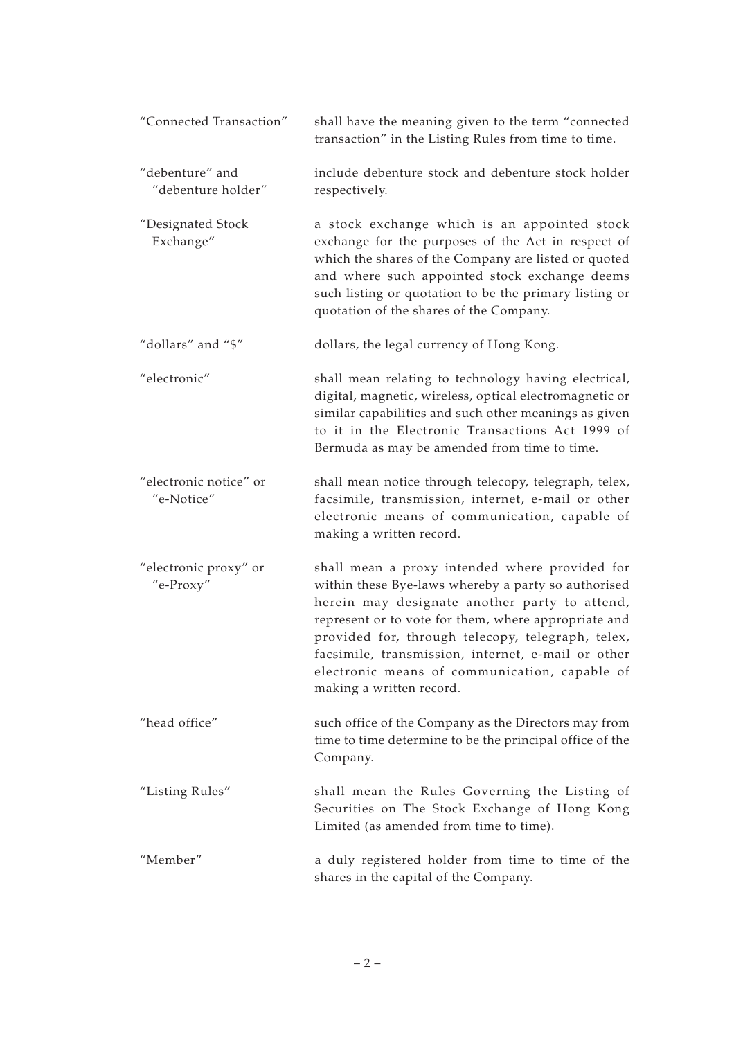| "Connected Transaction"               | shall have the meaning given to the term "connected<br>transaction" in the Listing Rules from time to time.                                                                                                                                                                                                                                                                                            |
|---------------------------------------|--------------------------------------------------------------------------------------------------------------------------------------------------------------------------------------------------------------------------------------------------------------------------------------------------------------------------------------------------------------------------------------------------------|
| "debenture" and<br>"debenture holder" | include debenture stock and debenture stock holder<br>respectively.                                                                                                                                                                                                                                                                                                                                    |
| "Designated Stock<br>Exchange"        | a stock exchange which is an appointed stock<br>exchange for the purposes of the Act in respect of<br>which the shares of the Company are listed or quoted<br>and where such appointed stock exchange deems<br>such listing or quotation to be the primary listing or<br>quotation of the shares of the Company.                                                                                       |
| "dollars" and "\$"                    | dollars, the legal currency of Hong Kong.                                                                                                                                                                                                                                                                                                                                                              |
| "electronic"                          | shall mean relating to technology having electrical,<br>digital, magnetic, wireless, optical electromagnetic or<br>similar capabilities and such other meanings as given<br>to it in the Electronic Transactions Act 1999 of<br>Bermuda as may be amended from time to time.                                                                                                                           |
| "electronic notice" or<br>"e-Notice"  | shall mean notice through telecopy, telegraph, telex,<br>facsimile, transmission, internet, e-mail or other<br>electronic means of communication, capable of<br>making a written record.                                                                                                                                                                                                               |
| "electronic proxy" or<br>"e-Proxy"    | shall mean a proxy intended where provided for<br>within these Bye-laws whereby a party so authorised<br>herein may designate another party to attend,<br>represent or to vote for them, where appropriate and<br>provided for, through telecopy, telegraph, telex,<br>facsimile, transmission, internet, e-mail or other<br>electronic means of communication, capable of<br>making a written record. |
| "head office"                         | such office of the Company as the Directors may from<br>time to time determine to be the principal office of the<br>Company.                                                                                                                                                                                                                                                                           |
| "Listing Rules"                       | shall mean the Rules Governing the Listing of<br>Securities on The Stock Exchange of Hong Kong<br>Limited (as amended from time to time).                                                                                                                                                                                                                                                              |
| "Member"                              | a duly registered holder from time to time of the<br>shares in the capital of the Company.                                                                                                                                                                                                                                                                                                             |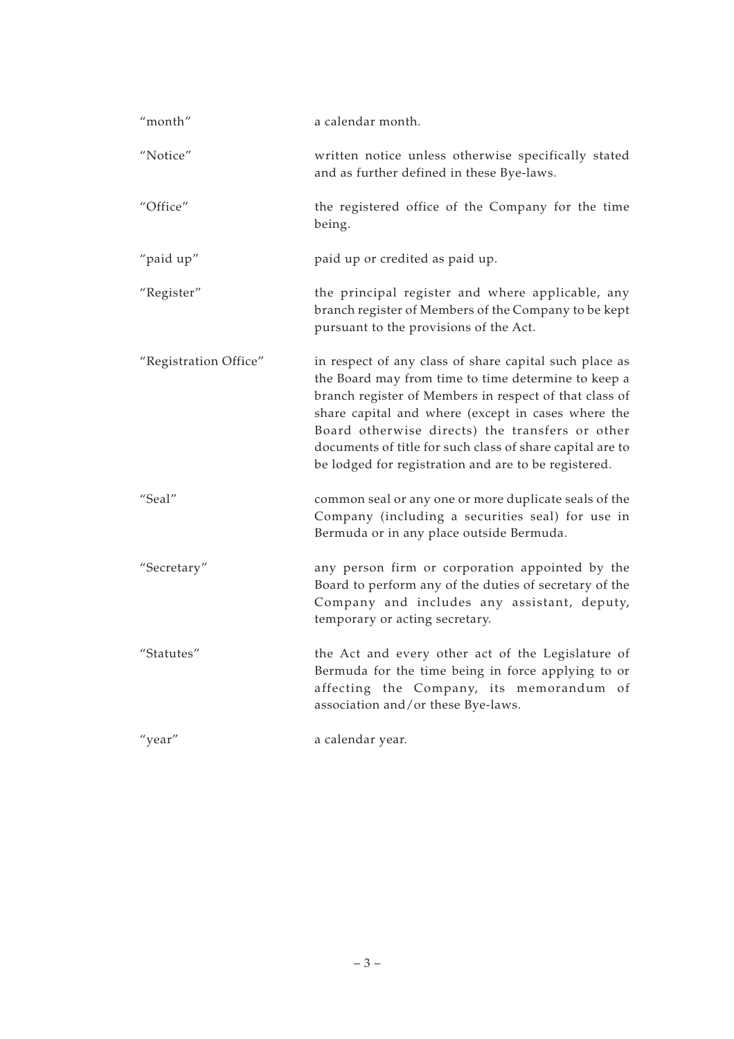| "month"               | a calendar month.                                                                                                                                                                                                                                                                                                                                                                                     |
|-----------------------|-------------------------------------------------------------------------------------------------------------------------------------------------------------------------------------------------------------------------------------------------------------------------------------------------------------------------------------------------------------------------------------------------------|
| "Notice"              | written notice unless otherwise specifically stated<br>and as further defined in these Bye-laws.                                                                                                                                                                                                                                                                                                      |
| "Office"              | the registered office of the Company for the time<br>being.                                                                                                                                                                                                                                                                                                                                           |
| "paid up"             | paid up or credited as paid up.                                                                                                                                                                                                                                                                                                                                                                       |
| "Register"            | the principal register and where applicable, any<br>branch register of Members of the Company to be kept<br>pursuant to the provisions of the Act.                                                                                                                                                                                                                                                    |
| "Registration Office" | in respect of any class of share capital such place as<br>the Board may from time to time determine to keep a<br>branch register of Members in respect of that class of<br>share capital and where (except in cases where the<br>Board otherwise directs) the transfers or other<br>documents of title for such class of share capital are to<br>be lodged for registration and are to be registered. |
| "Seal"                | common seal or any one or more duplicate seals of the<br>Company (including a securities seal) for use in<br>Bermuda or in any place outside Bermuda.                                                                                                                                                                                                                                                 |
| "Secretary"           | any person firm or corporation appointed by the<br>Board to perform any of the duties of secretary of the<br>Company and includes any assistant, deputy,<br>temporary or acting secretary.                                                                                                                                                                                                            |
| "Statutes"            | the Act and every other act of the Legislature of<br>Bermuda for the time being in force applying to or<br>affecting the Company, its memorandum of<br>association and/or these Bye-laws.                                                                                                                                                                                                             |
| "year"                | a calendar year.                                                                                                                                                                                                                                                                                                                                                                                      |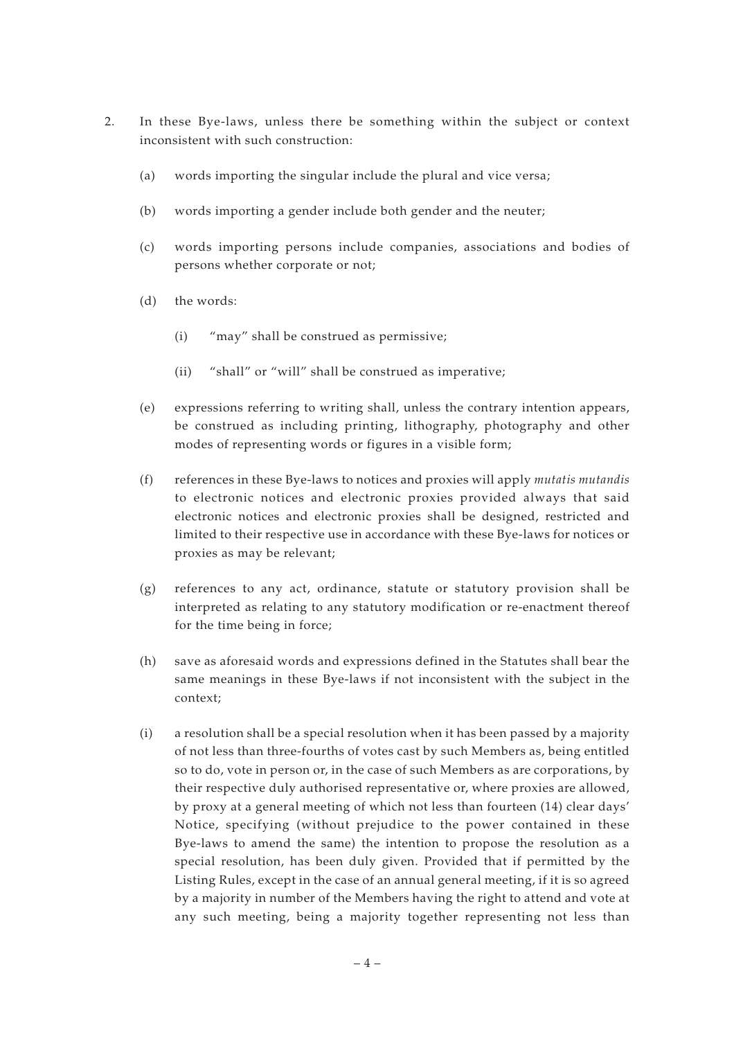- 2. In these Bye-laws, unless there be something within the subject or context inconsistent with such construction:
	- (a) words importing the singular include the plural and vice versa;
	- (b) words importing a gender include both gender and the neuter;
	- (c) words importing persons include companies, associations and bodies of persons whether corporate or not;
	- (d) the words:
		- (i) "may" shall be construed as permissive;
		- (ii) "shall" or "will" shall be construed as imperative;
	- (e) expressions referring to writing shall, unless the contrary intention appears, be construed as including printing, lithography, photography and other modes of representing words or figures in a visible form;
	- (f) references in these Bye-laws to notices and proxies will apply *mutatis mutandis* to electronic notices and electronic proxies provided always that said electronic notices and electronic proxies shall be designed, restricted and limited to their respective use in accordance with these Bye-laws for notices or proxies as may be relevant;
	- (g) references to any act, ordinance, statute or statutory provision shall be interpreted as relating to any statutory modification or re-enactment thereof for the time being in force;
	- (h) save as aforesaid words and expressions defined in the Statutes shall bear the same meanings in these Bye-laws if not inconsistent with the subject in the context;
	- (i) a resolution shall be a special resolution when it has been passed by a majority of not less than three-fourths of votes cast by such Members as, being entitled so to do, vote in person or, in the case of such Members as are corporations, by their respective duly authorised representative or, where proxies are allowed, by proxy at a general meeting of which not less than fourteen (14) clear days' Notice, specifying (without prejudice to the power contained in these Bye-laws to amend the same) the intention to propose the resolution as a special resolution, has been duly given. Provided that if permitted by the Listing Rules, except in the case of an annual general meeting, if it is so agreed by a majority in number of the Members having the right to attend and vote at any such meeting, being a majority together representing not less than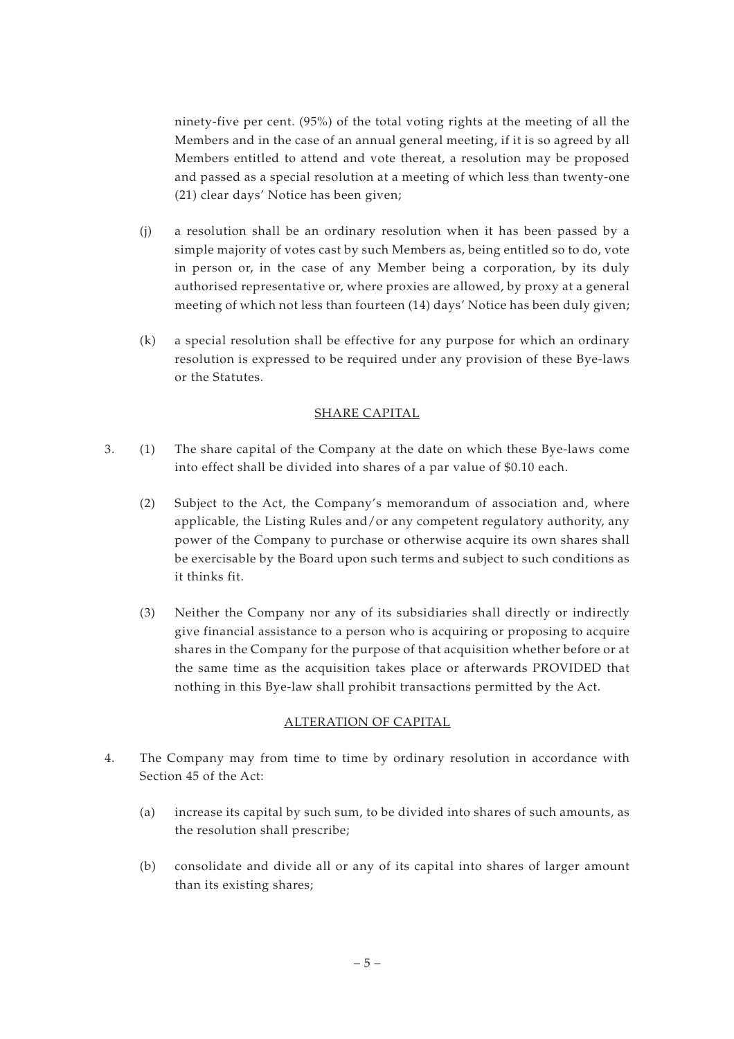ninety-five per cent. (95%) of the total voting rights at the meeting of all the Members and in the case of an annual general meeting, if it is so agreed by all Members entitled to attend and vote thereat, a resolution may be proposed and passed as a special resolution at a meeting of which less than twenty-one (21) clear days' Notice has been given;

- (j) a resolution shall be an ordinary resolution when it has been passed by a simple majority of votes cast by such Members as, being entitled so to do, vote in person or, in the case of any Member being a corporation, by its duly authorised representative or, where proxies are allowed, by proxy at a general meeting of which not less than fourteen (14) days' Notice has been duly given;
- (k) a special resolution shall be effective for any purpose for which an ordinary resolution is expressed to be required under any provision of these Bye-laws or the Statutes.

## SHARE CAPITAL

- 3. (1) The share capital of the Company at the date on which these Bye-laws come into effect shall be divided into shares of a par value of \$0.10 each.
	- (2) Subject to the Act, the Company's memorandum of association and, where applicable, the Listing Rules and/or any competent regulatory authority, any power of the Company to purchase or otherwise acquire its own shares shall be exercisable by the Board upon such terms and subject to such conditions as it thinks fit.
	- (3) Neither the Company nor any of its subsidiaries shall directly or indirectly give financial assistance to a person who is acquiring or proposing to acquire shares in the Company for the purpose of that acquisition whether before or at the same time as the acquisition takes place or afterwards PROVIDED that nothing in this Bye-law shall prohibit transactions permitted by the Act.

# ALTERATION OF CAPITAL

- 4. The Company may from time to time by ordinary resolution in accordance with Section 45 of the Act:
	- (a) increase its capital by such sum, to be divided into shares of such amounts, as the resolution shall prescribe;
	- (b) consolidate and divide all or any of its capital into shares of larger amount than its existing shares;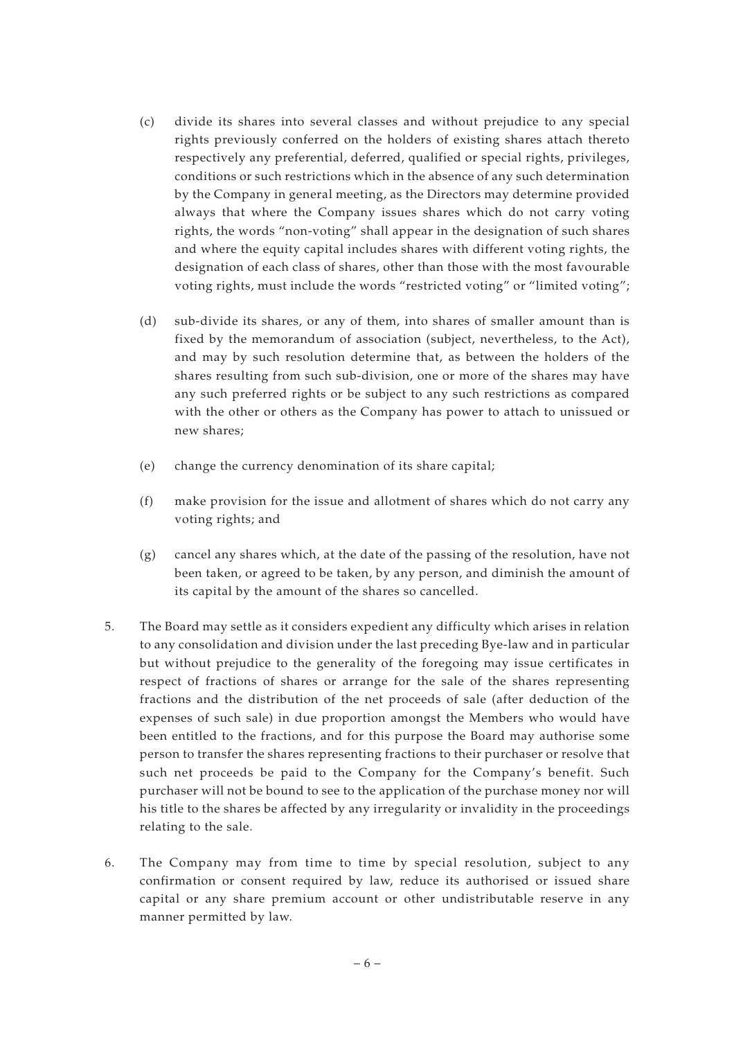- (c) divide its shares into several classes and without prejudice to any special rights previously conferred on the holders of existing shares attach thereto respectively any preferential, deferred, qualified or special rights, privileges, conditions or such restrictions which in the absence of any such determination by the Company in general meeting, as the Directors may determine provided always that where the Company issues shares which do not carry voting rights, the words "non-voting" shall appear in the designation of such shares and where the equity capital includes shares with different voting rights, the designation of each class of shares, other than those with the most favourable voting rights, must include the words "restricted voting" or "limited voting";
- (d) sub-divide its shares, or any of them, into shares of smaller amount than is fixed by the memorandum of association (subject, nevertheless, to the Act), and may by such resolution determine that, as between the holders of the shares resulting from such sub-division, one or more of the shares may have any such preferred rights or be subject to any such restrictions as compared with the other or others as the Company has power to attach to unissued or new shares;
- (e) change the currency denomination of its share capital;
- (f) make provision for the issue and allotment of shares which do not carry any voting rights; and
- $(g)$  cancel any shares which, at the date of the passing of the resolution, have not been taken, or agreed to be taken, by any person, and diminish the amount of its capital by the amount of the shares so cancelled.
- 5. The Board may settle as it considers expedient any difficulty which arises in relation to any consolidation and division under the last preceding Bye-law and in particular but without prejudice to the generality of the foregoing may issue certificates in respect of fractions of shares or arrange for the sale of the shares representing fractions and the distribution of the net proceeds of sale (after deduction of the expenses of such sale) in due proportion amongst the Members who would have been entitled to the fractions, and for this purpose the Board may authorise some person to transfer the shares representing fractions to their purchaser or resolve that such net proceeds be paid to the Company for the Company's benefit. Such purchaser will not be bound to see to the application of the purchase money nor will his title to the shares be affected by any irregularity or invalidity in the proceedings relating to the sale.
- 6. The Company may from time to time by special resolution, subject to any confirmation or consent required by law, reduce its authorised or issued share capital or any share premium account or other undistributable reserve in any manner permitted by law.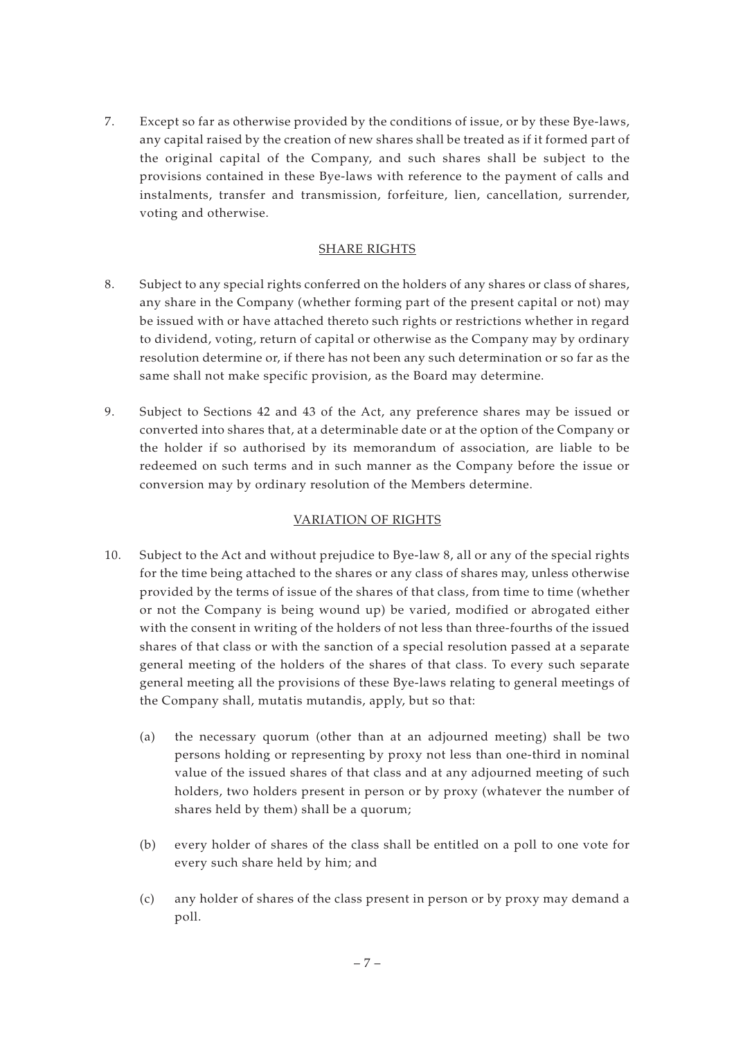7. Except so far as otherwise provided by the conditions of issue, or by these Bye-laws, any capital raised by the creation of new shares shall be treated as if it formed part of the original capital of the Company, and such shares shall be subject to the provisions contained in these Bye-laws with reference to the payment of calls and instalments, transfer and transmission, forfeiture, lien, cancellation, surrender, voting and otherwise.

# SHARE RIGHTS

- 8. Subject to any special rights conferred on the holders of any shares or class of shares, any share in the Company (whether forming part of the present capital or not) may be issued with or have attached thereto such rights or restrictions whether in regard to dividend, voting, return of capital or otherwise as the Company may by ordinary resolution determine or, if there has not been any such determination or so far as the same shall not make specific provision, as the Board may determine.
- 9. Subject to Sections 42 and 43 of the Act, any preference shares may be issued or converted into shares that, at a determinable date or at the option of the Company or the holder if so authorised by its memorandum of association, are liable to be redeemed on such terms and in such manner as the Company before the issue or conversion may by ordinary resolution of the Members determine.

# VARIATION OF RIGHTS

- 10. Subject to the Act and without prejudice to Bye-law 8, all or any of the special rights for the time being attached to the shares or any class of shares may, unless otherwise provided by the terms of issue of the shares of that class, from time to time (whether or not the Company is being wound up) be varied, modified or abrogated either with the consent in writing of the holders of not less than three-fourths of the issued shares of that class or with the sanction of a special resolution passed at a separate general meeting of the holders of the shares of that class. To every such separate general meeting all the provisions of these Bye-laws relating to general meetings of the Company shall, mutatis mutandis, apply, but so that:
	- (a) the necessary quorum (other than at an adjourned meeting) shall be two persons holding or representing by proxy not less than one-third in nominal value of the issued shares of that class and at any adjourned meeting of such holders, two holders present in person or by proxy (whatever the number of shares held by them) shall be a quorum;
	- (b) every holder of shares of the class shall be entitled on a poll to one vote for every such share held by him; and
	- (c) any holder of shares of the class present in person or by proxy may demand a poll.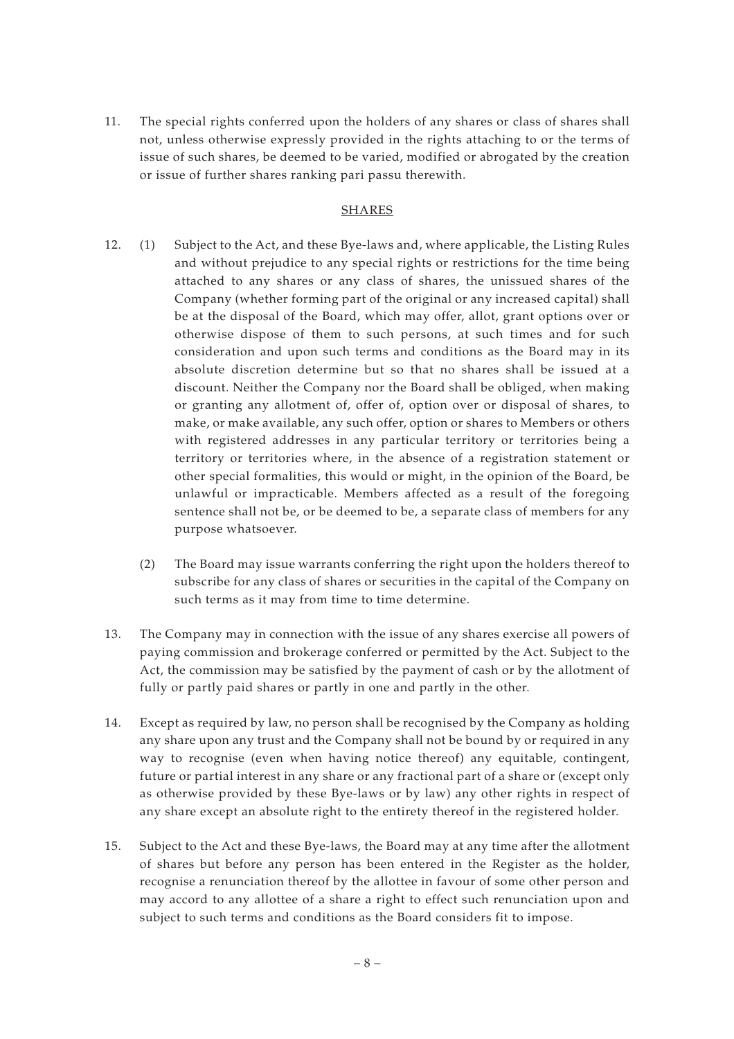11. The special rights conferred upon the holders of any shares or class of shares shall not, unless otherwise expressly provided in the rights attaching to or the terms of issue of such shares, be deemed to be varied, modified or abrogated by the creation or issue of further shares ranking pari passu therewith.

#### SHARES

- 12. (1) Subject to the Act, and these Bye-laws and, where applicable, the Listing Rules and without prejudice to any special rights or restrictions for the time being attached to any shares or any class of shares, the unissued shares of the Company (whether forming part of the original or any increased capital) shall be at the disposal of the Board, which may offer, allot, grant options over or otherwise dispose of them to such persons, at such times and for such consideration and upon such terms and conditions as the Board may in its absolute discretion determine but so that no shares shall be issued at a discount. Neither the Company nor the Board shall be obliged, when making or granting any allotment of, offer of, option over or disposal of shares, to make, or make available, any such offer, option or shares to Members or others with registered addresses in any particular territory or territories being a territory or territories where, in the absence of a registration statement or other special formalities, this would or might, in the opinion of the Board, be unlawful or impracticable. Members affected as a result of the foregoing sentence shall not be, or be deemed to be, a separate class of members for any purpose whatsoever.
	- (2) The Board may issue warrants conferring the right upon the holders thereof to subscribe for any class of shares or securities in the capital of the Company on such terms as it may from time to time determine.
- 13. The Company may in connection with the issue of any shares exercise all powers of paying commission and brokerage conferred or permitted by the Act. Subject to the Act, the commission may be satisfied by the payment of cash or by the allotment of fully or partly paid shares or partly in one and partly in the other.
- 14. Except as required by law, no person shall be recognised by the Company as holding any share upon any trust and the Company shall not be bound by or required in any way to recognise (even when having notice thereof) any equitable, contingent, future or partial interest in any share or any fractional part of a share or (except only as otherwise provided by these Bye-laws or by law) any other rights in respect of any share except an absolute right to the entirety thereof in the registered holder.
- 15. Subject to the Act and these Bye-laws, the Board may at any time after the allotment of shares but before any person has been entered in the Register as the holder, recognise a renunciation thereof by the allottee in favour of some other person and may accord to any allottee of a share a right to effect such renunciation upon and subject to such terms and conditions as the Board considers fit to impose.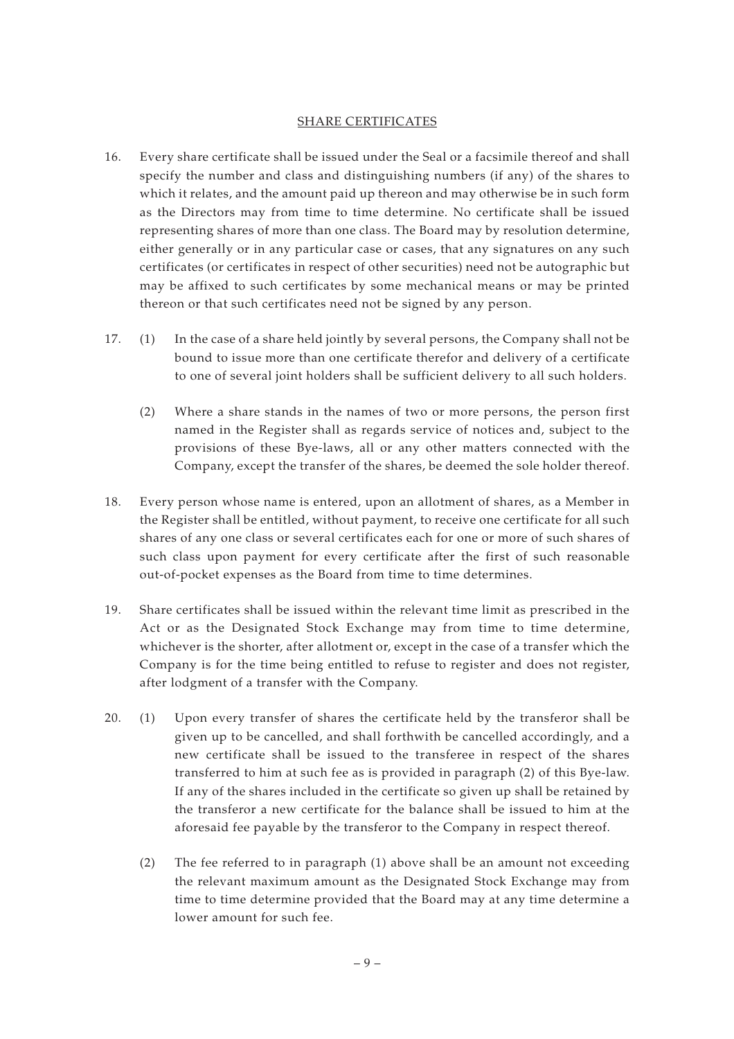#### SHARE CERTIFICATES

- 16. Every share certificate shall be issued under the Seal or a facsimile thereof and shall specify the number and class and distinguishing numbers (if any) of the shares to which it relates, and the amount paid up thereon and may otherwise be in such form as the Directors may from time to time determine. No certificate shall be issued representing shares of more than one class. The Board may by resolution determine, either generally or in any particular case or cases, that any signatures on any such certificates (or certificates in respect of other securities) need not be autographic but may be affixed to such certificates by some mechanical means or may be printed thereon or that such certificates need not be signed by any person.
- 17. (1) In the case of a share held jointly by several persons, the Company shall not be bound to issue more than one certificate therefor and delivery of a certificate to one of several joint holders shall be sufficient delivery to all such holders.
	- (2) Where a share stands in the names of two or more persons, the person first named in the Register shall as regards service of notices and, subject to the provisions of these Bye-laws, all or any other matters connected with the Company, except the transfer of the shares, be deemed the sole holder thereof.
- 18. Every person whose name is entered, upon an allotment of shares, as a Member in the Register shall be entitled, without payment, to receive one certificate for all such shares of any one class or several certificates each for one or more of such shares of such class upon payment for every certificate after the first of such reasonable out-of-pocket expenses as the Board from time to time determines.
- 19. Share certificates shall be issued within the relevant time limit as prescribed in the Act or as the Designated Stock Exchange may from time to time determine, whichever is the shorter, after allotment or, except in the case of a transfer which the Company is for the time being entitled to refuse to register and does not register, after lodgment of a transfer with the Company.
- 20. (1) Upon every transfer of shares the certificate held by the transferor shall be given up to be cancelled, and shall forthwith be cancelled accordingly, and a new certificate shall be issued to the transferee in respect of the shares transferred to him at such fee as is provided in paragraph (2) of this Bye-law. If any of the shares included in the certificate so given up shall be retained by the transferor a new certificate for the balance shall be issued to him at the aforesaid fee payable by the transferor to the Company in respect thereof.
	- (2) The fee referred to in paragraph (1) above shall be an amount not exceeding the relevant maximum amount as the Designated Stock Exchange may from time to time determine provided that the Board may at any time determine a lower amount for such fee.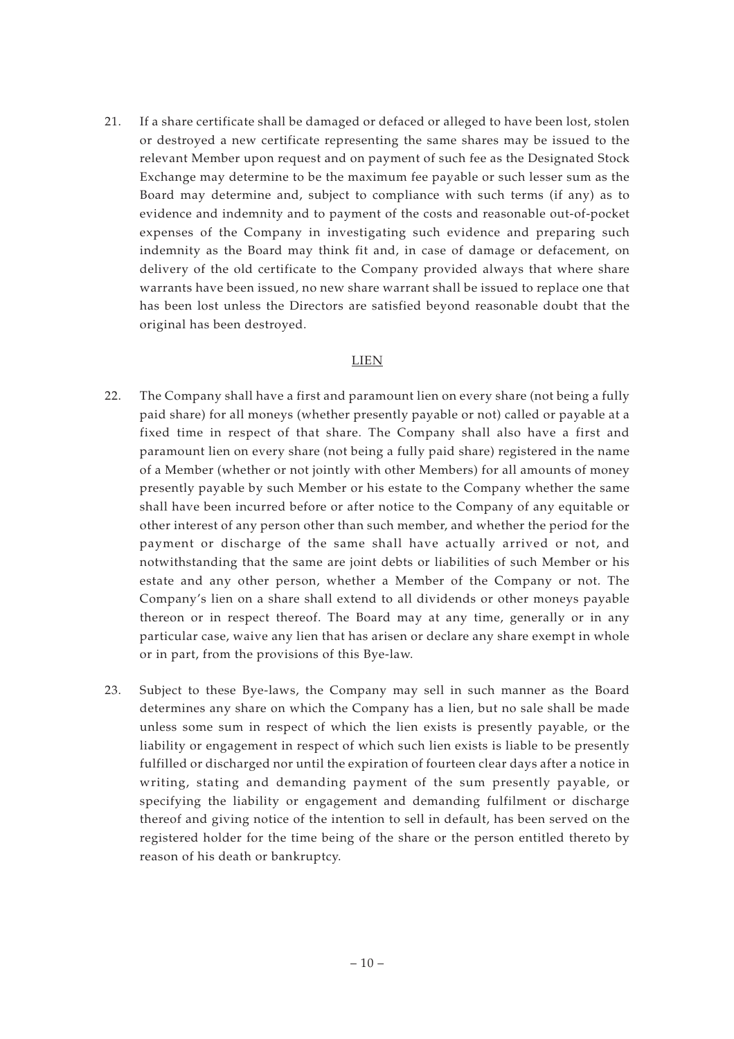21. If a share certificate shall be damaged or defaced or alleged to have been lost, stolen or destroyed a new certificate representing the same shares may be issued to the relevant Member upon request and on payment of such fee as the Designated Stock Exchange may determine to be the maximum fee payable or such lesser sum as the Board may determine and, subject to compliance with such terms (if any) as to evidence and indemnity and to payment of the costs and reasonable out-of-pocket expenses of the Company in investigating such evidence and preparing such indemnity as the Board may think fit and, in case of damage or defacement, on delivery of the old certificate to the Company provided always that where share warrants have been issued, no new share warrant shall be issued to replace one that has been lost unless the Directors are satisfied beyond reasonable doubt that the original has been destroyed.

#### LIEN

- 22. The Company shall have a first and paramount lien on every share (not being a fully paid share) for all moneys (whether presently payable or not) called or payable at a fixed time in respect of that share. The Company shall also have a first and paramount lien on every share (not being a fully paid share) registered in the name of a Member (whether or not jointly with other Members) for all amounts of money presently payable by such Member or his estate to the Company whether the same shall have been incurred before or after notice to the Company of any equitable or other interest of any person other than such member, and whether the period for the payment or discharge of the same shall have actually arrived or not, and notwithstanding that the same are joint debts or liabilities of such Member or his estate and any other person, whether a Member of the Company or not. The Company's lien on a share shall extend to all dividends or other moneys payable thereon or in respect thereof. The Board may at any time, generally or in any particular case, waive any lien that has arisen or declare any share exempt in whole or in part, from the provisions of this Bye-law.
- 23. Subject to these Bye-laws, the Company may sell in such manner as the Board determines any share on which the Company has a lien, but no sale shall be made unless some sum in respect of which the lien exists is presently payable, or the liability or engagement in respect of which such lien exists is liable to be presently fulfilled or discharged nor until the expiration of fourteen clear days after a notice in writing, stating and demanding payment of the sum presently payable, or specifying the liability or engagement and demanding fulfilment or discharge thereof and giving notice of the intention to sell in default, has been served on the registered holder for the time being of the share or the person entitled thereto by reason of his death or bankruptcy.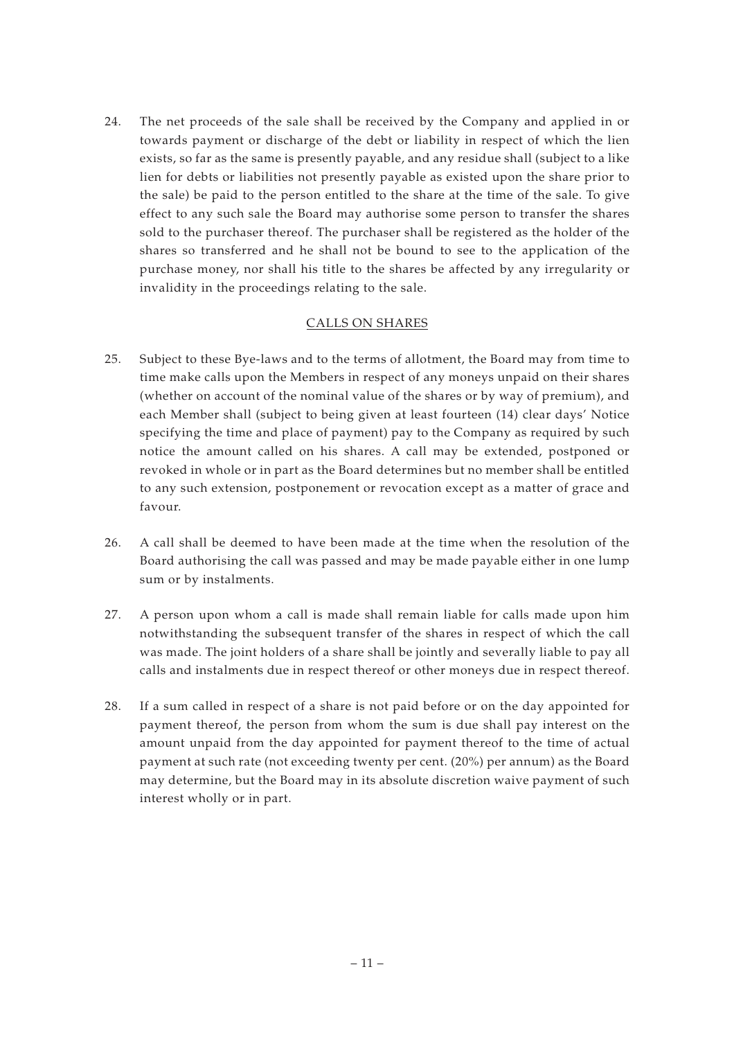24. The net proceeds of the sale shall be received by the Company and applied in or towards payment or discharge of the debt or liability in respect of which the lien exists, so far as the same is presently payable, and any residue shall (subject to a like lien for debts or liabilities not presently payable as existed upon the share prior to the sale) be paid to the person entitled to the share at the time of the sale. To give effect to any such sale the Board may authorise some person to transfer the shares sold to the purchaser thereof. The purchaser shall be registered as the holder of the shares so transferred and he shall not be bound to see to the application of the purchase money, nor shall his title to the shares be affected by any irregularity or invalidity in the proceedings relating to the sale.

# CALLS ON SHARES

- 25. Subject to these Bye-laws and to the terms of allotment, the Board may from time to time make calls upon the Members in respect of any moneys unpaid on their shares (whether on account of the nominal value of the shares or by way of premium), and each Member shall (subject to being given at least fourteen (14) clear days' Notice specifying the time and place of payment) pay to the Company as required by such notice the amount called on his shares. A call may be extended, postponed or revoked in whole or in part as the Board determines but no member shall be entitled to any such extension, postponement or revocation except as a matter of grace and favour.
- 26. A call shall be deemed to have been made at the time when the resolution of the Board authorising the call was passed and may be made payable either in one lump sum or by instalments.
- 27. A person upon whom a call is made shall remain liable for calls made upon him notwithstanding the subsequent transfer of the shares in respect of which the call was made. The joint holders of a share shall be jointly and severally liable to pay all calls and instalments due in respect thereof or other moneys due in respect thereof.
- 28. If a sum called in respect of a share is not paid before or on the day appointed for payment thereof, the person from whom the sum is due shall pay interest on the amount unpaid from the day appointed for payment thereof to the time of actual payment at such rate (not exceeding twenty per cent. (20%) per annum) as the Board may determine, but the Board may in its absolute discretion waive payment of such interest wholly or in part.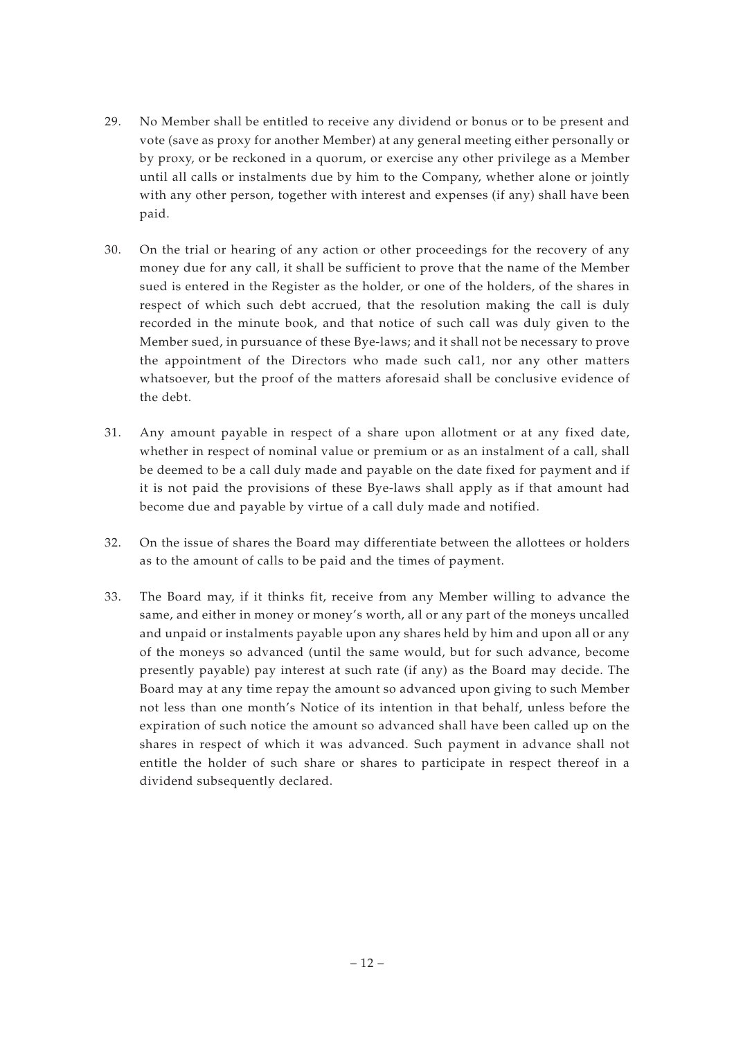- 29. No Member shall be entitled to receive any dividend or bonus or to be present and vote (save as proxy for another Member) at any general meeting either personally or by proxy, or be reckoned in a quorum, or exercise any other privilege as a Member until all calls or instalments due by him to the Company, whether alone or jointly with any other person, together with interest and expenses (if any) shall have been paid.
- 30. On the trial or hearing of any action or other proceedings for the recovery of any money due for any call, it shall be sufficient to prove that the name of the Member sued is entered in the Register as the holder, or one of the holders, of the shares in respect of which such debt accrued, that the resolution making the call is duly recorded in the minute book, and that notice of such call was duly given to the Member sued, in pursuance of these Bye-laws; and it shall not be necessary to prove the appointment of the Directors who made such cal1, nor any other matters whatsoever, but the proof of the matters aforesaid shall be conclusive evidence of the debt.
- 31. Any amount payable in respect of a share upon allotment or at any fixed date, whether in respect of nominal value or premium or as an instalment of a call, shall be deemed to be a call duly made and payable on the date fixed for payment and if it is not paid the provisions of these Bye-laws shall apply as if that amount had become due and payable by virtue of a call duly made and notified.
- 32. On the issue of shares the Board may differentiate between the allottees or holders as to the amount of calls to be paid and the times of payment.
- 33. The Board may, if it thinks fit, receive from any Member willing to advance the same, and either in money or money's worth, all or any part of the moneys uncalled and unpaid or instalments payable upon any shares held by him and upon all or any of the moneys so advanced (until the same would, but for such advance, become presently payable) pay interest at such rate (if any) as the Board may decide. The Board may at any time repay the amount so advanced upon giving to such Member not less than one month's Notice of its intention in that behalf, unless before the expiration of such notice the amount so advanced shall have been called up on the shares in respect of which it was advanced. Such payment in advance shall not entitle the holder of such share or shares to participate in respect thereof in a dividend subsequently declared.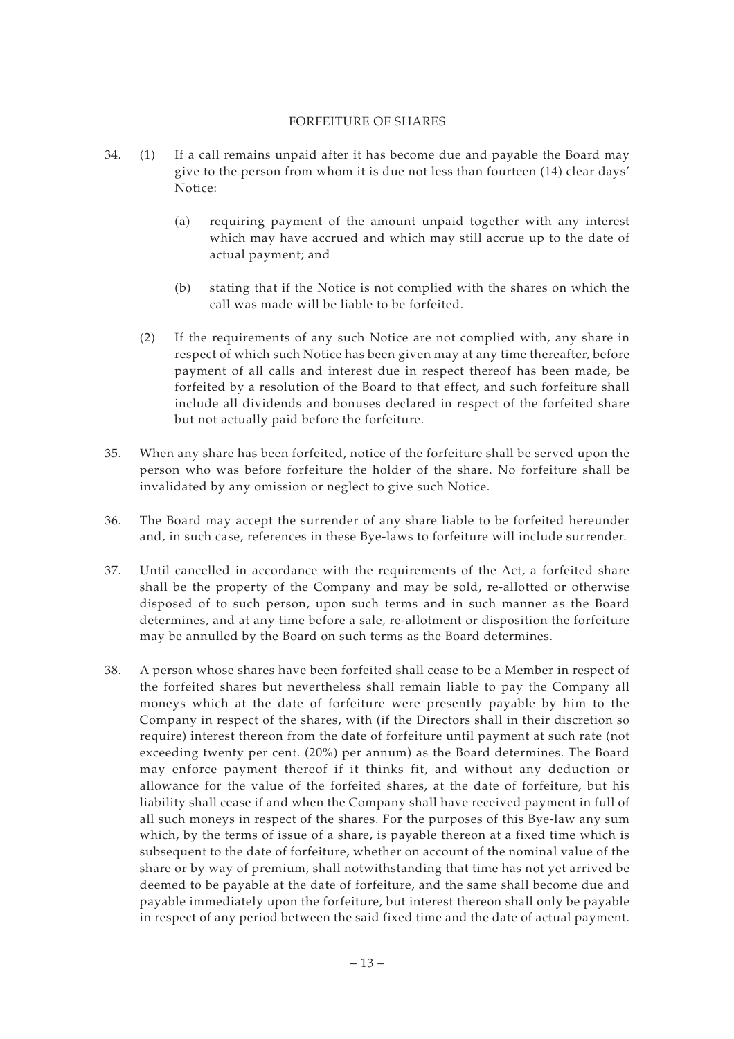#### FORFEITURE OF SHARES

- 34. (1) If a call remains unpaid after it has become due and payable the Board may give to the person from whom it is due not less than fourteen (14) clear days' Notice:
	- (a) requiring payment of the amount unpaid together with any interest which may have accrued and which may still accrue up to the date of actual payment; and
	- (b) stating that if the Notice is not complied with the shares on which the call was made will be liable to be forfeited.
	- (2) If the requirements of any such Notice are not complied with, any share in respect of which such Notice has been given may at any time thereafter, before payment of all calls and interest due in respect thereof has been made, be forfeited by a resolution of the Board to that effect, and such forfeiture shall include all dividends and bonuses declared in respect of the forfeited share but not actually paid before the forfeiture.
- 35. When any share has been forfeited, notice of the forfeiture shall be served upon the person who was before forfeiture the holder of the share. No forfeiture shall be invalidated by any omission or neglect to give such Notice.
- 36. The Board may accept the surrender of any share liable to be forfeited hereunder and, in such case, references in these Bye-laws to forfeiture will include surrender.
- 37. Until cancelled in accordance with the requirements of the Act, a forfeited share shall be the property of the Company and may be sold, re-allotted or otherwise disposed of to such person, upon such terms and in such manner as the Board determines, and at any time before a sale, re-allotment or disposition the forfeiture may be annulled by the Board on such terms as the Board determines.
- 38. A person whose shares have been forfeited shall cease to be a Member in respect of the forfeited shares but nevertheless shall remain liable to pay the Company all moneys which at the date of forfeiture were presently payable by him to the Company in respect of the shares, with (if the Directors shall in their discretion so require) interest thereon from the date of forfeiture until payment at such rate (not exceeding twenty per cent. (20%) per annum) as the Board determines. The Board may enforce payment thereof if it thinks fit, and without any deduction or allowance for the value of the forfeited shares, at the date of forfeiture, but his liability shall cease if and when the Company shall have received payment in full of all such moneys in respect of the shares. For the purposes of this Bye-law any sum which, by the terms of issue of a share, is payable thereon at a fixed time which is subsequent to the date of forfeiture, whether on account of the nominal value of the share or by way of premium, shall notwithstanding that time has not yet arrived be deemed to be payable at the date of forfeiture, and the same shall become due and payable immediately upon the forfeiture, but interest thereon shall only be payable in respect of any period between the said fixed time and the date of actual payment.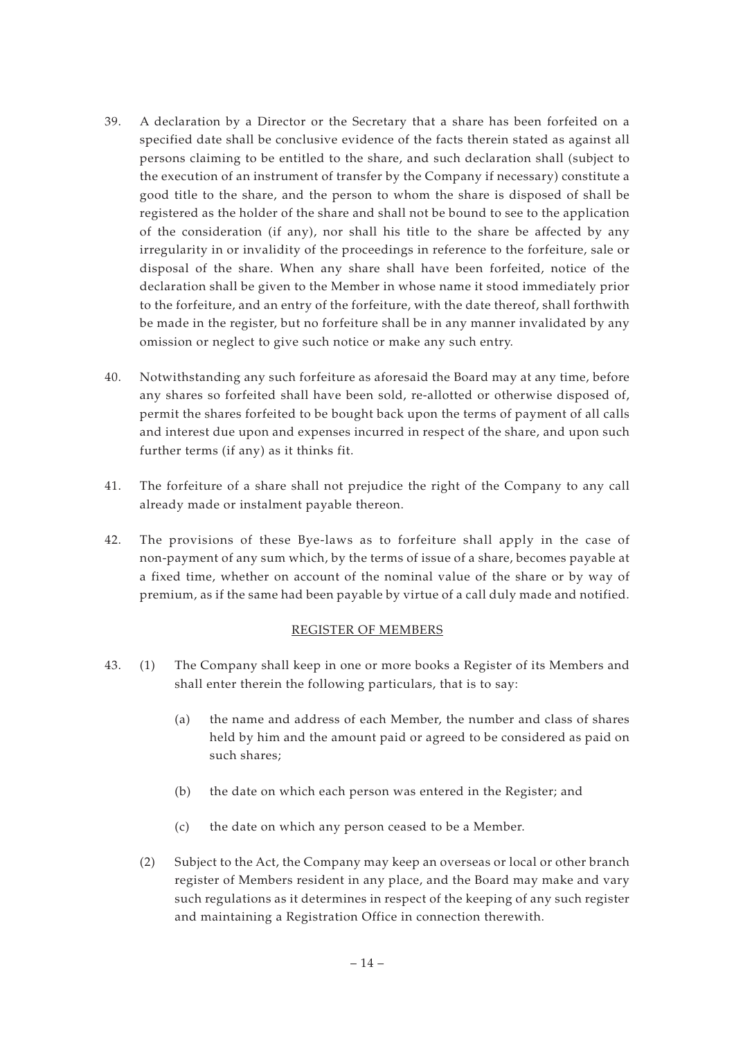- 39. A declaration by a Director or the Secretary that a share has been forfeited on a specified date shall be conclusive evidence of the facts therein stated as against all persons claiming to be entitled to the share, and such declaration shall (subject to the execution of an instrument of transfer by the Company if necessary) constitute a good title to the share, and the person to whom the share is disposed of shall be registered as the holder of the share and shall not be bound to see to the application of the consideration (if any), nor shall his title to the share be affected by any irregularity in or invalidity of the proceedings in reference to the forfeiture, sale or disposal of the share. When any share shall have been forfeited, notice of the declaration shall be given to the Member in whose name it stood immediately prior to the forfeiture, and an entry of the forfeiture, with the date thereof, shall forthwith be made in the register, but no forfeiture shall be in any manner invalidated by any omission or neglect to give such notice or make any such entry.
- 40. Notwithstanding any such forfeiture as aforesaid the Board may at any time, before any shares so forfeited shall have been sold, re-allotted or otherwise disposed of, permit the shares forfeited to be bought back upon the terms of payment of all calls and interest due upon and expenses incurred in respect of the share, and upon such further terms (if any) as it thinks fit.
- 41. The forfeiture of a share shall not prejudice the right of the Company to any call already made or instalment payable thereon.
- 42. The provisions of these Bye-laws as to forfeiture shall apply in the case of non-payment of any sum which, by the terms of issue of a share, becomes payable at a fixed time, whether on account of the nominal value of the share or by way of premium, as if the same had been payable by virtue of a call duly made and notified.

## REGISTER OF MEMBERS

- 43. (1) The Company shall keep in one or more books a Register of its Members and shall enter therein the following particulars, that is to say:
	- (a) the name and address of each Member, the number and class of shares held by him and the amount paid or agreed to be considered as paid on such shares;
	- (b) the date on which each person was entered in the Register; and
	- (c) the date on which any person ceased to be a Member.
	- (2) Subject to the Act, the Company may keep an overseas or local or other branch register of Members resident in any place, and the Board may make and vary such regulations as it determines in respect of the keeping of any such register and maintaining a Registration Office in connection therewith.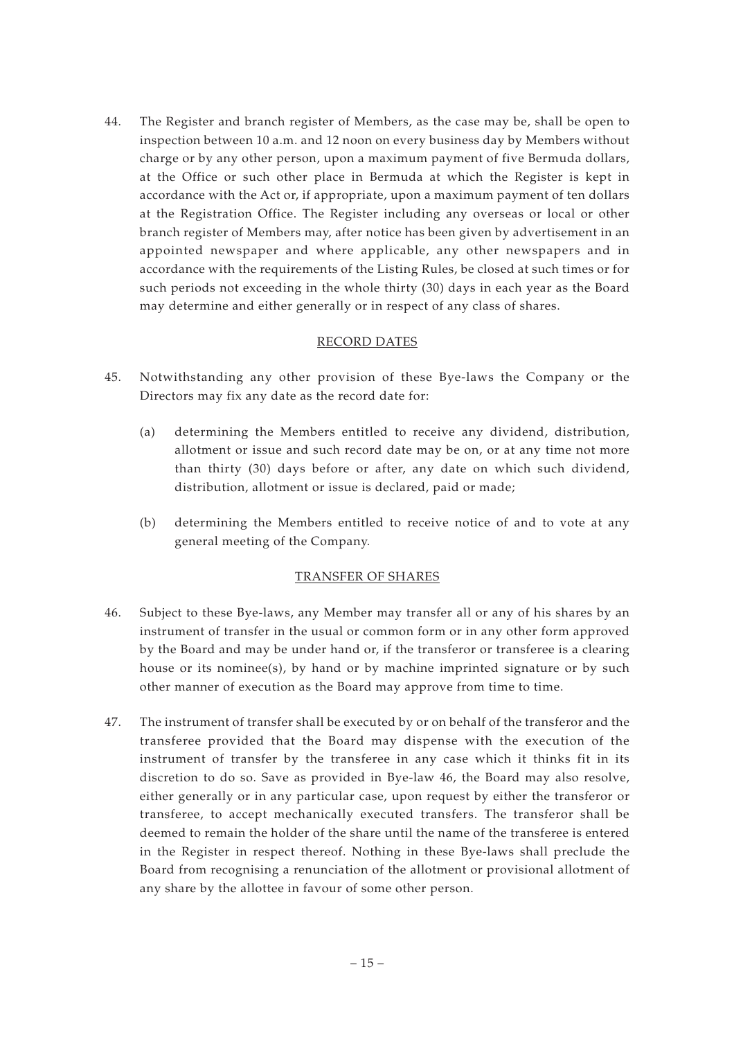44. The Register and branch register of Members, as the case may be, shall be open to inspection between 10 a.m. and 12 noon on every business day by Members without charge or by any other person, upon a maximum payment of five Bermuda dollars, at the Office or such other place in Bermuda at which the Register is kept in accordance with the Act or, if appropriate, upon a maximum payment of ten dollars at the Registration Office. The Register including any overseas or local or other branch register of Members may, after notice has been given by advertisement in an appointed newspaper and where applicable, any other newspapers and in accordance with the requirements of the Listing Rules, be closed at such times or for such periods not exceeding in the whole thirty (30) days in each year as the Board may determine and either generally or in respect of any class of shares.

## RECORD DATES

- 45. Notwithstanding any other provision of these Bye-laws the Company or the Directors may fix any date as the record date for:
	- (a) determining the Members entitled to receive any dividend, distribution, allotment or issue and such record date may be on, or at any time not more than thirty (30) days before or after, any date on which such dividend, distribution, allotment or issue is declared, paid or made;
	- (b) determining the Members entitled to receive notice of and to vote at any general meeting of the Company.

## TRANSFER OF SHARES

- 46. Subject to these Bye-laws, any Member may transfer all or any of his shares by an instrument of transfer in the usual or common form or in any other form approved by the Board and may be under hand or, if the transferor or transferee is a clearing house or its nominee(s), by hand or by machine imprinted signature or by such other manner of execution as the Board may approve from time to time.
- 47. The instrument of transfer shall be executed by or on behalf of the transferor and the transferee provided that the Board may dispense with the execution of the instrument of transfer by the transferee in any case which it thinks fit in its discretion to do so. Save as provided in Bye-law 46, the Board may also resolve, either generally or in any particular case, upon request by either the transferor or transferee, to accept mechanically executed transfers. The transferor shall be deemed to remain the holder of the share until the name of the transferee is entered in the Register in respect thereof. Nothing in these Bye-laws shall preclude the Board from recognising a renunciation of the allotment or provisional allotment of any share by the allottee in favour of some other person.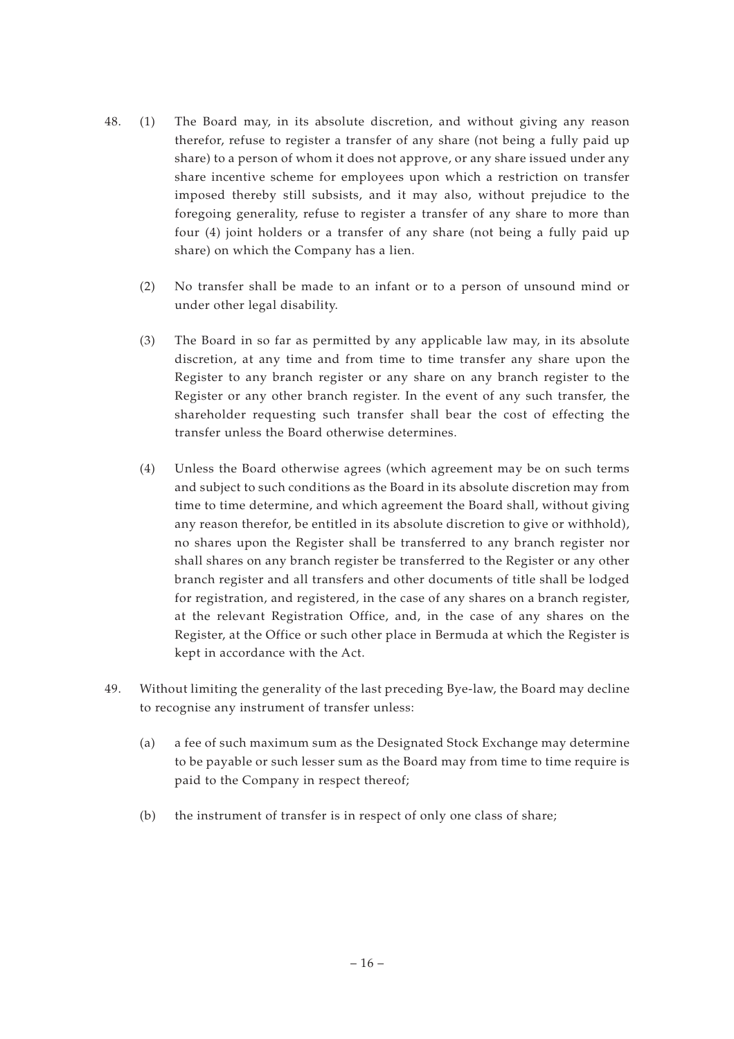- 48. (1) The Board may, in its absolute discretion, and without giving any reason therefor, refuse to register a transfer of any share (not being a fully paid up share) to a person of whom it does not approve, or any share issued under any share incentive scheme for employees upon which a restriction on transfer imposed thereby still subsists, and it may also, without prejudice to the foregoing generality, refuse to register a transfer of any share to more than four (4) joint holders or a transfer of any share (not being a fully paid up share) on which the Company has a lien.
	- (2) No transfer shall be made to an infant or to a person of unsound mind or under other legal disability.
	- (3) The Board in so far as permitted by any applicable law may, in its absolute discretion, at any time and from time to time transfer any share upon the Register to any branch register or any share on any branch register to the Register or any other branch register. In the event of any such transfer, the shareholder requesting such transfer shall bear the cost of effecting the transfer unless the Board otherwise determines.
	- (4) Unless the Board otherwise agrees (which agreement may be on such terms and subject to such conditions as the Board in its absolute discretion may from time to time determine, and which agreement the Board shall, without giving any reason therefor, be entitled in its absolute discretion to give or withhold), no shares upon the Register shall be transferred to any branch register nor shall shares on any branch register be transferred to the Register or any other branch register and all transfers and other documents of title shall be lodged for registration, and registered, in the case of any shares on a branch register, at the relevant Registration Office, and, in the case of any shares on the Register, at the Office or such other place in Bermuda at which the Register is kept in accordance with the Act.
- 49. Without limiting the generality of the last preceding Bye-law, the Board may decline to recognise any instrument of transfer unless:
	- (a) a fee of such maximum sum as the Designated Stock Exchange may determine to be payable or such lesser sum as the Board may from time to time require is paid to the Company in respect thereof;
	- (b) the instrument of transfer is in respect of only one class of share;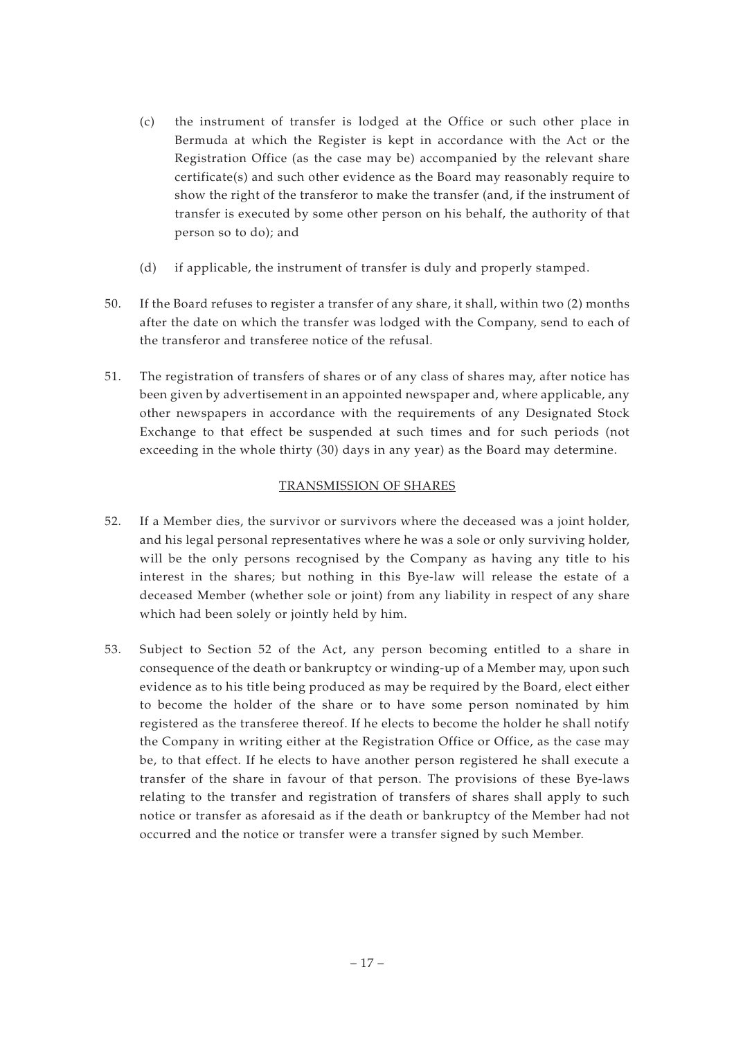- (c) the instrument of transfer is lodged at the Office or such other place in Bermuda at which the Register is kept in accordance with the Act or the Registration Office (as the case may be) accompanied by the relevant share certificate(s) and such other evidence as the Board may reasonably require to show the right of the transferor to make the transfer (and, if the instrument of transfer is executed by some other person on his behalf, the authority of that person so to do); and
- (d) if applicable, the instrument of transfer is duly and properly stamped.
- 50. If the Board refuses to register a transfer of any share, it shall, within two (2) months after the date on which the transfer was lodged with the Company, send to each of the transferor and transferee notice of the refusal.
- 51. The registration of transfers of shares or of any class of shares may, after notice has been given by advertisement in an appointed newspaper and, where applicable, any other newspapers in accordance with the requirements of any Designated Stock Exchange to that effect be suspended at such times and for such periods (not exceeding in the whole thirty (30) days in any year) as the Board may determine.

## TRANSMISSION OF SHARES

- 52. If a Member dies, the survivor or survivors where the deceased was a joint holder, and his legal personal representatives where he was a sole or only surviving holder, will be the only persons recognised by the Company as having any title to his interest in the shares; but nothing in this Bye-law will release the estate of a deceased Member (whether sole or joint) from any liability in respect of any share which had been solely or jointly held by him.
- 53. Subject to Section 52 of the Act, any person becoming entitled to a share in consequence of the death or bankruptcy or winding-up of a Member may, upon such evidence as to his title being produced as may be required by the Board, elect either to become the holder of the share or to have some person nominated by him registered as the transferee thereof. If he elects to become the holder he shall notify the Company in writing either at the Registration Office or Office, as the case may be, to that effect. If he elects to have another person registered he shall execute a transfer of the share in favour of that person. The provisions of these Bye-laws relating to the transfer and registration of transfers of shares shall apply to such notice or transfer as aforesaid as if the death or bankruptcy of the Member had not occurred and the notice or transfer were a transfer signed by such Member.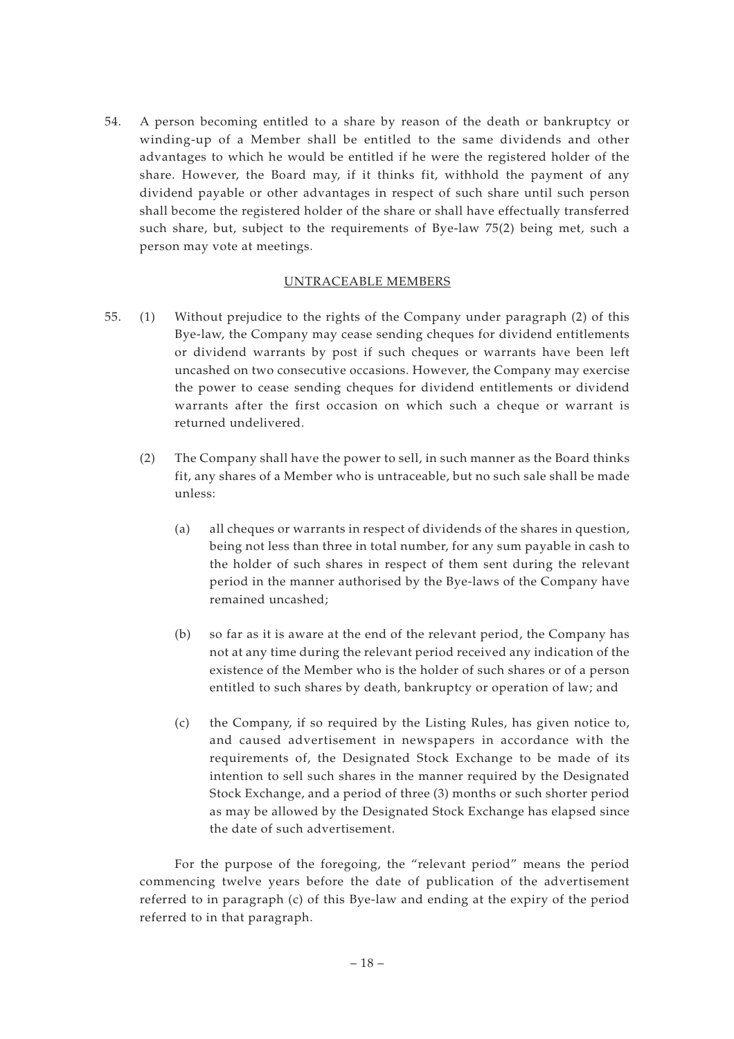54. A person becoming entitled to a share by reason of the death or bankruptcy or winding-up of a Member shall be entitled to the same dividends and other advantages to which he would be entitled if he were the registered holder of the share. However, the Board may, if it thinks fit, withhold the payment of any dividend payable or other advantages in respect of such share until such person shall become the registered holder of the share or shall have effectually transferred such share, but, subject to the requirements of Bye-law 75(2) being met, such a person may vote at meetings.

## UNTRACEABLE MEMBERS

- 55. (1) Without prejudice to the rights of the Company under paragraph (2) of this Bye-law, the Company may cease sending cheques for dividend entitlements or dividend warrants by post if such cheques or warrants have been left uncashed on two consecutive occasions. However, the Company may exercise the power to cease sending cheques for dividend entitlements or dividend warrants after the first occasion on which such a cheque or warrant is returned undelivered.
	- (2) The Company shall have the power to sell, in such manner as the Board thinks fit, any shares of a Member who is untraceable, but no such sale shall be made unless:
		- (a) all cheques or warrants in respect of dividends of the shares in question, being not less than three in total number, for any sum payable in cash to the holder of such shares in respect of them sent during the relevant period in the manner authorised by the Bye-laws of the Company have remained uncashed;
		- (b) so far as it is aware at the end of the relevant period, the Company has not at any time during the relevant period received any indication of the existence of the Member who is the holder of such shares or of a person entitled to such shares by death, bankruptcy or operation of law; and
		- (c) the Company, if so required by the Listing Rules, has given notice to, and caused advertisement in newspapers in accordance with the requirements of, the Designated Stock Exchange to be made of its intention to sell such shares in the manner required by the Designated Stock Exchange, and a period of three (3) months or such shorter period as may be allowed by the Designated Stock Exchange has elapsed since the date of such advertisement.

For the purpose of the foregoing, the "relevant period" means the period commencing twelve years before the date of publication of the advertisement referred to in paragraph (c) of this Bye-law and ending at the expiry of the period referred to in that paragraph.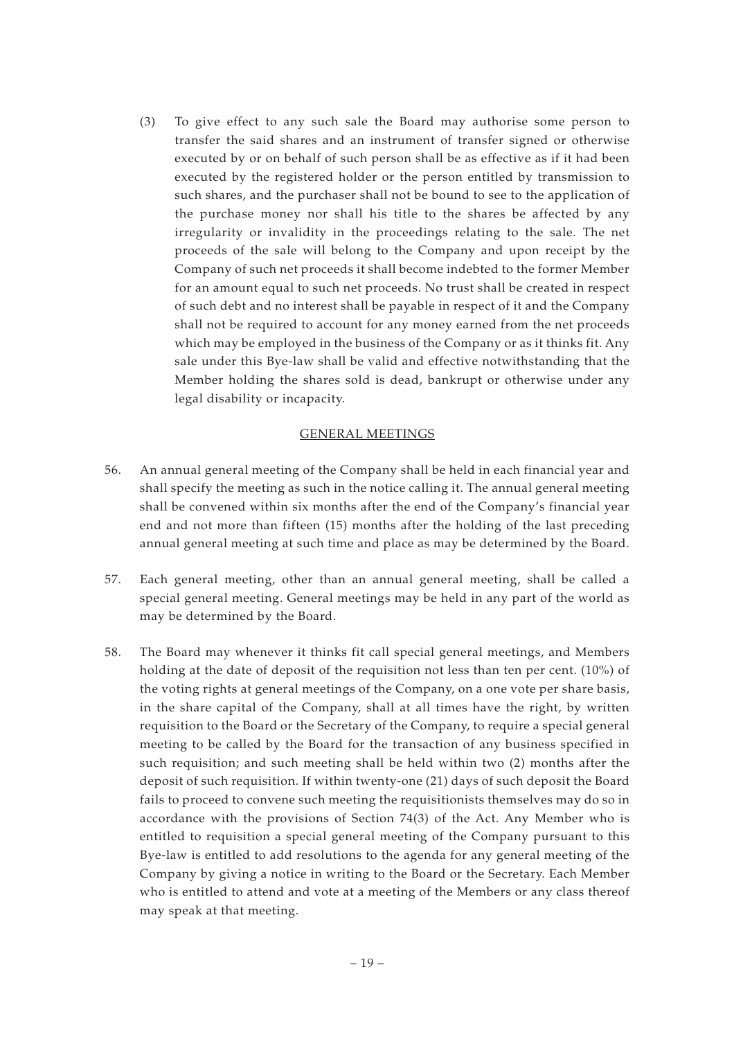(3) To give effect to any such sale the Board may authorise some person to transfer the said shares and an instrument of transfer signed or otherwise executed by or on behalf of such person shall be as effective as if it had been executed by the registered holder or the person entitled by transmission to such shares, and the purchaser shall not be bound to see to the application of the purchase money nor shall his title to the shares be affected by any irregularity or invalidity in the proceedings relating to the sale. The net proceeds of the sale will belong to the Company and upon receipt by the Company of such net proceeds it shall become indebted to the former Member for an amount equal to such net proceeds. No trust shall be created in respect of such debt and no interest shall be payable in respect of it and the Company shall not be required to account for any money earned from the net proceeds which may be employed in the business of the Company or as it thinks fit. Any sale under this Bye-law shall be valid and effective notwithstanding that the Member holding the shares sold is dead, bankrupt or otherwise under any legal disability or incapacity.

#### GENERAL MEETINGS

- 56. An annual general meeting of the Company shall be held in each financial year and shall specify the meeting as such in the notice calling it. The annual general meeting shall be convened within six months after the end of the Company's financial year end and not more than fifteen (15) months after the holding of the last preceding annual general meeting at such time and place as may be determined by the Board.
- 57. Each general meeting, other than an annual general meeting, shall be called a special general meeting. General meetings may be held in any part of the world as may be determined by the Board.
- 58. The Board may whenever it thinks fit call special general meetings, and Members holding at the date of deposit of the requisition not less than ten per cent. (10%) of the voting rights at general meetings of the Company, on a one vote per share basis, in the share capital of the Company, shall at all times have the right, by written requisition to the Board or the Secretary of the Company, to require a special general meeting to be called by the Board for the transaction of any business specified in such requisition; and such meeting shall be held within two (2) months after the deposit of such requisition. If within twenty-one (21) days of such deposit the Board fails to proceed to convene such meeting the requisitionists themselves may do so in accordance with the provisions of Section 74(3) of the Act. Any Member who is entitled to requisition a special general meeting of the Company pursuant to this Bye-law is entitled to add resolutions to the agenda for any general meeting of the Company by giving a notice in writing to the Board or the Secretary. Each Member who is entitled to attend and vote at a meeting of the Members or any class thereof may speak at that meeting.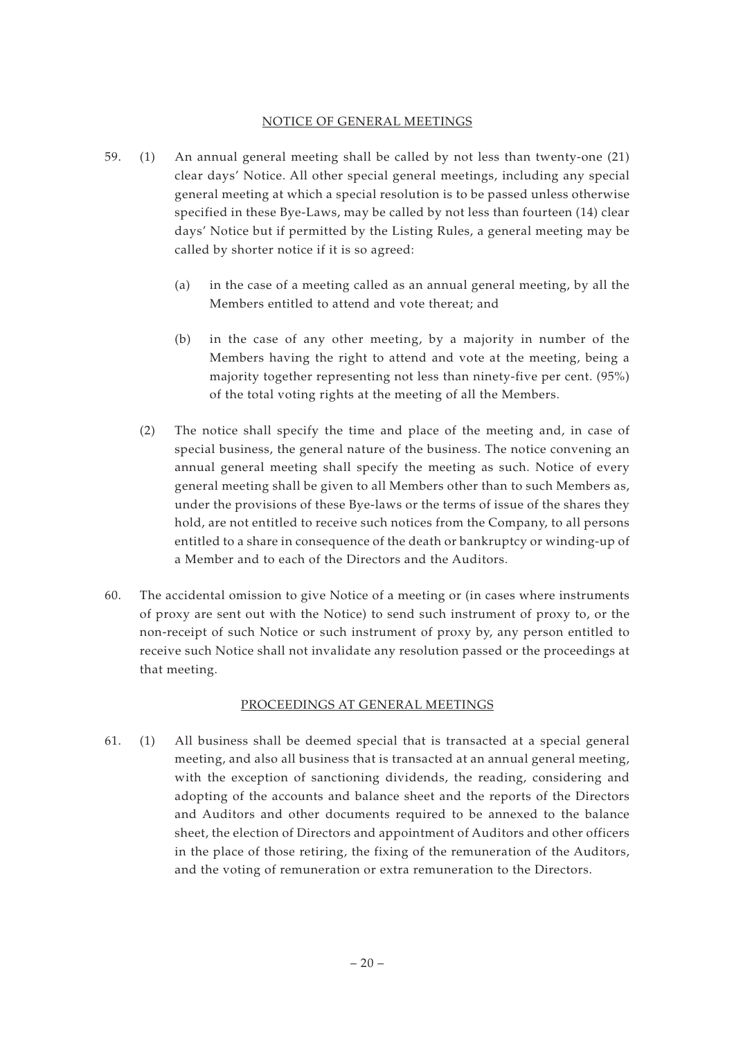#### NOTICE OF GENERAL MEETINGS

- 59. (1) An annual general meeting shall be called by not less than twenty-one (21) clear days' Notice. All other special general meetings, including any special general meeting at which a special resolution is to be passed unless otherwise specified in these Bye-Laws, may be called by not less than fourteen (14) clear days' Notice but if permitted by the Listing Rules, a general meeting may be called by shorter notice if it is so agreed:
	- (a) in the case of a meeting called as an annual general meeting, by all the Members entitled to attend and vote thereat; and
	- (b) in the case of any other meeting, by a majority in number of the Members having the right to attend and vote at the meeting, being a majority together representing not less than ninety-five per cent. (95%) of the total voting rights at the meeting of all the Members.
	- (2) The notice shall specify the time and place of the meeting and, in case of special business, the general nature of the business. The notice convening an annual general meeting shall specify the meeting as such. Notice of every general meeting shall be given to all Members other than to such Members as, under the provisions of these Bye-laws or the terms of issue of the shares they hold, are not entitled to receive such notices from the Company, to all persons entitled to a share in consequence of the death or bankruptcy or winding-up of a Member and to each of the Directors and the Auditors.
- 60. The accidental omission to give Notice of a meeting or (in cases where instruments of proxy are sent out with the Notice) to send such instrument of proxy to, or the non-receipt of such Notice or such instrument of proxy by, any person entitled to receive such Notice shall not invalidate any resolution passed or the proceedings at that meeting.

## PROCEEDINGS AT GENERAL MEETINGS

61. (1) All business shall be deemed special that is transacted at a special general meeting, and also all business that is transacted at an annual general meeting, with the exception of sanctioning dividends, the reading, considering and adopting of the accounts and balance sheet and the reports of the Directors and Auditors and other documents required to be annexed to the balance sheet, the election of Directors and appointment of Auditors and other officers in the place of those retiring, the fixing of the remuneration of the Auditors, and the voting of remuneration or extra remuneration to the Directors.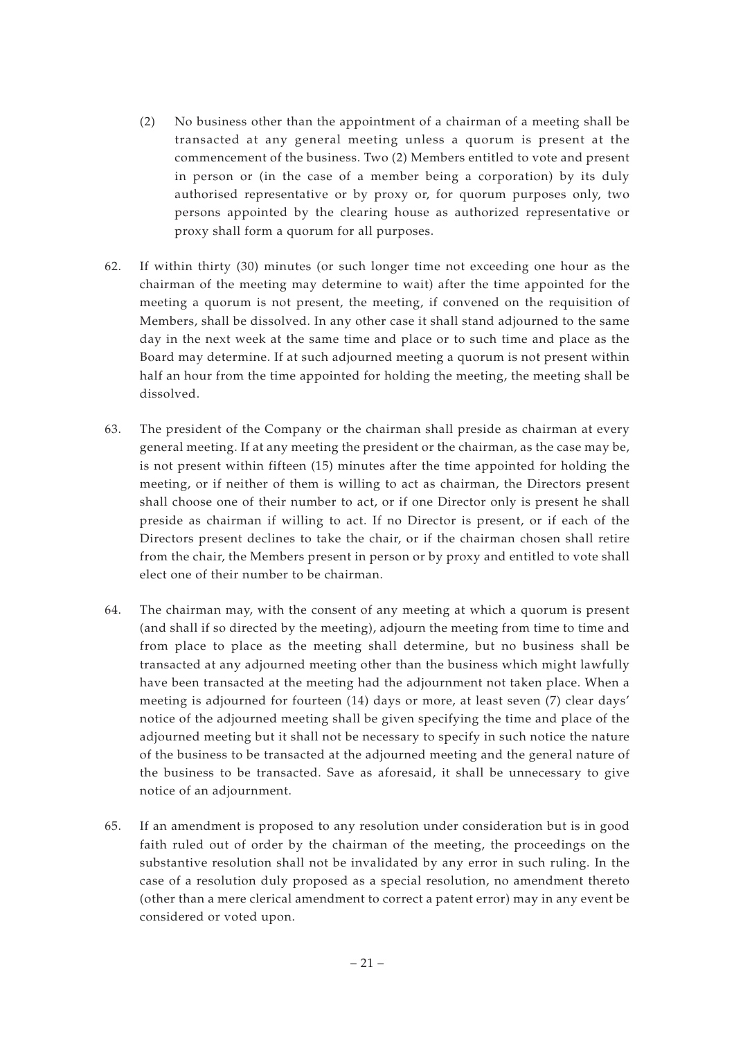- (2) No business other than the appointment of a chairman of a meeting shall be transacted at any general meeting unless a quorum is present at the commencement of the business. Two (2) Members entitled to vote and present in person or (in the case of a member being a corporation) by its duly authorised representative or by proxy or, for quorum purposes only, two persons appointed by the clearing house as authorized representative or proxy shall form a quorum for all purposes.
- 62. If within thirty (30) minutes (or such longer time not exceeding one hour as the chairman of the meeting may determine to wait) after the time appointed for the meeting a quorum is not present, the meeting, if convened on the requisition of Members, shall be dissolved. In any other case it shall stand adjourned to the same day in the next week at the same time and place or to such time and place as the Board may determine. If at such adjourned meeting a quorum is not present within half an hour from the time appointed for holding the meeting, the meeting shall be dissolved.
- 63. The president of the Company or the chairman shall preside as chairman at every general meeting. If at any meeting the president or the chairman, as the case may be, is not present within fifteen (15) minutes after the time appointed for holding the meeting, or if neither of them is willing to act as chairman, the Directors present shall choose one of their number to act, or if one Director only is present he shall preside as chairman if willing to act. If no Director is present, or if each of the Directors present declines to take the chair, or if the chairman chosen shall retire from the chair, the Members present in person or by proxy and entitled to vote shall elect one of their number to be chairman.
- 64. The chairman may, with the consent of any meeting at which a quorum is present (and shall if so directed by the meeting), adjourn the meeting from time to time and from place to place as the meeting shall determine, but no business shall be transacted at any adjourned meeting other than the business which might lawfully have been transacted at the meeting had the adjournment not taken place. When a meeting is adjourned for fourteen (14) days or more, at least seven (7) clear days' notice of the adjourned meeting shall be given specifying the time and place of the adjourned meeting but it shall not be necessary to specify in such notice the nature of the business to be transacted at the adjourned meeting and the general nature of the business to be transacted. Save as aforesaid, it shall be unnecessary to give notice of an adjournment.
- 65. If an amendment is proposed to any resolution under consideration but is in good faith ruled out of order by the chairman of the meeting, the proceedings on the substantive resolution shall not be invalidated by any error in such ruling. In the case of a resolution duly proposed as a special resolution, no amendment thereto (other than a mere clerical amendment to correct a patent error) may in any event be considered or voted upon.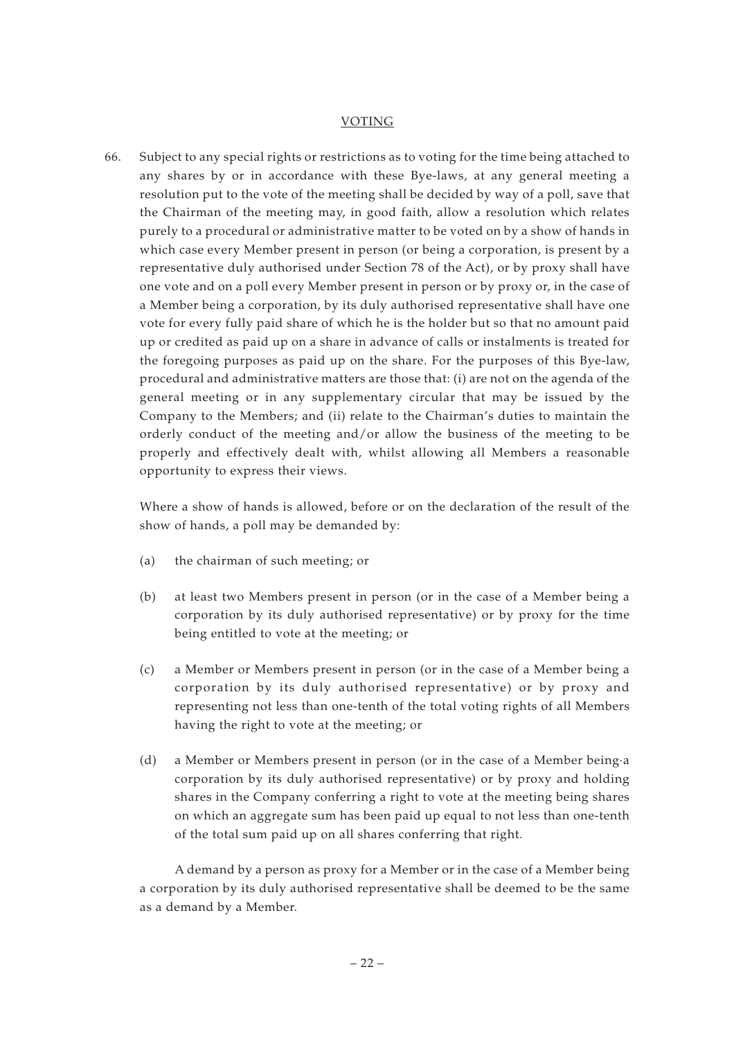#### VOTING

66. Subject to any special rights or restrictions as to voting for the time being attached to any shares by or in accordance with these Bye-laws, at any general meeting a resolution put to the vote of the meeting shall be decided by way of a poll, save that the Chairman of the meeting may, in good faith, allow a resolution which relates purely to a procedural or administrative matter to be voted on by a show of hands in which case every Member present in person (or being a corporation, is present by a representative duly authorised under Section 78 of the Act), or by proxy shall have one vote and on a poll every Member present in person or by proxy or, in the case of a Member being a corporation, by its duly authorised representative shall have one vote for every fully paid share of which he is the holder but so that no amount paid up or credited as paid up on a share in advance of calls or instalments is treated for the foregoing purposes as paid up on the share. For the purposes of this Bye-law, procedural and administrative matters are those that: (i) are not on the agenda of the general meeting or in any supplementary circular that may be issued by the Company to the Members; and (ii) relate to the Chairman's duties to maintain the orderly conduct of the meeting and/or allow the business of the meeting to be properly and effectively dealt with, whilst allowing all Members a reasonable opportunity to express their views.

Where a show of hands is allowed, before or on the declaration of the result of the show of hands, a poll may be demanded by:

- (a) the chairman of such meeting; or
- (b) at least two Members present in person (or in the case of a Member being a corporation by its duly authorised representative) or by proxy for the time being entitled to vote at the meeting; or
- (c) a Member or Members present in person (or in the case of a Member being a corporation by its duly authorised representative) or by proxy and representing not less than one-tenth of the total voting rights of all Members having the right to vote at the meeting; or
- (d) a Member or Members present in person (or in the case of a Member being·a corporation by its duly authorised representative) or by proxy and holding shares in the Company conferring a right to vote at the meeting being shares on which an aggregate sum has been paid up equal to not less than one-tenth of the total sum paid up on all shares conferring that right.

A demand by a person as proxy for a Member or in the case of a Member being a corporation by its duly authorised representative shall be deemed to be the same as a demand by a Member.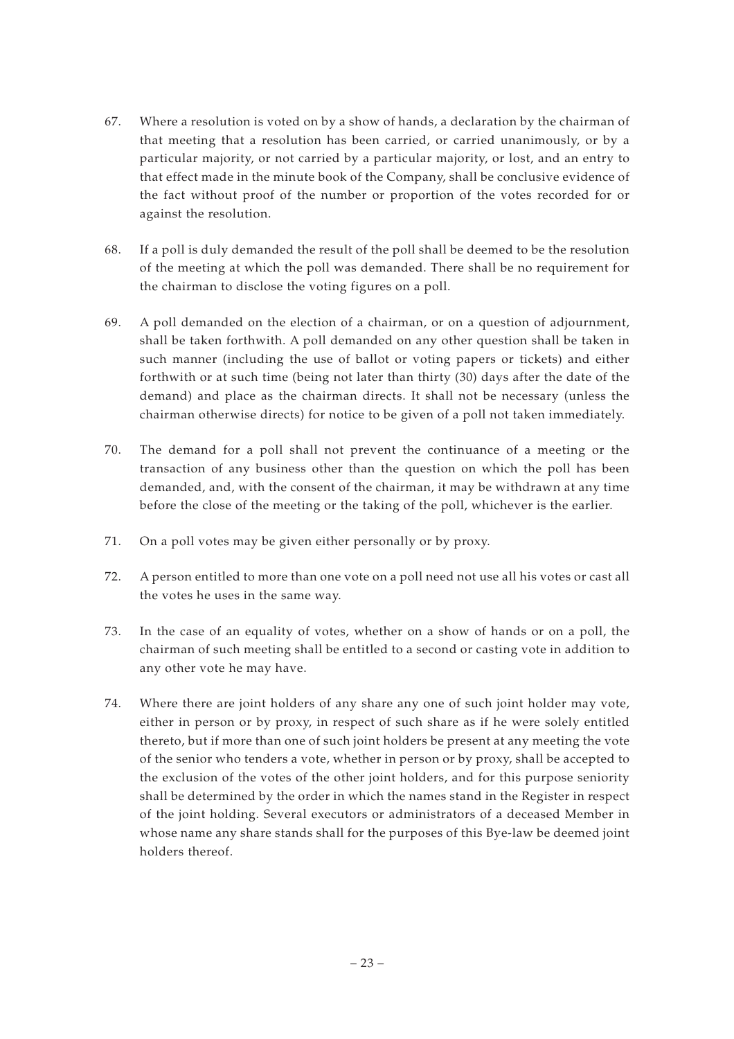- 67. Where a resolution is voted on by a show of hands, a declaration by the chairman of that meeting that a resolution has been carried, or carried unanimously, or by a particular majority, or not carried by a particular majority, or lost, and an entry to that effect made in the minute book of the Company, shall be conclusive evidence of the fact without proof of the number or proportion of the votes recorded for or against the resolution.
- 68. If a poll is duly demanded the result of the poll shall be deemed to be the resolution of the meeting at which the poll was demanded. There shall be no requirement for the chairman to disclose the voting figures on a poll.
- 69. A poll demanded on the election of a chairman, or on a question of adjournment, shall be taken forthwith. A poll demanded on any other question shall be taken in such manner (including the use of ballot or voting papers or tickets) and either forthwith or at such time (being not later than thirty (30) days after the date of the demand) and place as the chairman directs. It shall not be necessary (unless the chairman otherwise directs) for notice to be given of a poll not taken immediately.
- 70. The demand for a poll shall not prevent the continuance of a meeting or the transaction of any business other than the question on which the poll has been demanded, and, with the consent of the chairman, it may be withdrawn at any time before the close of the meeting or the taking of the poll, whichever is the earlier.
- 71. On a poll votes may be given either personally or by proxy.
- 72. A person entitled to more than one vote on a poll need not use all his votes or cast all the votes he uses in the same way.
- 73. In the case of an equality of votes, whether on a show of hands or on a poll, the chairman of such meeting shall be entitled to a second or casting vote in addition to any other vote he may have.
- 74. Where there are joint holders of any share any one of such joint holder may vote, either in person or by proxy, in respect of such share as if he were solely entitled thereto, but if more than one of such joint holders be present at any meeting the vote of the senior who tenders a vote, whether in person or by proxy, shall be accepted to the exclusion of the votes of the other joint holders, and for this purpose seniority shall be determined by the order in which the names stand in the Register in respect of the joint holding. Several executors or administrators of a deceased Member in whose name any share stands shall for the purposes of this Bye-law be deemed joint holders thereof.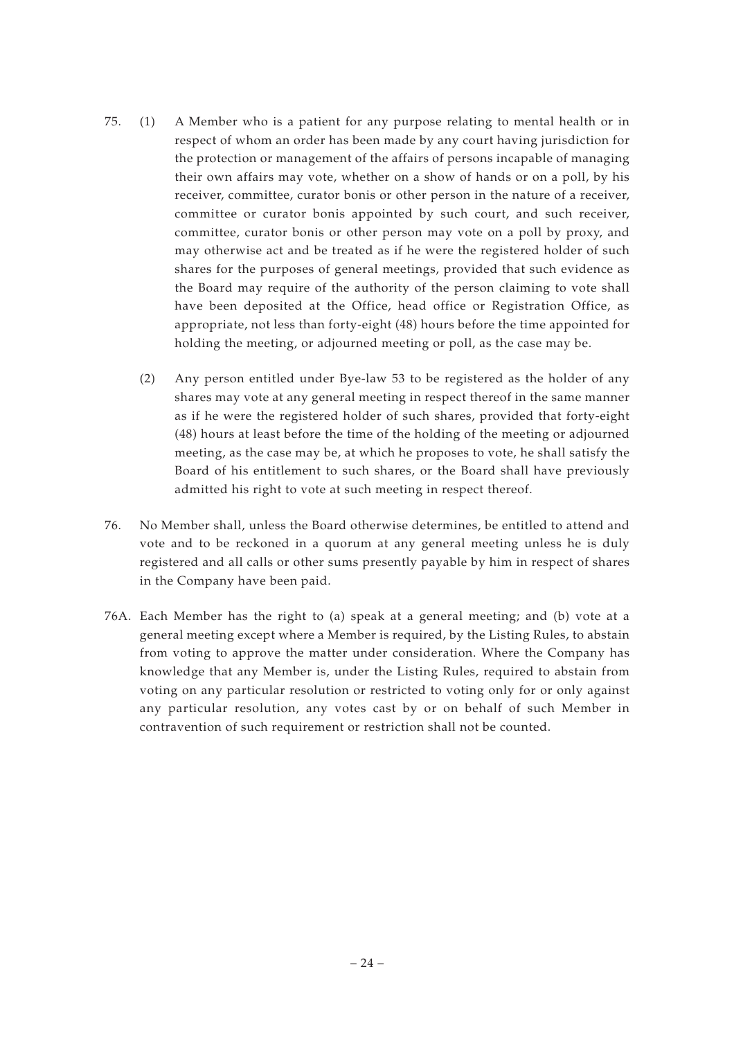- 75. (1) A Member who is a patient for any purpose relating to mental health or in respect of whom an order has been made by any court having jurisdiction for the protection or management of the affairs of persons incapable of managing their own affairs may vote, whether on a show of hands or on a poll, by his receiver, committee, curator bonis or other person in the nature of a receiver, committee or curator bonis appointed by such court, and such receiver, committee, curator bonis or other person may vote on a poll by proxy, and may otherwise act and be treated as if he were the registered holder of such shares for the purposes of general meetings, provided that such evidence as the Board may require of the authority of the person claiming to vote shall have been deposited at the Office, head office or Registration Office, as appropriate, not less than forty-eight (48) hours before the time appointed for holding the meeting, or adjourned meeting or poll, as the case may be.
	- (2) Any person entitled under Bye-law 53 to be registered as the holder of any shares may vote at any general meeting in respect thereof in the same manner as if he were the registered holder of such shares, provided that forty-eight (48) hours at least before the time of the holding of the meeting or adjourned meeting, as the case may be, at which he proposes to vote, he shall satisfy the Board of his entitlement to such shares, or the Board shall have previously admitted his right to vote at such meeting in respect thereof.
- 76. No Member shall, unless the Board otherwise determines, be entitled to attend and vote and to be reckoned in a quorum at any general meeting unless he is duly registered and all calls or other sums presently payable by him in respect of shares in the Company have been paid.
- 76A. Each Member has the right to (a) speak at a general meeting; and (b) vote at a general meeting except where a Member is required, by the Listing Rules, to abstain from voting to approve the matter under consideration. Where the Company has knowledge that any Member is, under the Listing Rules, required to abstain from voting on any particular resolution or restricted to voting only for or only against any particular resolution, any votes cast by or on behalf of such Member in contravention of such requirement or restriction shall not be counted.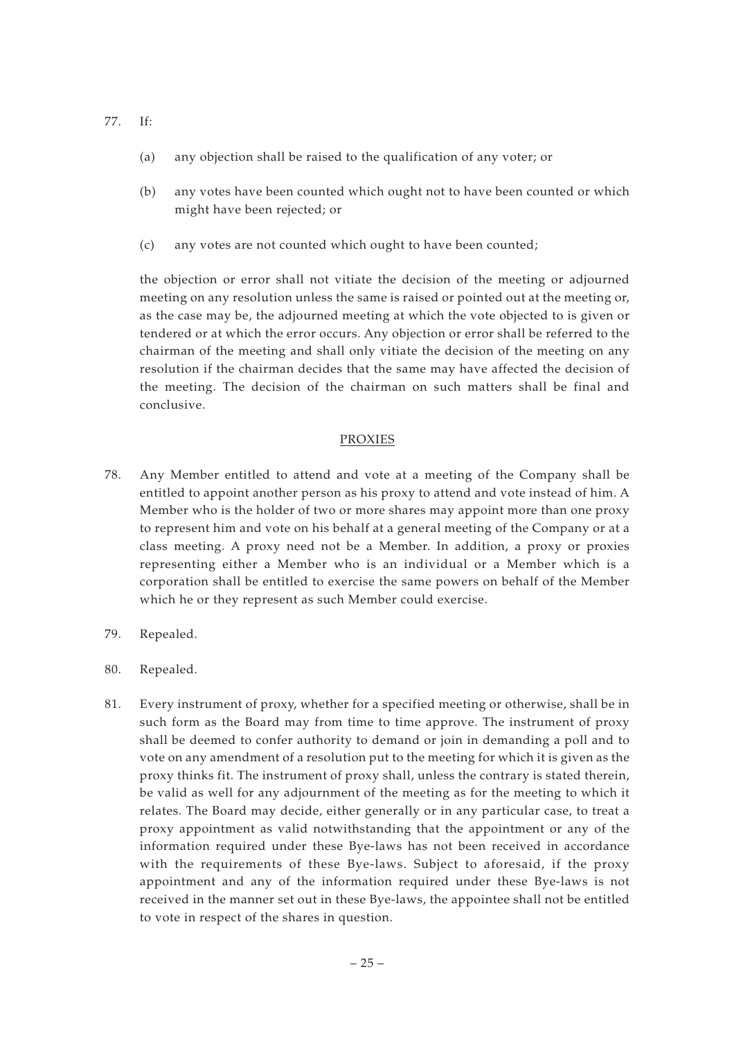- 77. If:
	- (a) any objection shall be raised to the qualification of any voter; or
	- (b) any votes have been counted which ought not to have been counted or which might have been rejected; or
	- (c) any votes are not counted which ought to have been counted;

the objection or error shall not vitiate the decision of the meeting or adjourned meeting on any resolution unless the same is raised or pointed out at the meeting or, as the case may be, the adjourned meeting at which the vote objected to is given or tendered or at which the error occurs. Any objection or error shall be referred to the chairman of the meeting and shall only vitiate the decision of the meeting on any resolution if the chairman decides that the same may have affected the decision of the meeting. The decision of the chairman on such matters shall be final and conclusive.

#### PROXIES

- 78. Any Member entitled to attend and vote at a meeting of the Company shall be entitled to appoint another person as his proxy to attend and vote instead of him. A Member who is the holder of two or more shares may appoint more than one proxy to represent him and vote on his behalf at a general meeting of the Company or at a class meeting. A proxy need not be a Member. In addition, a proxy or proxies representing either a Member who is an individual or a Member which is a corporation shall be entitled to exercise the same powers on behalf of the Member which he or they represent as such Member could exercise.
- 79. Repealed.
- 80. Repealed.
- 81. Every instrument of proxy, whether for a specified meeting or otherwise, shall be in such form as the Board may from time to time approve. The instrument of proxy shall be deemed to confer authority to demand or join in demanding a poll and to vote on any amendment of a resolution put to the meeting for which it is given as the proxy thinks fit. The instrument of proxy shall, unless the contrary is stated therein, be valid as well for any adjournment of the meeting as for the meeting to which it relates. The Board may decide, either generally or in any particular case, to treat a proxy appointment as valid notwithstanding that the appointment or any of the information required under these Bye-laws has not been received in accordance with the requirements of these Bye-laws. Subject to aforesaid, if the proxy appointment and any of the information required under these Bye-laws is not received in the manner set out in these Bye-laws, the appointee shall not be entitled to vote in respect of the shares in question.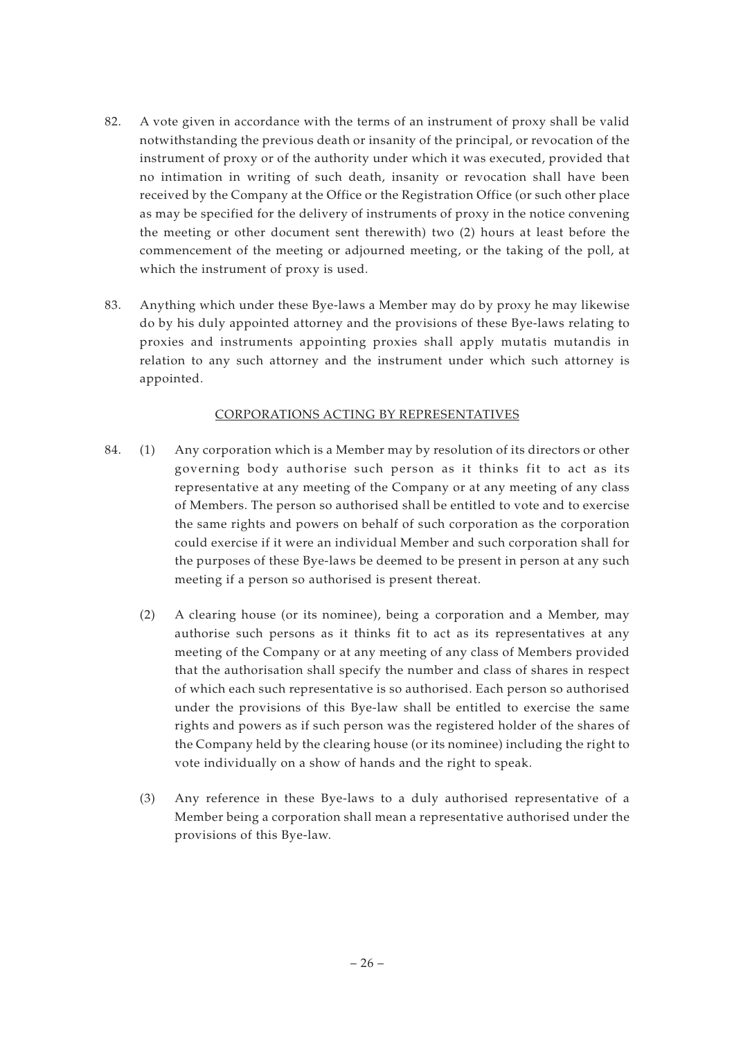- 82. A vote given in accordance with the terms of an instrument of proxy shall be valid notwithstanding the previous death or insanity of the principal, or revocation of the instrument of proxy or of the authority under which it was executed, provided that no intimation in writing of such death, insanity or revocation shall have been received by the Company at the Office or the Registration Office (or such other place as may be specified for the delivery of instruments of proxy in the notice convening the meeting or other document sent therewith) two (2) hours at least before the commencement of the meeting or adjourned meeting, or the taking of the poll, at which the instrument of proxy is used.
- 83. Anything which under these Bye-laws a Member may do by proxy he may likewise do by his duly appointed attorney and the provisions of these Bye-laws relating to proxies and instruments appointing proxies shall apply mutatis mutandis in relation to any such attorney and the instrument under which such attorney is appointed.

## CORPORATIONS ACTING BY REPRESENTATIVES

- 84. (1) Any corporation which is a Member may by resolution of its directors or other governing body authorise such person as it thinks fit to act as its representative at any meeting of the Company or at any meeting of any class of Members. The person so authorised shall be entitled to vote and to exercise the same rights and powers on behalf of such corporation as the corporation could exercise if it were an individual Member and such corporation shall for the purposes of these Bye-laws be deemed to be present in person at any such meeting if a person so authorised is present thereat.
	- (2) A clearing house (or its nominee), being a corporation and a Member, may authorise such persons as it thinks fit to act as its representatives at any meeting of the Company or at any meeting of any class of Members provided that the authorisation shall specify the number and class of shares in respect of which each such representative is so authorised. Each person so authorised under the provisions of this Bye-law shall be entitled to exercise the same rights and powers as if such person was the registered holder of the shares of the Company held by the clearing house (or its nominee) including the right to vote individually on a show of hands and the right to speak.
	- (3) Any reference in these Bye-laws to a duly authorised representative of a Member being a corporation shall mean a representative authorised under the provisions of this Bye-law.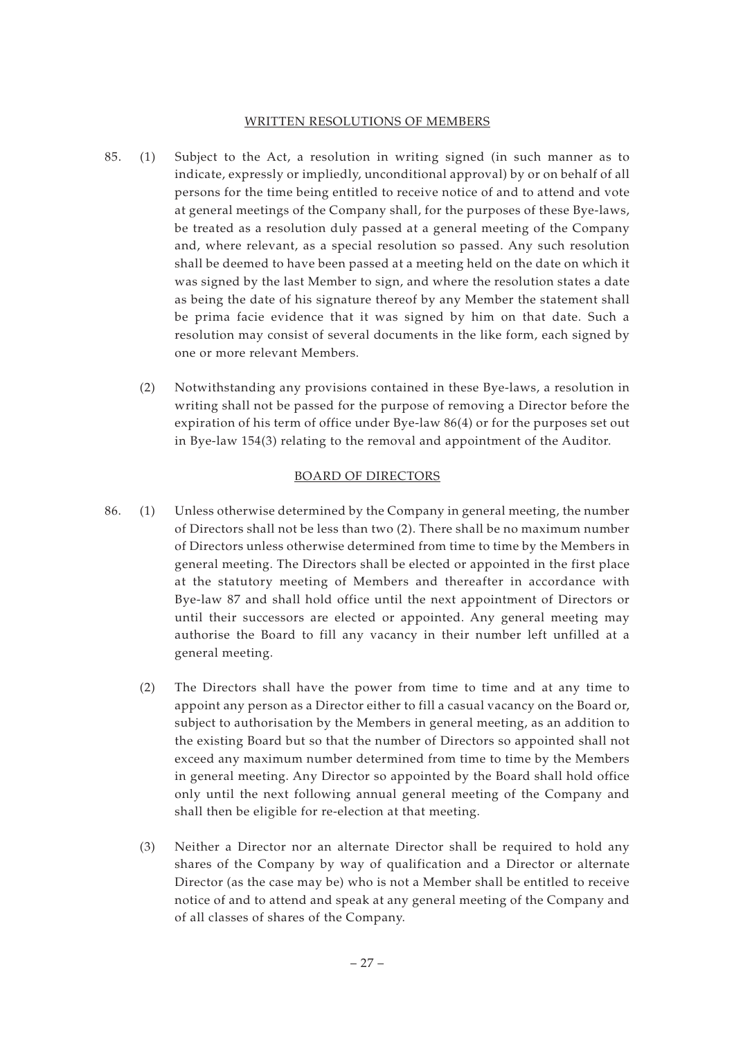## WRITTEN RESOLUTIONS OF MEMBERS

- 85. (1) Subject to the Act, a resolution in writing signed (in such manner as to indicate, expressly or impliedly, unconditional approval) by or on behalf of all persons for the time being entitled to receive notice of and to attend and vote at general meetings of the Company shall, for the purposes of these Bye-laws, be treated as a resolution duly passed at a general meeting of the Company and, where relevant, as a special resolution so passed. Any such resolution shall be deemed to have been passed at a meeting held on the date on which it was signed by the last Member to sign, and where the resolution states a date as being the date of his signature thereof by any Member the statement shall be prima facie evidence that it was signed by him on that date. Such a resolution may consist of several documents in the like form, each signed by one or more relevant Members.
	- (2) Notwithstanding any provisions contained in these Bye-laws, a resolution in writing shall not be passed for the purpose of removing a Director before the expiration of his term of office under Bye-law 86(4) or for the purposes set out in Bye-law 154(3) relating to the removal and appointment of the Auditor.

#### BOARD OF DIRECTORS

- 86. (1) Unless otherwise determined by the Company in general meeting, the number of Directors shall not be less than two (2). There shall be no maximum number of Directors unless otherwise determined from time to time by the Members in general meeting. The Directors shall be elected or appointed in the first place at the statutory meeting of Members and thereafter in accordance with Bye-law 87 and shall hold office until the next appointment of Directors or until their successors are elected or appointed. Any general meeting may authorise the Board to fill any vacancy in their number left unfilled at a general meeting.
	- (2) The Directors shall have the power from time to time and at any time to appoint any person as a Director either to fill a casual vacancy on the Board or, subject to authorisation by the Members in general meeting, as an addition to the existing Board but so that the number of Directors so appointed shall not exceed any maximum number determined from time to time by the Members in general meeting. Any Director so appointed by the Board shall hold office only until the next following annual general meeting of the Company and shall then be eligible for re-election at that meeting.
	- (3) Neither a Director nor an alternate Director shall be required to hold any shares of the Company by way of qualification and a Director or alternate Director (as the case may be) who is not a Member shall be entitled to receive notice of and to attend and speak at any general meeting of the Company and of all classes of shares of the Company.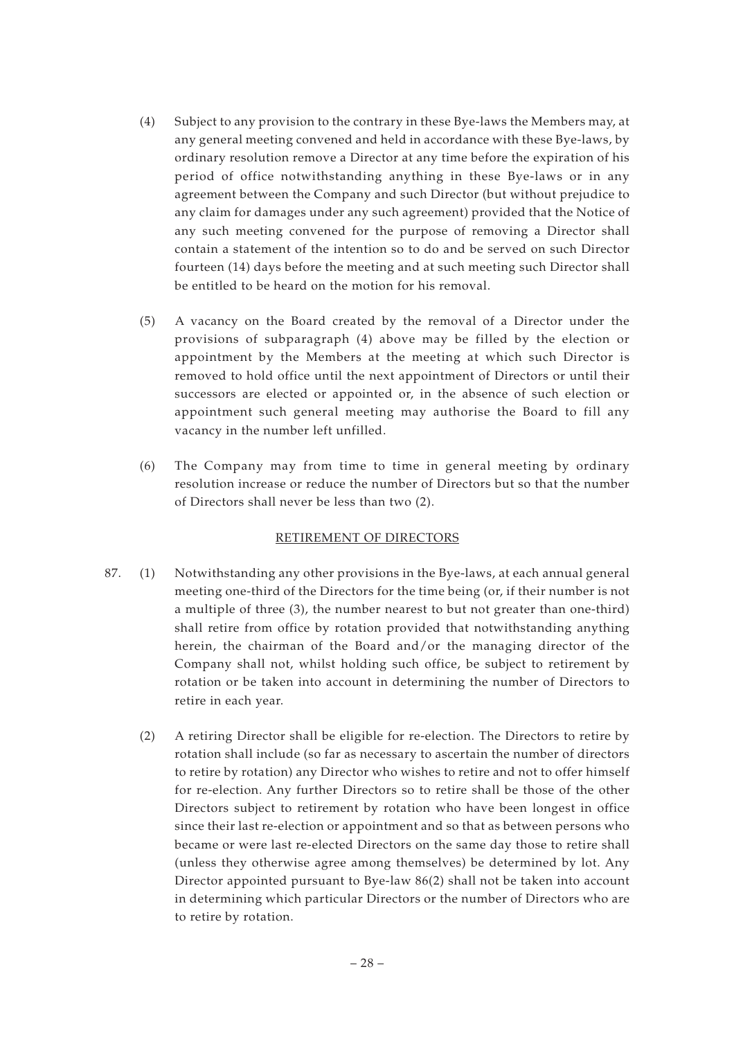- (4) Subject to any provision to the contrary in these Bye-laws the Members may, at any general meeting convened and held in accordance with these Bye-laws, by ordinary resolution remove a Director at any time before the expiration of his period of office notwithstanding anything in these Bye-laws or in any agreement between the Company and such Director (but without prejudice to any claim for damages under any such agreement) provided that the Notice of any such meeting convened for the purpose of removing a Director shall contain a statement of the intention so to do and be served on such Director fourteen (14) days before the meeting and at such meeting such Director shall be entitled to be heard on the motion for his removal.
- (5) A vacancy on the Board created by the removal of a Director under the provisions of subparagraph (4) above may be filled by the election or appointment by the Members at the meeting at which such Director is removed to hold office until the next appointment of Directors or until their successors are elected or appointed or, in the absence of such election or appointment such general meeting may authorise the Board to fill any vacancy in the number left unfilled.
- (6) The Company may from time to time in general meeting by ordinary resolution increase or reduce the number of Directors but so that the number of Directors shall never be less than two (2).

# RETIREMENT OF DIRECTORS

- 87. (1) Notwithstanding any other provisions in the Bye-laws, at each annual general meeting one-third of the Directors for the time being (or, if their number is not a multiple of three (3), the number nearest to but not greater than one-third) shall retire from office by rotation provided that notwithstanding anything herein, the chairman of the Board and/or the managing director of the Company shall not, whilst holding such office, be subject to retirement by rotation or be taken into account in determining the number of Directors to retire in each year.
	- (2) A retiring Director shall be eligible for re-election. The Directors to retire by rotation shall include (so far as necessary to ascertain the number of directors to retire by rotation) any Director who wishes to retire and not to offer himself for re-election. Any further Directors so to retire shall be those of the other Directors subject to retirement by rotation who have been longest in office since their last re-election or appointment and so that as between persons who became or were last re-elected Directors on the same day those to retire shall (unless they otherwise agree among themselves) be determined by lot. Any Director appointed pursuant to Bye-law 86(2) shall not be taken into account in determining which particular Directors or the number of Directors who are to retire by rotation.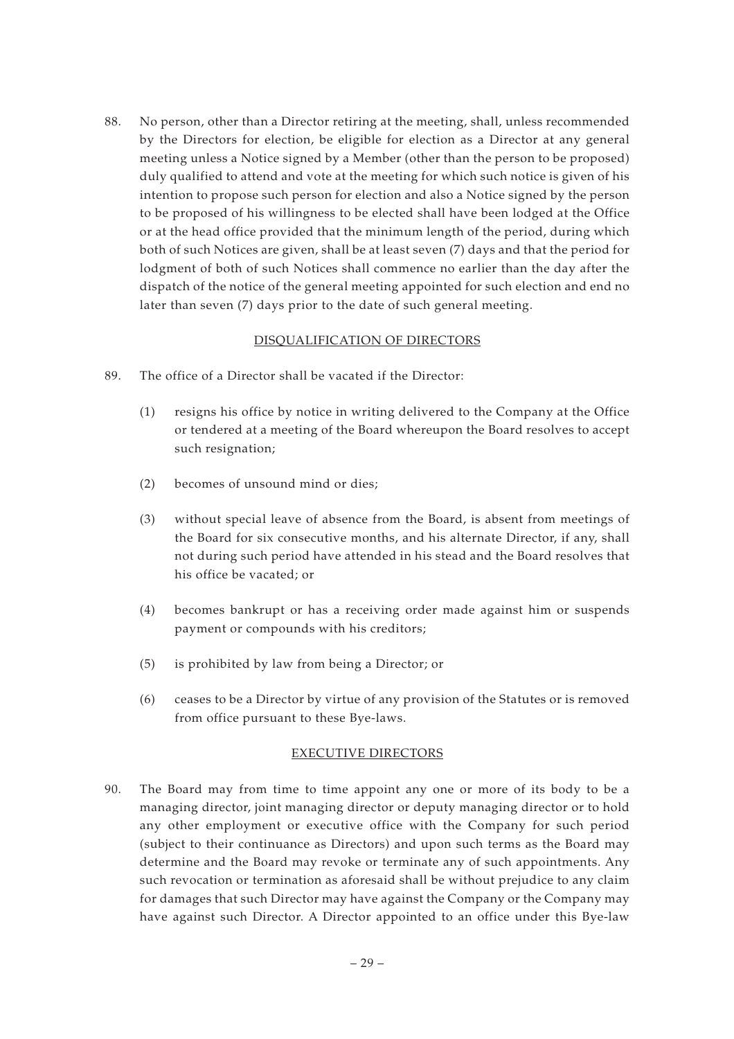88. No person, other than a Director retiring at the meeting, shall, unless recommended by the Directors for election, be eligible for election as a Director at any general meeting unless a Notice signed by a Member (other than the person to be proposed) duly qualified to attend and vote at the meeting for which such notice is given of his intention to propose such person for election and also a Notice signed by the person to be proposed of his willingness to be elected shall have been lodged at the Office or at the head office provided that the minimum length of the period, during which both of such Notices are given, shall be at least seven (7) days and that the period for lodgment of both of such Notices shall commence no earlier than the day after the dispatch of the notice of the general meeting appointed for such election and end no later than seven (7) days prior to the date of such general meeting.

## DISQUALIFICATION OF DIRECTORS

- 89. The office of a Director shall be vacated if the Director:
	- (1) resigns his office by notice in writing delivered to the Company at the Office or tendered at a meeting of the Board whereupon the Board resolves to accept such resignation;
	- (2) becomes of unsound mind or dies;
	- (3) without special leave of absence from the Board, is absent from meetings of the Board for six consecutive months, and his alternate Director, if any, shall not during such period have attended in his stead and the Board resolves that his office be vacated; or
	- (4) becomes bankrupt or has a receiving order made against him or suspends payment or compounds with his creditors;
	- (5) is prohibited by law from being a Director; or
	- (6) ceases to be a Director by virtue of any provision of the Statutes or is removed from office pursuant to these Bye-laws.

## EXECUTIVE DIRECTORS

90. The Board may from time to time appoint any one or more of its body to be a managing director, joint managing director or deputy managing director or to hold any other employment or executive office with the Company for such period (subject to their continuance as Directors) and upon such terms as the Board may determine and the Board may revoke or terminate any of such appointments. Any such revocation or termination as aforesaid shall be without prejudice to any claim for damages that such Director may have against the Company or the Company may have against such Director. A Director appointed to an office under this Bye-law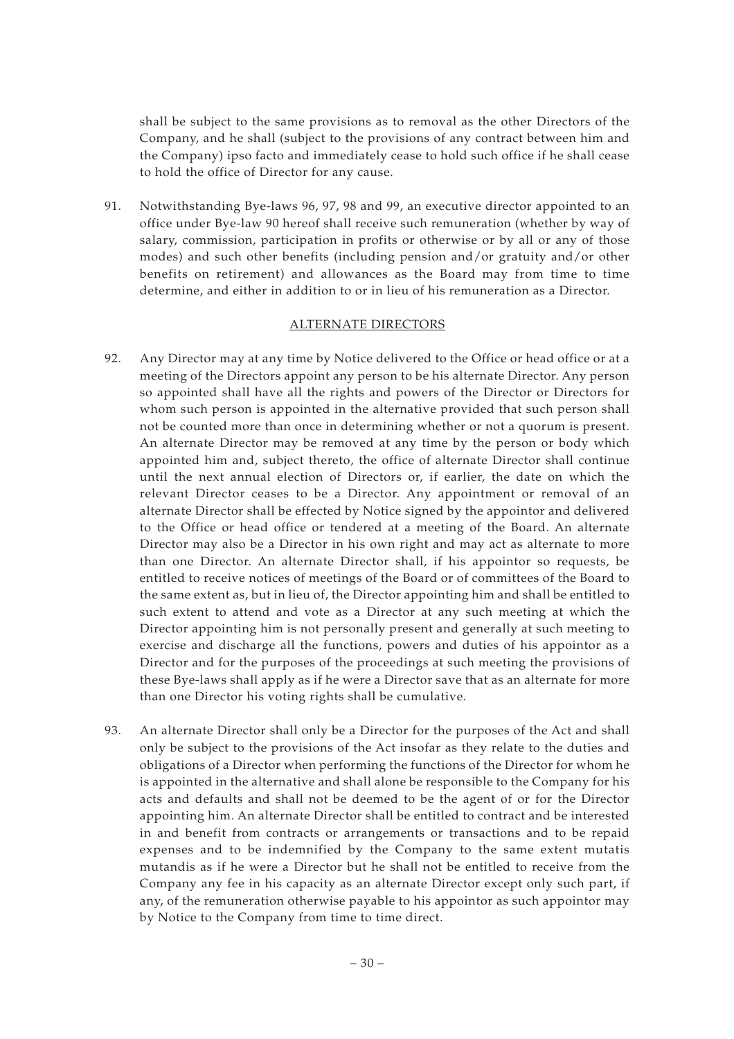shall be subject to the same provisions as to removal as the other Directors of the Company, and he shall (subject to the provisions of any contract between him and the Company) ipso facto and immediately cease to hold such office if he shall cease to hold the office of Director for any cause.

91. Notwithstanding Bye-laws 96, 97, 98 and 99, an executive director appointed to an office under Bye-law 90 hereof shall receive such remuneration (whether by way of salary, commission, participation in profits or otherwise or by all or any of those modes) and such other benefits (including pension and/or gratuity and/or other benefits on retirement) and allowances as the Board may from time to time determine, and either in addition to or in lieu of his remuneration as a Director.

#### ALTERNATE DIRECTORS

- 92. Any Director may at any time by Notice delivered to the Office or head office or at a meeting of the Directors appoint any person to be his alternate Director. Any person so appointed shall have all the rights and powers of the Director or Directors for whom such person is appointed in the alternative provided that such person shall not be counted more than once in determining whether or not a quorum is present. An alternate Director may be removed at any time by the person or body which appointed him and, subject thereto, the office of alternate Director shall continue until the next annual election of Directors or, if earlier, the date on which the relevant Director ceases to be a Director. Any appointment or removal of an alternate Director shall be effected by Notice signed by the appointor and delivered to the Office or head office or tendered at a meeting of the Board. An alternate Director may also be a Director in his own right and may act as alternate to more than one Director. An alternate Director shall, if his appointor so requests, be entitled to receive notices of meetings of the Board or of committees of the Board to the same extent as, but in lieu of, the Director appointing him and shall be entitled to such extent to attend and vote as a Director at any such meeting at which the Director appointing him is not personally present and generally at such meeting to exercise and discharge all the functions, powers and duties of his appointor as a Director and for the purposes of the proceedings at such meeting the provisions of these Bye-laws shall apply as if he were a Director save that as an alternate for more than one Director his voting rights shall be cumulative.
- 93. An alternate Director shall only be a Director for the purposes of the Act and shall only be subject to the provisions of the Act insofar as they relate to the duties and obligations of a Director when performing the functions of the Director for whom he is appointed in the alternative and shall alone be responsible to the Company for his acts and defaults and shall not be deemed to be the agent of or for the Director appointing him. An alternate Director shall be entitled to contract and be interested in and benefit from contracts or arrangements or transactions and to be repaid expenses and to be indemnified by the Company to the same extent mutatis mutandis as if he were a Director but he shall not be entitled to receive from the Company any fee in his capacity as an alternate Director except only such part, if any, of the remuneration otherwise payable to his appointor as such appointor may by Notice to the Company from time to time direct.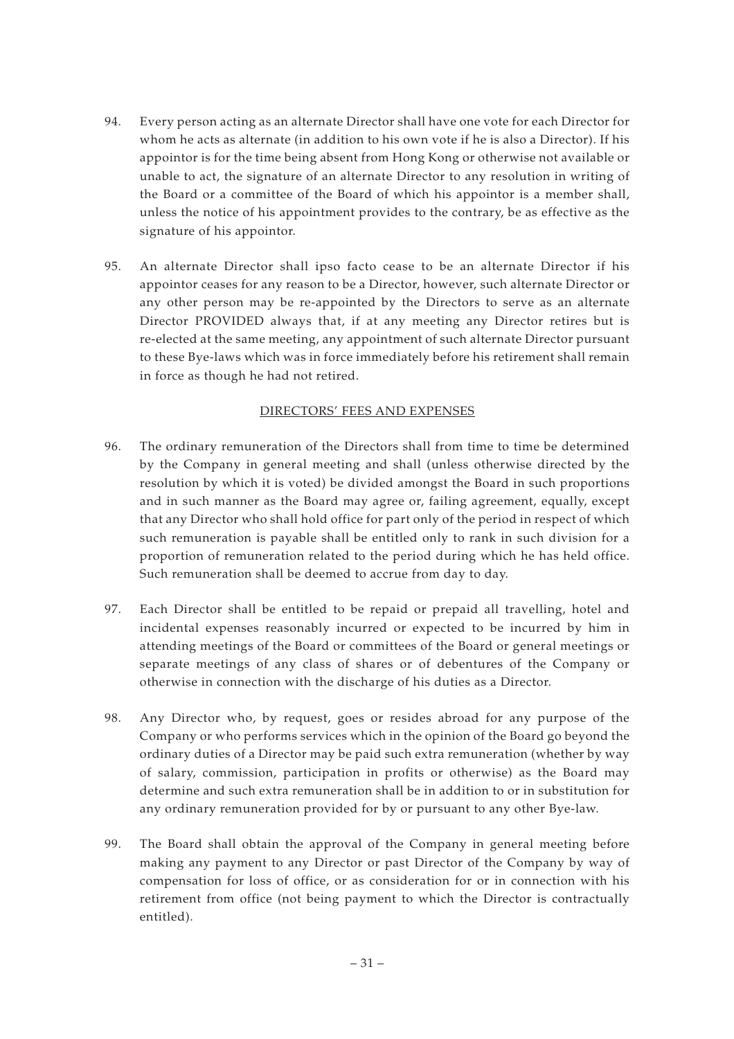- 94. Every person acting as an alternate Director shall have one vote for each Director for whom he acts as alternate (in addition to his own vote if he is also a Director). If his appointor is for the time being absent from Hong Kong or otherwise not available or unable to act, the signature of an alternate Director to any resolution in writing of the Board or a committee of the Board of which his appointor is a member shall, unless the notice of his appointment provides to the contrary, be as effective as the signature of his appointor.
- 95. An alternate Director shall ipso facto cease to be an alternate Director if his appointor ceases for any reason to be a Director, however, such alternate Director or any other person may be re-appointed by the Directors to serve as an alternate Director PROVIDED always that, if at any meeting any Director retires but is re-elected at the same meeting, any appointment of such alternate Director pursuant to these Bye-laws which was in force immediately before his retirement shall remain in force as though he had not retired.

## DIRECTORS' FEES AND EXPENSES

- 96. The ordinary remuneration of the Directors shall from time to time be determined by the Company in general meeting and shall (unless otherwise directed by the resolution by which it is voted) be divided amongst the Board in such proportions and in such manner as the Board may agree or, failing agreement, equally, except that any Director who shall hold office for part only of the period in respect of which such remuneration is payable shall be entitled only to rank in such division for a proportion of remuneration related to the period during which he has held office. Such remuneration shall be deemed to accrue from day to day.
- 97. Each Director shall be entitled to be repaid or prepaid all travelling, hotel and incidental expenses reasonably incurred or expected to be incurred by him in attending meetings of the Board or committees of the Board or general meetings or separate meetings of any class of shares or of debentures of the Company or otherwise in connection with the discharge of his duties as a Director.
- 98. Any Director who, by request, goes or resides abroad for any purpose of the Company or who performs services which in the opinion of the Board go beyond the ordinary duties of a Director may be paid such extra remuneration (whether by way of salary, commission, participation in profits or otherwise) as the Board may determine and such extra remuneration shall be in addition to or in substitution for any ordinary remuneration provided for by or pursuant to any other Bye-law.
- 99. The Board shall obtain the approval of the Company in general meeting before making any payment to any Director or past Director of the Company by way of compensation for loss of office, or as consideration for or in connection with his retirement from office (not being payment to which the Director is contractually entitled).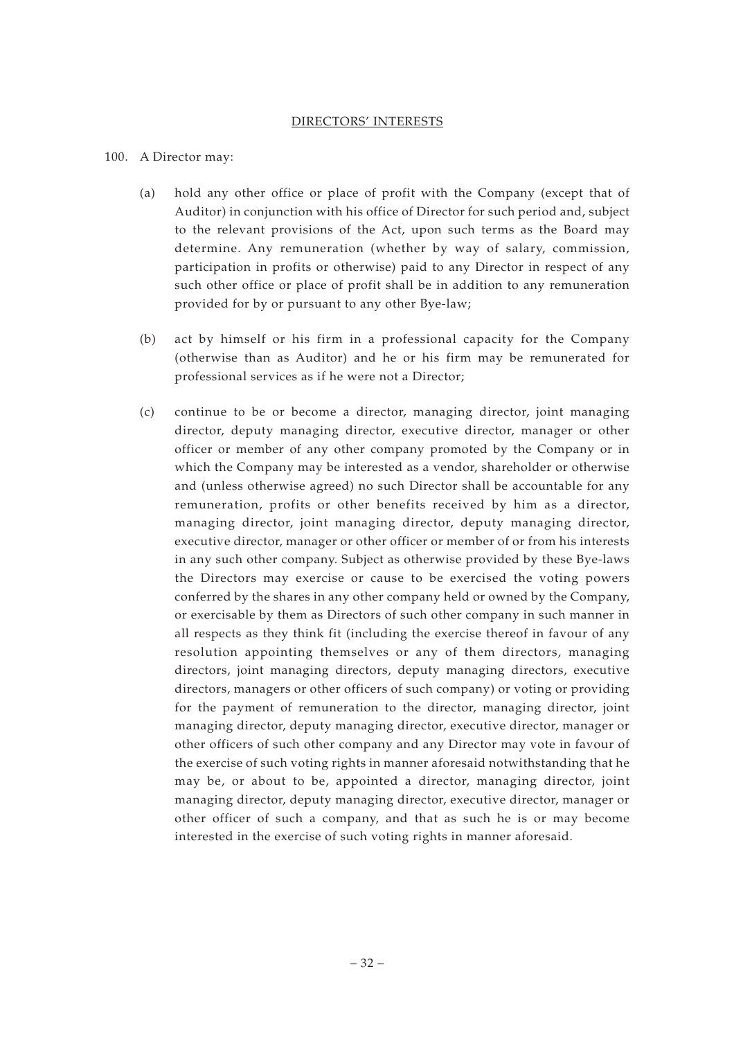#### DIRECTORS' INTERESTS

#### 100. A Director may:

- (a) hold any other office or place of profit with the Company (except that of Auditor) in conjunction with his office of Director for such period and, subject to the relevant provisions of the Act, upon such terms as the Board may determine. Any remuneration (whether by way of salary, commission, participation in profits or otherwise) paid to any Director in respect of any such other office or place of profit shall be in addition to any remuneration provided for by or pursuant to any other Bye-law;
- (b) act by himself or his firm in a professional capacity for the Company (otherwise than as Auditor) and he or his firm may be remunerated for professional services as if he were not a Director;
- (c) continue to be or become a director, managing director, joint managing director, deputy managing director, executive director, manager or other officer or member of any other company promoted by the Company or in which the Company may be interested as a vendor, shareholder or otherwise and (unless otherwise agreed) no such Director shall be accountable for any remuneration, profits or other benefits received by him as a director, managing director, joint managing director, deputy managing director, executive director, manager or other officer or member of or from his interests in any such other company. Subject as otherwise provided by these Bye-laws the Directors may exercise or cause to be exercised the voting powers conferred by the shares in any other company held or owned by the Company, or exercisable by them as Directors of such other company in such manner in all respects as they think fit (including the exercise thereof in favour of any resolution appointing themselves or any of them directors, managing directors, joint managing directors, deputy managing directors, executive directors, managers or other officers of such company) or voting or providing for the payment of remuneration to the director, managing director, joint managing director, deputy managing director, executive director, manager or other officers of such other company and any Director may vote in favour of the exercise of such voting rights in manner aforesaid notwithstanding that he may be, or about to be, appointed a director, managing director, joint managing director, deputy managing director, executive director, manager or other officer of such a company, and that as such he is or may become interested in the exercise of such voting rights in manner aforesaid.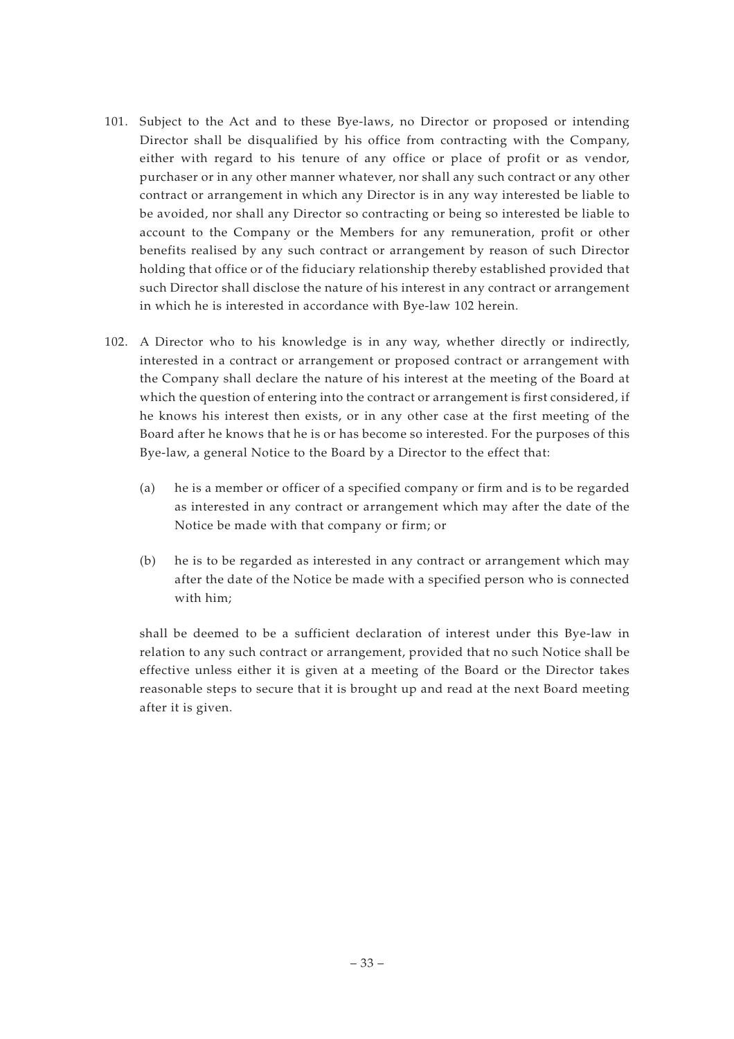- 101. Subject to the Act and to these Bye-laws, no Director or proposed or intending Director shall be disqualified by his office from contracting with the Company, either with regard to his tenure of any office or place of profit or as vendor, purchaser or in any other manner whatever, nor shall any such contract or any other contract or arrangement in which any Director is in any way interested be liable to be avoided, nor shall any Director so contracting or being so interested be liable to account to the Company or the Members for any remuneration, profit or other benefits realised by any such contract or arrangement by reason of such Director holding that office or of the fiduciary relationship thereby established provided that such Director shall disclose the nature of his interest in any contract or arrangement in which he is interested in accordance with Bye-law 102 herein.
- 102. A Director who to his knowledge is in any way, whether directly or indirectly, interested in a contract or arrangement or proposed contract or arrangement with the Company shall declare the nature of his interest at the meeting of the Board at which the question of entering into the contract or arrangement is first considered, if he knows his interest then exists, or in any other case at the first meeting of the Board after he knows that he is or has become so interested. For the purposes of this Bye-law, a general Notice to the Board by a Director to the effect that:
	- (a) he is a member or officer of a specified company or firm and is to be regarded as interested in any contract or arrangement which may after the date of the Notice be made with that company or firm; or
	- (b) he is to be regarded as interested in any contract or arrangement which may after the date of the Notice be made with a specified person who is connected with him;

shall be deemed to be a sufficient declaration of interest under this Bye-law in relation to any such contract or arrangement, provided that no such Notice shall be effective unless either it is given at a meeting of the Board or the Director takes reasonable steps to secure that it is brought up and read at the next Board meeting after it is given.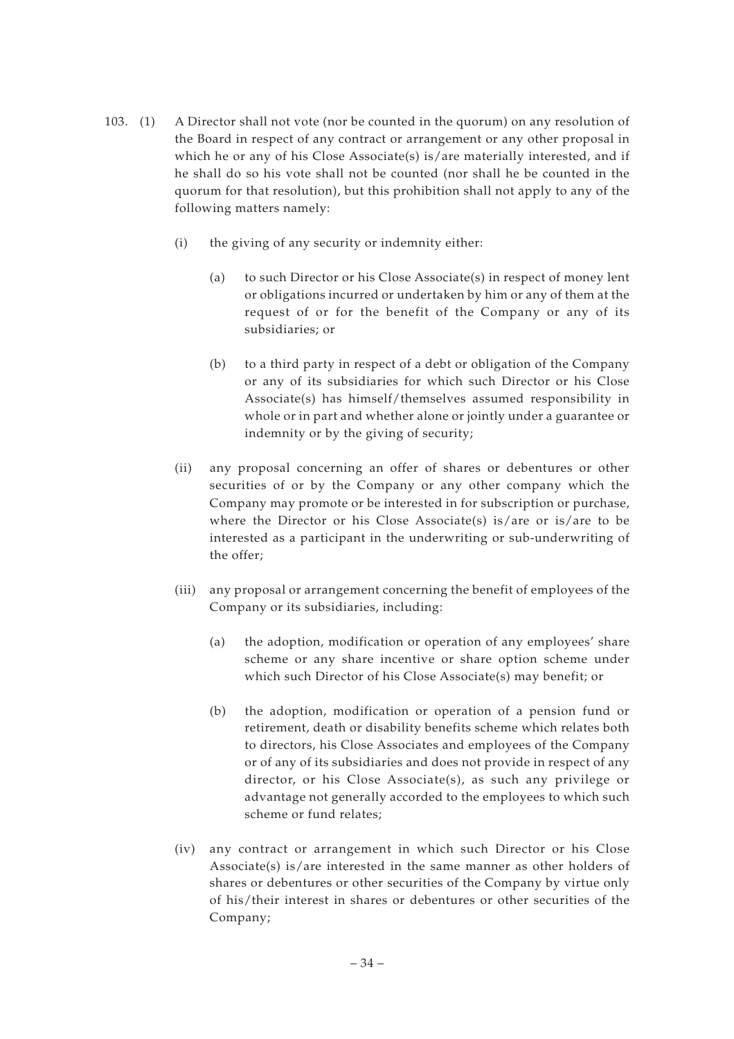- 103. (1) A Director shall not vote (nor be counted in the quorum) on any resolution of the Board in respect of any contract or arrangement or any other proposal in which he or any of his Close Associate(s) is/are materially interested, and if he shall do so his vote shall not be counted (nor shall he be counted in the quorum for that resolution), but this prohibition shall not apply to any of the following matters namely:
	- (i) the giving of any security or indemnity either:
		- (a) to such Director or his Close Associate(s) in respect of money lent or obligations incurred or undertaken by him or any of them at the request of or for the benefit of the Company or any of its subsidiaries; or
		- (b) to a third party in respect of a debt or obligation of the Company or any of its subsidiaries for which such Director or his Close Associate(s) has himself/themselves assumed responsibility in whole or in part and whether alone or jointly under a guarantee or indemnity or by the giving of security;
	- (ii) any proposal concerning an offer of shares or debentures or other securities of or by the Company or any other company which the Company may promote or be interested in for subscription or purchase, where the Director or his Close Associate(s) is/are or is/are to be interested as a participant in the underwriting or sub-underwriting of the offer;
	- (iii) any proposal or arrangement concerning the benefit of employees of the Company or its subsidiaries, including:
		- (a) the adoption, modification or operation of any employees' share scheme or any share incentive or share option scheme under which such Director of his Close Associate(s) may benefit; or
		- (b) the adoption, modification or operation of a pension fund or retirement, death or disability benefits scheme which relates both to directors, his Close Associates and employees of the Company or of any of its subsidiaries and does not provide in respect of any director, or his Close Associate(s), as such any privilege or advantage not generally accorded to the employees to which such scheme or fund relates;
	- (iv) any contract or arrangement in which such Director or his Close Associate(s) is/are interested in the same manner as other holders of shares or debentures or other securities of the Company by virtue only of his/their interest in shares or debentures or other securities of the Company;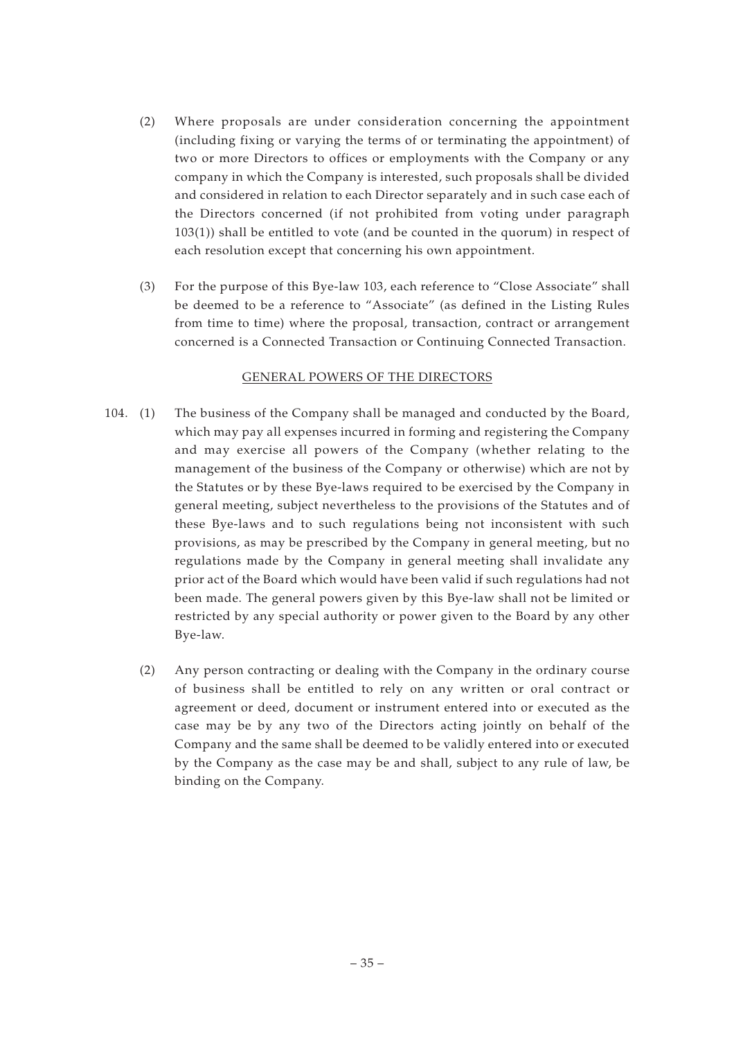- (2) Where proposals are under consideration concerning the appointment (including fixing or varying the terms of or terminating the appointment) of two or more Directors to offices or employments with the Company or any company in which the Company is interested, such proposals shall be divided and considered in relation to each Director separately and in such case each of the Directors concerned (if not prohibited from voting under paragraph 103(1)) shall be entitled to vote (and be counted in the quorum) in respect of each resolution except that concerning his own appointment.
- (3) For the purpose of this Bye-law 103, each reference to "Close Associate" shall be deemed to be a reference to "Associate" (as defined in the Listing Rules from time to time) where the proposal, transaction, contract or arrangement concerned is a Connected Transaction or Continuing Connected Transaction.

## GENERAL POWERS OF THE DIRECTORS

- 104. (1) The business of the Company shall be managed and conducted by the Board, which may pay all expenses incurred in forming and registering the Company and may exercise all powers of the Company (whether relating to the management of the business of the Company or otherwise) which are not by the Statutes or by these Bye-laws required to be exercised by the Company in general meeting, subject nevertheless to the provisions of the Statutes and of these Bye-laws and to such regulations being not inconsistent with such provisions, as may be prescribed by the Company in general meeting, but no regulations made by the Company in general meeting shall invalidate any prior act of the Board which would have been valid if such regulations had not been made. The general powers given by this Bye-law shall not be limited or restricted by any special authority or power given to the Board by any other Bye-law.
	- (2) Any person contracting or dealing with the Company in the ordinary course of business shall be entitled to rely on any written or oral contract or agreement or deed, document or instrument entered into or executed as the case may be by any two of the Directors acting jointly on behalf of the Company and the same shall be deemed to be validly entered into or executed by the Company as the case may be and shall, subject to any rule of law, be binding on the Company.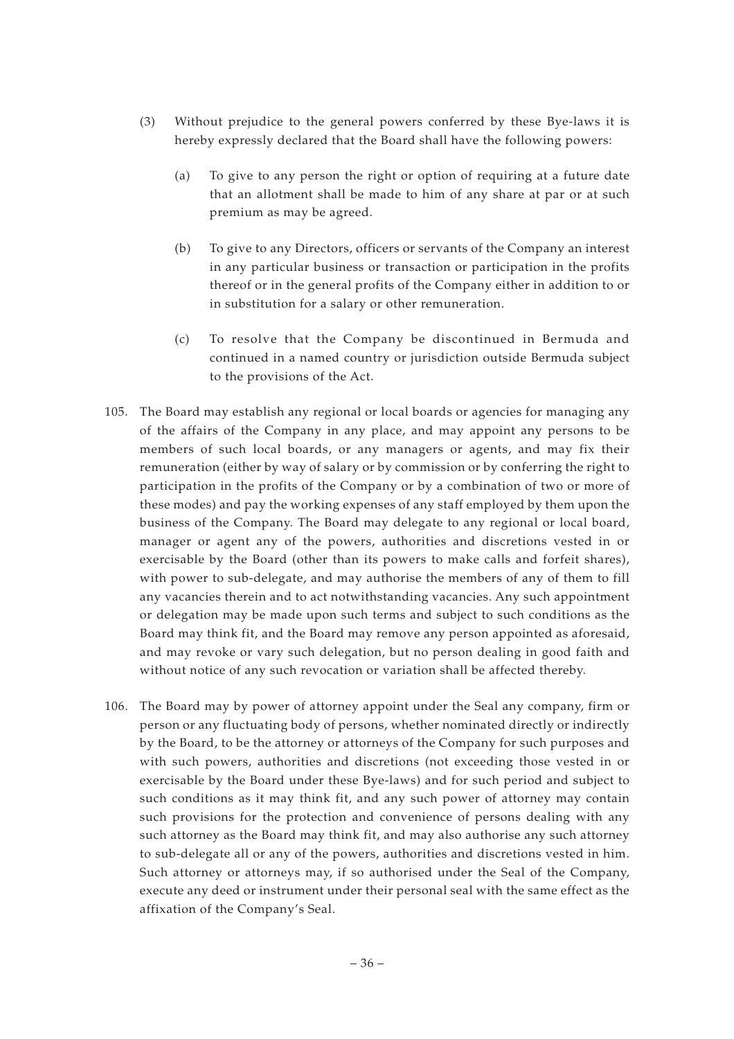- (3) Without prejudice to the general powers conferred by these Bye-laws it is hereby expressly declared that the Board shall have the following powers:
	- (a) To give to any person the right or option of requiring at a future date that an allotment shall be made to him of any share at par or at such premium as may be agreed.
	- (b) To give to any Directors, officers or servants of the Company an interest in any particular business or transaction or participation in the profits thereof or in the general profits of the Company either in addition to or in substitution for a salary or other remuneration.
	- (c) To resolve that the Company be discontinued in Bermuda and continued in a named country or jurisdiction outside Bermuda subject to the provisions of the Act.
- 105. The Board may establish any regional or local boards or agencies for managing any of the affairs of the Company in any place, and may appoint any persons to be members of such local boards, or any managers or agents, and may fix their remuneration (either by way of salary or by commission or by conferring the right to participation in the profits of the Company or by a combination of two or more of these modes) and pay the working expenses of any staff employed by them upon the business of the Company. The Board may delegate to any regional or local board, manager or agent any of the powers, authorities and discretions vested in or exercisable by the Board (other than its powers to make calls and forfeit shares), with power to sub-delegate, and may authorise the members of any of them to fill any vacancies therein and to act notwithstanding vacancies. Any such appointment or delegation may be made upon such terms and subject to such conditions as the Board may think fit, and the Board may remove any person appointed as aforesaid, and may revoke or vary such delegation, but no person dealing in good faith and without notice of any such revocation or variation shall be affected thereby.
- 106. The Board may by power of attorney appoint under the Seal any company, firm or person or any fluctuating body of persons, whether nominated directly or indirectly by the Board, to be the attorney or attorneys of the Company for such purposes and with such powers, authorities and discretions (not exceeding those vested in or exercisable by the Board under these Bye-laws) and for such period and subject to such conditions as it may think fit, and any such power of attorney may contain such provisions for the protection and convenience of persons dealing with any such attorney as the Board may think fit, and may also authorise any such attorney to sub-delegate all or any of the powers, authorities and discretions vested in him. Such attorney or attorneys may, if so authorised under the Seal of the Company, execute any deed or instrument under their personal seal with the same effect as the affixation of the Company's Seal.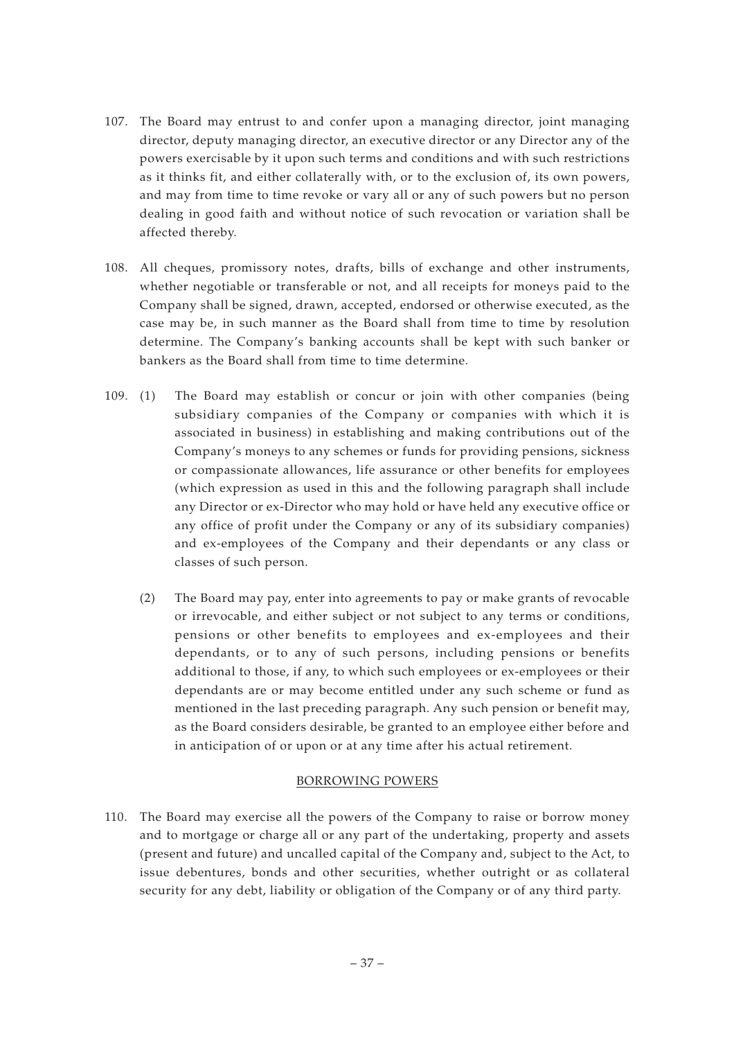- 107. The Board may entrust to and confer upon a managing director, joint managing director, deputy managing director, an executive director or any Director any of the powers exercisable by it upon such terms and conditions and with such restrictions as it thinks fit, and either collaterally with, or to the exclusion of, its own powers, and may from time to time revoke or vary all or any of such powers but no person dealing in good faith and without notice of such revocation or variation shall be affected thereby.
- 108. All cheques, promissory notes, drafts, bills of exchange and other instruments, whether negotiable or transferable or not, and all receipts for moneys paid to the Company shall be signed, drawn, accepted, endorsed or otherwise executed, as the case may be, in such manner as the Board shall from time to time by resolution determine. The Company's banking accounts shall be kept with such banker or bankers as the Board shall from time to time determine.
- 109. (1) The Board may establish or concur or join with other companies (being subsidiary companies of the Company or companies with which it is associated in business) in establishing and making contributions out of the Company's moneys to any schemes or funds for providing pensions, sickness or compassionate allowances, life assurance or other benefits for employees (which expression as used in this and the following paragraph shall include any Director or ex-Director who may hold or have held any executive office or any office of profit under the Company or any of its subsidiary companies) and ex-employees of the Company and their dependants or any class or classes of such person.
	- (2) The Board may pay, enter into agreements to pay or make grants of revocable or irrevocable, and either subject or not subject to any terms or conditions, pensions or other benefits to employees and ex-employees and their dependants, or to any of such persons, including pensions or benefits additional to those, if any, to which such employees or ex-employees or their dependants are or may become entitled under any such scheme or fund as mentioned in the last preceding paragraph. Any such pension or benefit may, as the Board considers desirable, be granted to an employee either before and in anticipation of or upon or at any time after his actual retirement.

## BORROWING POWERS

110. The Board may exercise all the powers of the Company to raise or borrow money and to mortgage or charge all or any part of the undertaking, property and assets (present and future) and uncalled capital of the Company and, subject to the Act, to issue debentures, bonds and other securities, whether outright or as collateral security for any debt, liability or obligation of the Company or of any third party.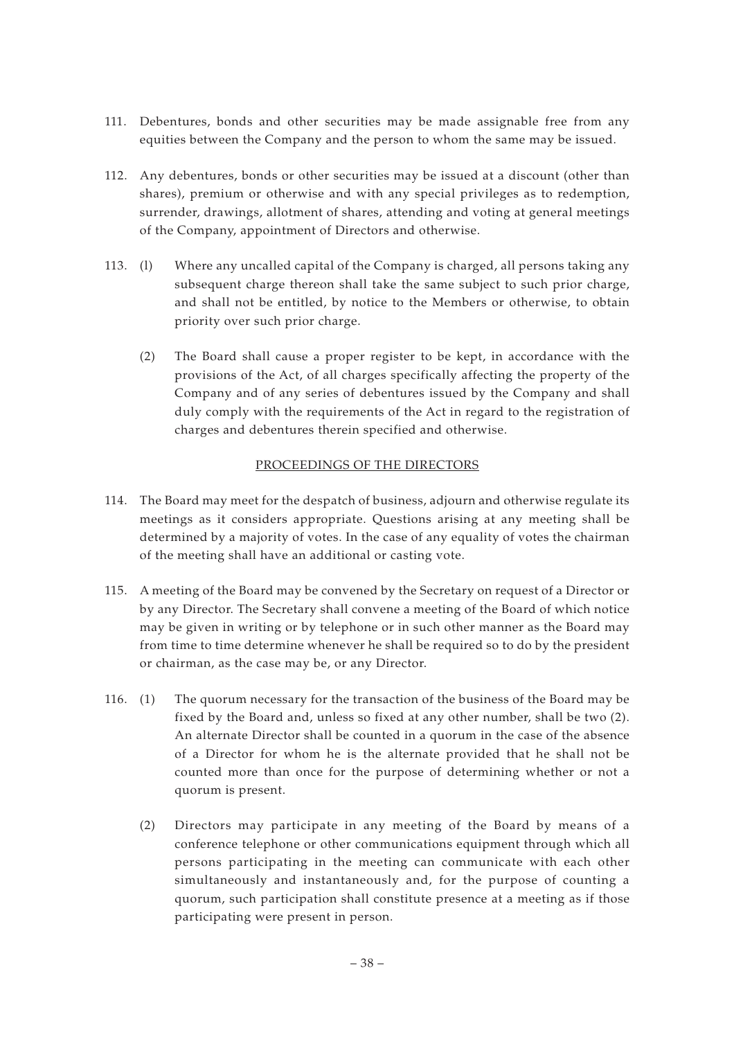- 111. Debentures, bonds and other securities may be made assignable free from any equities between the Company and the person to whom the same may be issued.
- 112. Any debentures, bonds or other securities may be issued at a discount (other than shares), premium or otherwise and with any special privileges as to redemption, surrender, drawings, allotment of shares, attending and voting at general meetings of the Company, appointment of Directors and otherwise.
- 113. (l) Where any uncalled capital of the Company is charged, all persons taking any subsequent charge thereon shall take the same subject to such prior charge, and shall not be entitled, by notice to the Members or otherwise, to obtain priority over such prior charge.
	- (2) The Board shall cause a proper register to be kept, in accordance with the provisions of the Act, of all charges specifically affecting the property of the Company and of any series of debentures issued by the Company and shall duly comply with the requirements of the Act in regard to the registration of charges and debentures therein specified and otherwise.

# PROCEEDINGS OF THE DIRECTORS

- 114. The Board may meet for the despatch of business, adjourn and otherwise regulate its meetings as it considers appropriate. Questions arising at any meeting shall be determined by a majority of votes. In the case of any equality of votes the chairman of the meeting shall have an additional or casting vote.
- 115. A meeting of the Board may be convened by the Secretary on request of a Director or by any Director. The Secretary shall convene a meeting of the Board of which notice may be given in writing or by telephone or in such other manner as the Board may from time to time determine whenever he shall be required so to do by the president or chairman, as the case may be, or any Director.
- 116. (1) The quorum necessary for the transaction of the business of the Board may be fixed by the Board and, unless so fixed at any other number, shall be two (2). An alternate Director shall be counted in a quorum in the case of the absence of a Director for whom he is the alternate provided that he shall not be counted more than once for the purpose of determining whether or not a quorum is present.
	- (2) Directors may participate in any meeting of the Board by means of a conference telephone or other communications equipment through which all persons participating in the meeting can communicate with each other simultaneously and instantaneously and, for the purpose of counting a quorum, such participation shall constitute presence at a meeting as if those participating were present in person.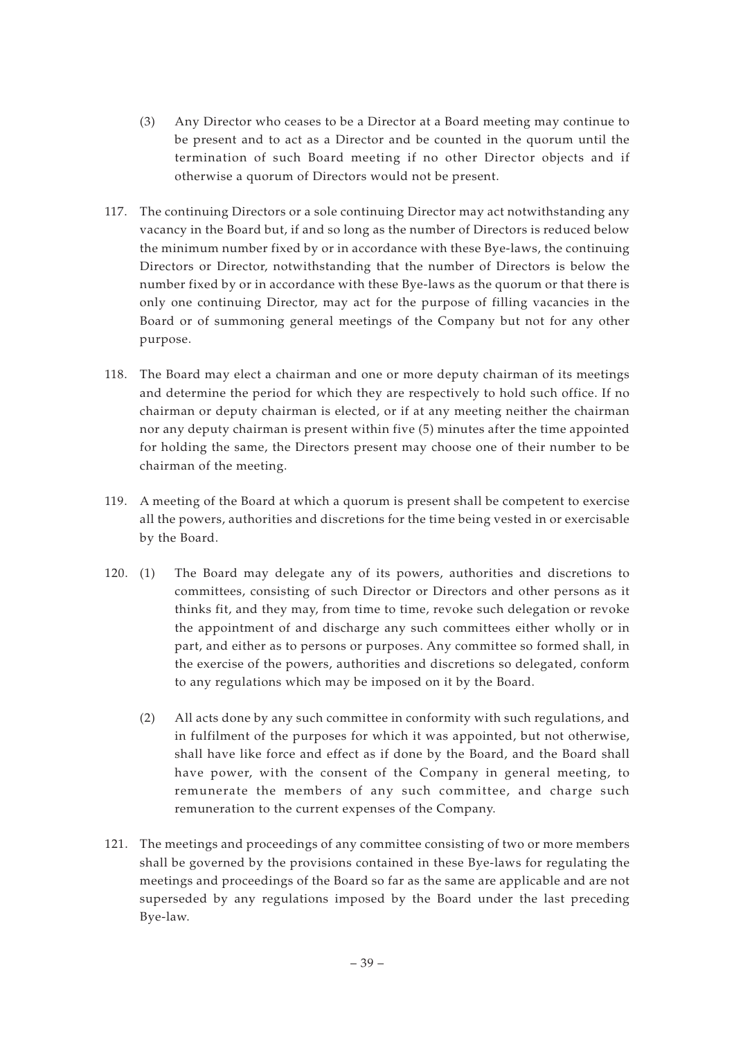- (3) Any Director who ceases to be a Director at a Board meeting may continue to be present and to act as a Director and be counted in the quorum until the termination of such Board meeting if no other Director objects and if otherwise a quorum of Directors would not be present.
- 117. The continuing Directors or a sole continuing Director may act notwithstanding any vacancy in the Board but, if and so long as the number of Directors is reduced below the minimum number fixed by or in accordance with these Bye-laws, the continuing Directors or Director, notwithstanding that the number of Directors is below the number fixed by or in accordance with these Bye-laws as the quorum or that there is only one continuing Director, may act for the purpose of filling vacancies in the Board or of summoning general meetings of the Company but not for any other purpose.
- 118. The Board may elect a chairman and one or more deputy chairman of its meetings and determine the period for which they are respectively to hold such office. If no chairman or deputy chairman is elected, or if at any meeting neither the chairman nor any deputy chairman is present within five (5) minutes after the time appointed for holding the same, the Directors present may choose one of their number to be chairman of the meeting.
- 119. A meeting of the Board at which a quorum is present shall be competent to exercise all the powers, authorities and discretions for the time being vested in or exercisable by the Board.
- 120. (1) The Board may delegate any of its powers, authorities and discretions to committees, consisting of such Director or Directors and other persons as it thinks fit, and they may, from time to time, revoke such delegation or revoke the appointment of and discharge any such committees either wholly or in part, and either as to persons or purposes. Any committee so formed shall, in the exercise of the powers, authorities and discretions so delegated, conform to any regulations which may be imposed on it by the Board.
	- (2) All acts done by any such committee in conformity with such regulations, and in fulfilment of the purposes for which it was appointed, but not otherwise, shall have like force and effect as if done by the Board, and the Board shall have power, with the consent of the Company in general meeting, to remunerate the members of any such committee, and charge such remuneration to the current expenses of the Company.
- 121. The meetings and proceedings of any committee consisting of two or more members shall be governed by the provisions contained in these Bye-laws for regulating the meetings and proceedings of the Board so far as the same are applicable and are not superseded by any regulations imposed by the Board under the last preceding Bye-law.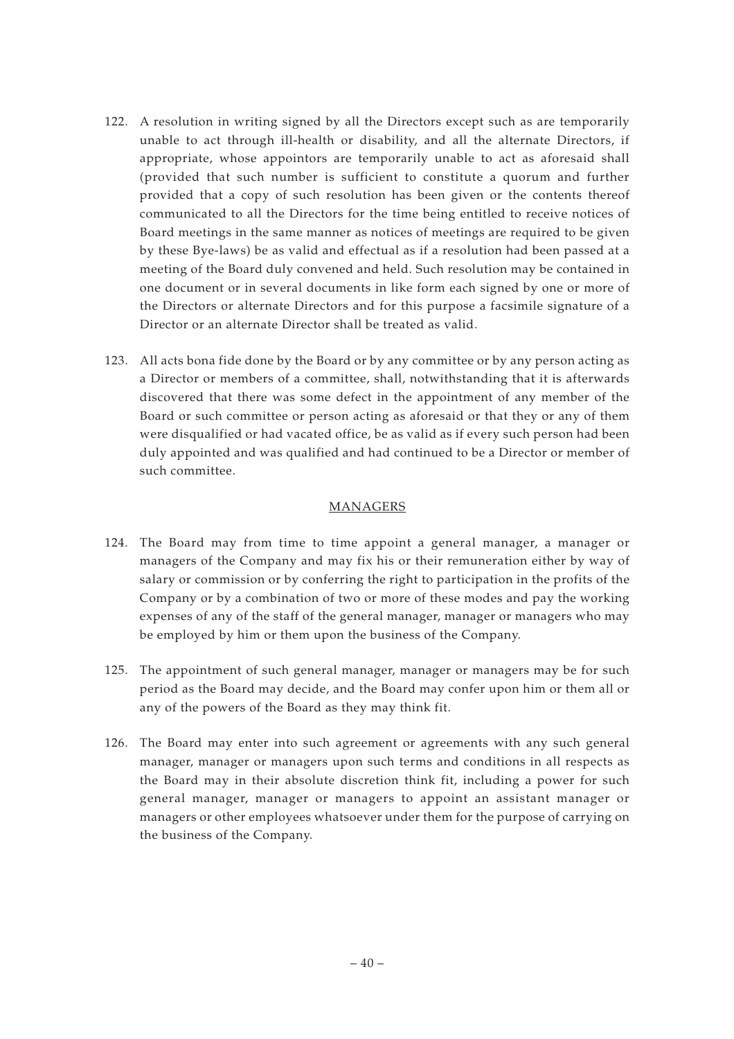- 122. A resolution in writing signed by all the Directors except such as are temporarily unable to act through ill-health or disability, and all the alternate Directors, if appropriate, whose appointors are temporarily unable to act as aforesaid shall (provided that such number is sufficient to constitute a quorum and further provided that a copy of such resolution has been given or the contents thereof communicated to all the Directors for the time being entitled to receive notices of Board meetings in the same manner as notices of meetings are required to be given by these Bye-laws) be as valid and effectual as if a resolution had been passed at a meeting of the Board duly convened and held. Such resolution may be contained in one document or in several documents in like form each signed by one or more of the Directors or alternate Directors and for this purpose a facsimile signature of a Director or an alternate Director shall be treated as valid.
- 123. All acts bona fide done by the Board or by any committee or by any person acting as a Director or members of a committee, shall, notwithstanding that it is afterwards discovered that there was some defect in the appointment of any member of the Board or such committee or person acting as aforesaid or that they or any of them were disqualified or had vacated office, be as valid as if every such person had been duly appointed and was qualified and had continued to be a Director or member of such committee.

# MANAGERS

- 124. The Board may from time to time appoint a general manager, a manager or managers of the Company and may fix his or their remuneration either by way of salary or commission or by conferring the right to participation in the profits of the Company or by a combination of two or more of these modes and pay the working expenses of any of the staff of the general manager, manager or managers who may be employed by him or them upon the business of the Company.
- 125. The appointment of such general manager, manager or managers may be for such period as the Board may decide, and the Board may confer upon him or them all or any of the powers of the Board as they may think fit.
- 126. The Board may enter into such agreement or agreements with any such general manager, manager or managers upon such terms and conditions in all respects as the Board may in their absolute discretion think fit, including a power for such general manager, manager or managers to appoint an assistant manager or managers or other employees whatsoever under them for the purpose of carrying on the business of the Company.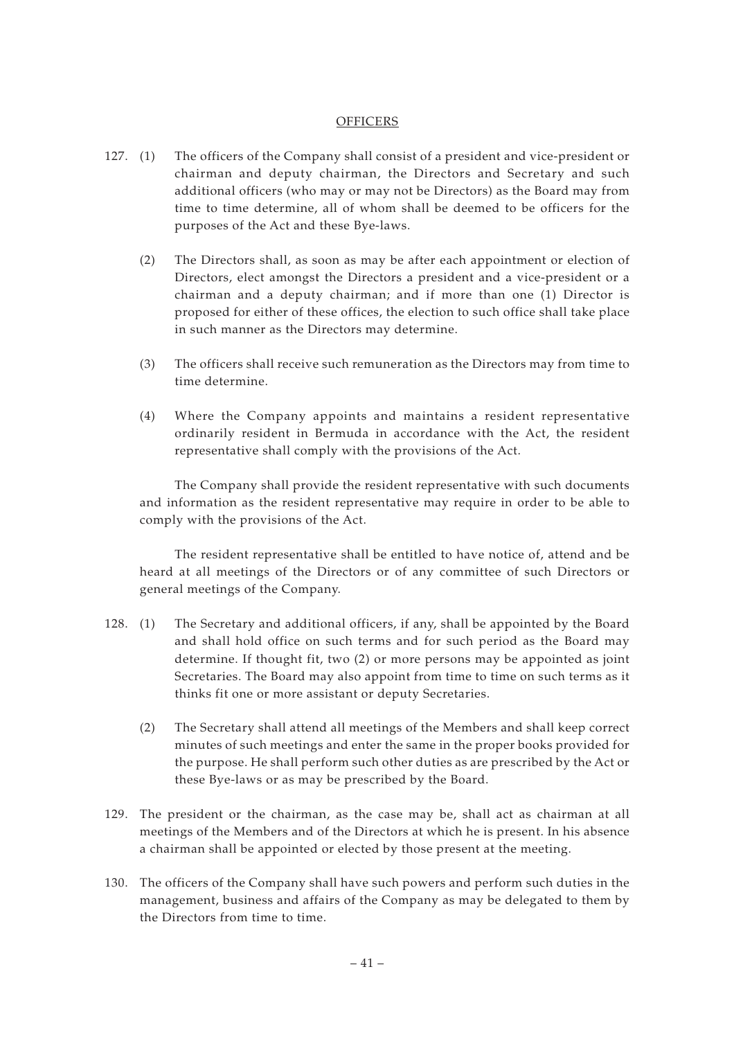#### **OFFICERS**

- 127. (1) The officers of the Company shall consist of a president and vice-president or chairman and deputy chairman, the Directors and Secretary and such additional officers (who may or may not be Directors) as the Board may from time to time determine, all of whom shall be deemed to be officers for the purposes of the Act and these Bye-laws.
	- (2) The Directors shall, as soon as may be after each appointment or election of Directors, elect amongst the Directors a president and a vice-president or a chairman and a deputy chairman; and if more than one (1) Director is proposed for either of these offices, the election to such office shall take place in such manner as the Directors may determine.
	- (3) The officers shall receive such remuneration as the Directors may from time to time determine.
	- (4) Where the Company appoints and maintains a resident representative ordinarily resident in Bermuda in accordance with the Act, the resident representative shall comply with the provisions of the Act.

The Company shall provide the resident representative with such documents and information as the resident representative may require in order to be able to comply with the provisions of the Act.

The resident representative shall be entitled to have notice of, attend and be heard at all meetings of the Directors or of any committee of such Directors or general meetings of the Company.

- 128. (1) The Secretary and additional officers, if any, shall be appointed by the Board and shall hold office on such terms and for such period as the Board may determine. If thought fit, two (2) or more persons may be appointed as joint Secretaries. The Board may also appoint from time to time on such terms as it thinks fit one or more assistant or deputy Secretaries.
	- (2) The Secretary shall attend all meetings of the Members and shall keep correct minutes of such meetings and enter the same in the proper books provided for the purpose. He shall perform such other duties as are prescribed by the Act or these Bye-laws or as may be prescribed by the Board.
- 129. The president or the chairman, as the case may be, shall act as chairman at all meetings of the Members and of the Directors at which he is present. In his absence a chairman shall be appointed or elected by those present at the meeting.
- 130. The officers of the Company shall have such powers and perform such duties in the management, business and affairs of the Company as may be delegated to them by the Directors from time to time.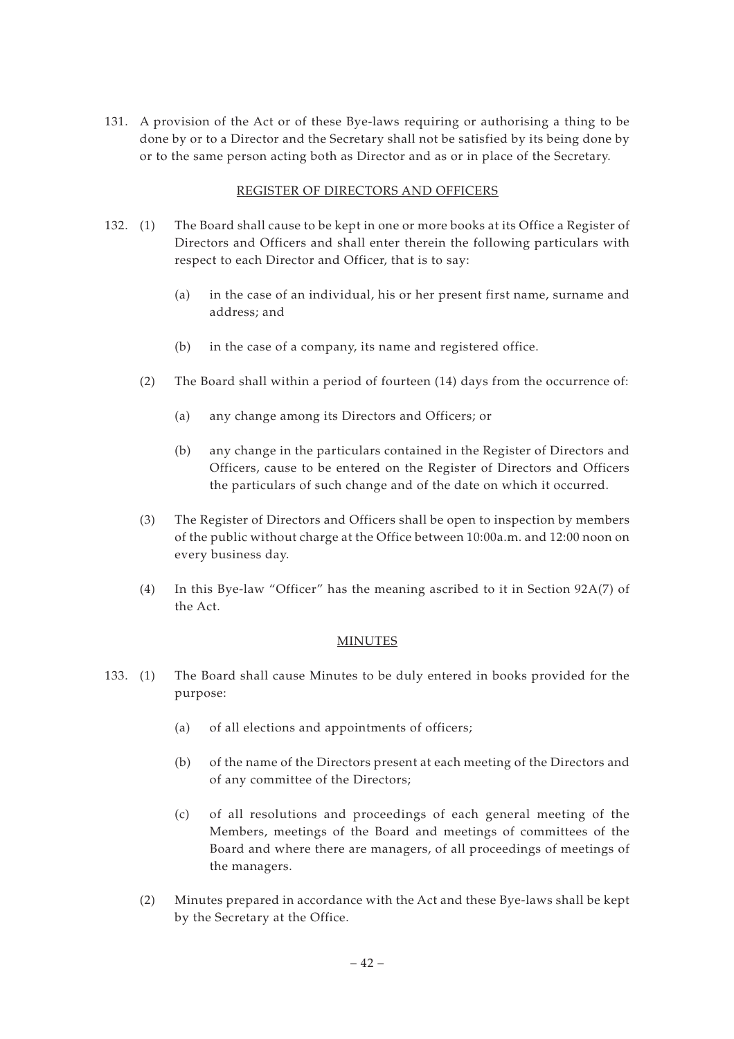131. A provision of the Act or of these Bye-laws requiring or authorising a thing to be done by or to a Director and the Secretary shall not be satisfied by its being done by or to the same person acting both as Director and as or in place of the Secretary.

## REGISTER OF DIRECTORS AND OFFICERS

- 132. (1) The Board shall cause to be kept in one or more books at its Office a Register of Directors and Officers and shall enter therein the following particulars with respect to each Director and Officer, that is to say:
	- (a) in the case of an individual, his or her present first name, surname and address; and
	- (b) in the case of a company, its name and registered office.
	- (2) The Board shall within a period of fourteen (14) days from the occurrence of:
		- (a) any change among its Directors and Officers; or
		- (b) any change in the particulars contained in the Register of Directors and Officers, cause to be entered on the Register of Directors and Officers the particulars of such change and of the date on which it occurred.
	- (3) The Register of Directors and Officers shall be open to inspection by members of the public without charge at the Office between 10:00a.m. and 12:00 noon on every business day.
	- (4) In this Bye-law "Officer" has the meaning ascribed to it in Section 92A(7) of the Act.

## MINUTES

- 133. (1) The Board shall cause Minutes to be duly entered in books provided for the purpose:
	- (a) of all elections and appointments of officers;
	- (b) of the name of the Directors present at each meeting of the Directors and of any committee of the Directors;
	- (c) of all resolutions and proceedings of each general meeting of the Members, meetings of the Board and meetings of committees of the Board and where there are managers, of all proceedings of meetings of the managers.
	- (2) Minutes prepared in accordance with the Act and these Bye-laws shall be kept by the Secretary at the Office.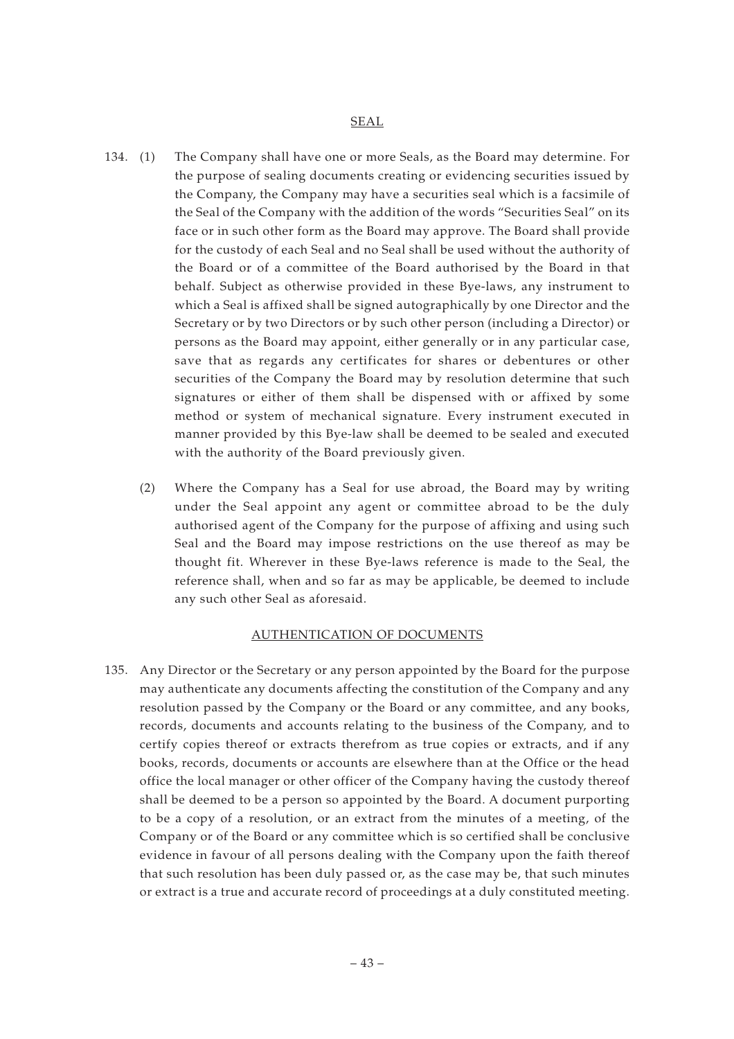#### SEAL

- 134. (1) The Company shall have one or more Seals, as the Board may determine. For the purpose of sealing documents creating or evidencing securities issued by the Company, the Company may have a securities seal which is a facsimile of the Seal of the Company with the addition of the words "Securities Seal" on its face or in such other form as the Board may approve. The Board shall provide for the custody of each Seal and no Seal shall be used without the authority of the Board or of a committee of the Board authorised by the Board in that behalf. Subject as otherwise provided in these Bye-laws, any instrument to which a Seal is affixed shall be signed autographically by one Director and the Secretary or by two Directors or by such other person (including a Director) or persons as the Board may appoint, either generally or in any particular case, save that as regards any certificates for shares or debentures or other securities of the Company the Board may by resolution determine that such signatures or either of them shall be dispensed with or affixed by some method or system of mechanical signature. Every instrument executed in manner provided by this Bye-law shall be deemed to be sealed and executed with the authority of the Board previously given.
	- (2) Where the Company has a Seal for use abroad, the Board may by writing under the Seal appoint any agent or committee abroad to be the duly authorised agent of the Company for the purpose of affixing and using such Seal and the Board may impose restrictions on the use thereof as may be thought fit. Wherever in these Bye-laws reference is made to the Seal, the reference shall, when and so far as may be applicable, be deemed to include any such other Seal as aforesaid.

#### AUTHENTICATION OF DOCUMENTS

135. Any Director or the Secretary or any person appointed by the Board for the purpose may authenticate any documents affecting the constitution of the Company and any resolution passed by the Company or the Board or any committee, and any books, records, documents and accounts relating to the business of the Company, and to certify copies thereof or extracts therefrom as true copies or extracts, and if any books, records, documents or accounts are elsewhere than at the Office or the head office the local manager or other officer of the Company having the custody thereof shall be deemed to be a person so appointed by the Board. A document purporting to be a copy of a resolution, or an extract from the minutes of a meeting, of the Company or of the Board or any committee which is so certified shall be conclusive evidence in favour of all persons dealing with the Company upon the faith thereof that such resolution has been duly passed or, as the case may be, that such minutes or extract is a true and accurate record of proceedings at a duly constituted meeting.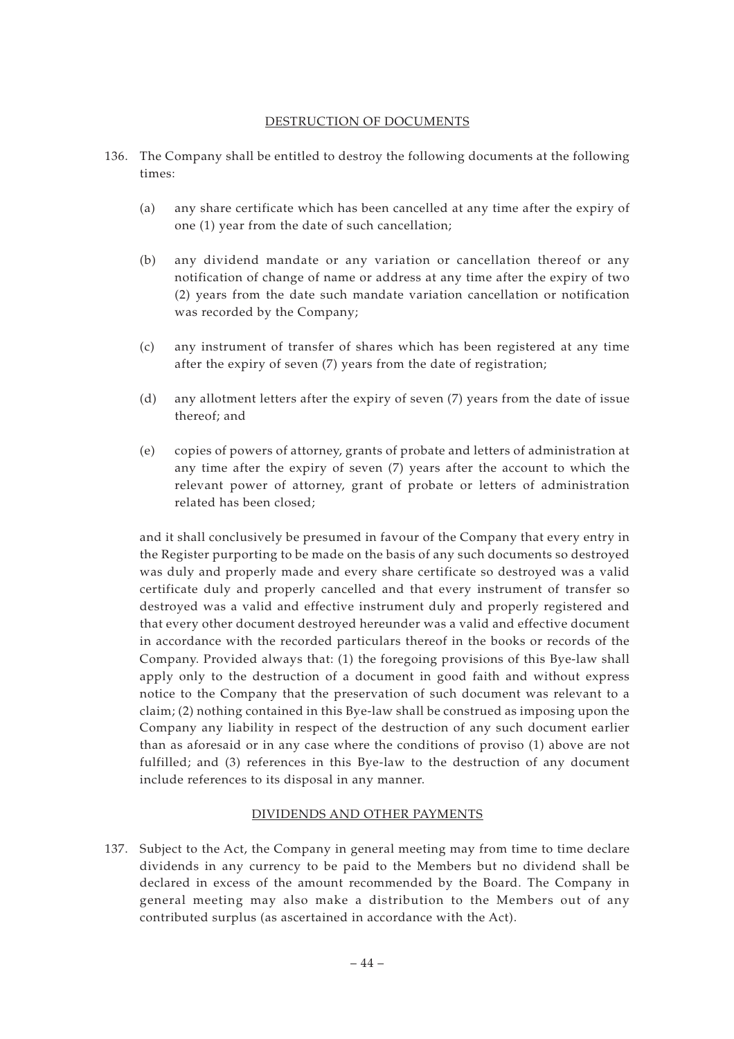#### DESTRUCTION OF DOCUMENTS

- 136. The Company shall be entitled to destroy the following documents at the following times:
	- (a) any share certificate which has been cancelled at any time after the expiry of one (1) year from the date of such cancellation;
	- (b) any dividend mandate or any variation or cancellation thereof or any notification of change of name or address at any time after the expiry of two (2) years from the date such mandate variation cancellation or notification was recorded by the Company;
	- (c) any instrument of transfer of shares which has been registered at any time after the expiry of seven (7) years from the date of registration;
	- (d) any allotment letters after the expiry of seven (7) years from the date of issue thereof; and
	- (e) copies of powers of attorney, grants of probate and letters of administration at any time after the expiry of seven (7) years after the account to which the relevant power of attorney, grant of probate or letters of administration related has been closed;

and it shall conclusively be presumed in favour of the Company that every entry in the Register purporting to be made on the basis of any such documents so destroyed was duly and properly made and every share certificate so destroyed was a valid certificate duly and properly cancelled and that every instrument of transfer so destroyed was a valid and effective instrument duly and properly registered and that every other document destroyed hereunder was a valid and effective document in accordance with the recorded particulars thereof in the books or records of the Company. Provided always that: (1) the foregoing provisions of this Bye-law shall apply only to the destruction of a document in good faith and without express notice to the Company that the preservation of such document was relevant to a claim; (2) nothing contained in this Bye-law shall be construed as imposing upon the Company any liability in respect of the destruction of any such document earlier than as aforesaid or in any case where the conditions of proviso (1) above are not fulfilled; and (3) references in this Bye-law to the destruction of any document include references to its disposal in any manner.

# DIVIDENDS AND OTHER PAYMENTS

137. Subject to the Act, the Company in general meeting may from time to time declare dividends in any currency to be paid to the Members but no dividend shall be declared in excess of the amount recommended by the Board. The Company in general meeting may also make a distribution to the Members out of any contributed surplus (as ascertained in accordance with the Act).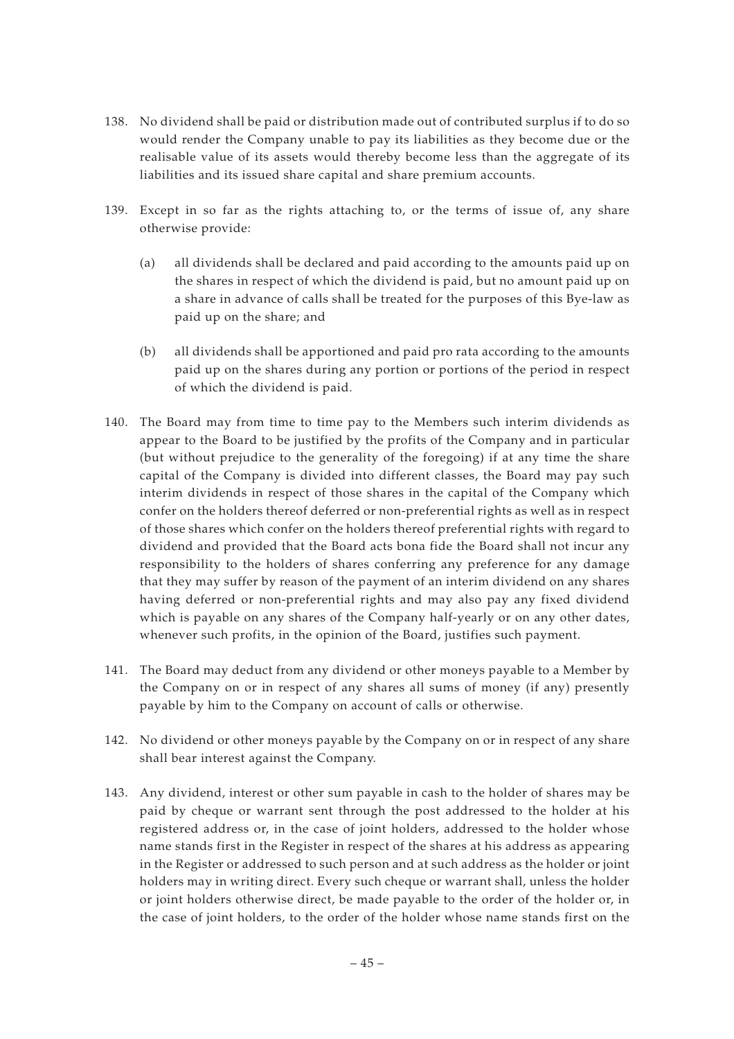- 138. No dividend shall be paid or distribution made out of contributed surplus if to do so would render the Company unable to pay its liabilities as they become due or the realisable value of its assets would thereby become less than the aggregate of its liabilities and its issued share capital and share premium accounts.
- 139. Except in so far as the rights attaching to, or the terms of issue of, any share otherwise provide:
	- (a) all dividends shall be declared and paid according to the amounts paid up on the shares in respect of which the dividend is paid, but no amount paid up on a share in advance of calls shall be treated for the purposes of this Bye-law as paid up on the share; and
	- (b) all dividends shall be apportioned and paid pro rata according to the amounts paid up on the shares during any portion or portions of the period in respect of which the dividend is paid.
- 140. The Board may from time to time pay to the Members such interim dividends as appear to the Board to be justified by the profits of the Company and in particular (but without prejudice to the generality of the foregoing) if at any time the share capital of the Company is divided into different classes, the Board may pay such interim dividends in respect of those shares in the capital of the Company which confer on the holders thereof deferred or non-preferential rights as well as in respect of those shares which confer on the holders thereof preferential rights with regard to dividend and provided that the Board acts bona fide the Board shall not incur any responsibility to the holders of shares conferring any preference for any damage that they may suffer by reason of the payment of an interim dividend on any shares having deferred or non-preferential rights and may also pay any fixed dividend which is payable on any shares of the Company half-yearly or on any other dates, whenever such profits, in the opinion of the Board, justifies such payment.
- 141. The Board may deduct from any dividend or other moneys payable to a Member by the Company on or in respect of any shares all sums of money (if any) presently payable by him to the Company on account of calls or otherwise.
- 142. No dividend or other moneys payable by the Company on or in respect of any share shall bear interest against the Company.
- 143. Any dividend, interest or other sum payable in cash to the holder of shares may be paid by cheque or warrant sent through the post addressed to the holder at his registered address or, in the case of joint holders, addressed to the holder whose name stands first in the Register in respect of the shares at his address as appearing in the Register or addressed to such person and at such address as the holder or joint holders may in writing direct. Every such cheque or warrant shall, unless the holder or joint holders otherwise direct, be made payable to the order of the holder or, in the case of joint holders, to the order of the holder whose name stands first on the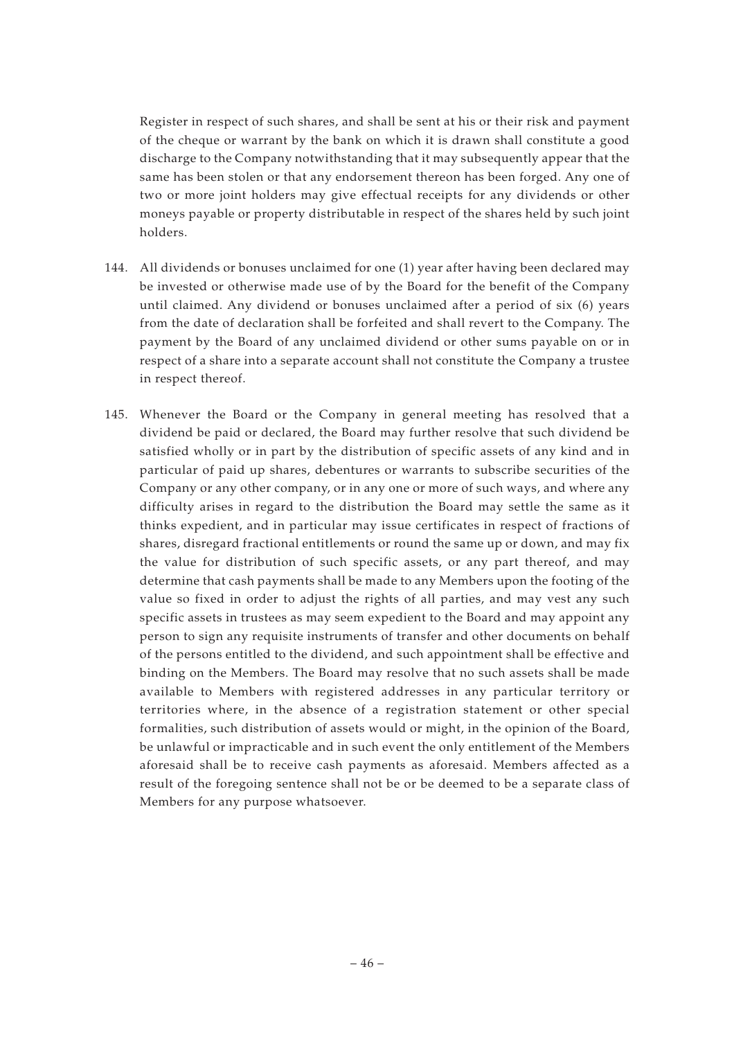Register in respect of such shares, and shall be sent at his or their risk and payment of the cheque or warrant by the bank on which it is drawn shall constitute a good discharge to the Company notwithstanding that it may subsequently appear that the same has been stolen or that any endorsement thereon has been forged. Any one of two or more joint holders may give effectual receipts for any dividends or other moneys payable or property distributable in respect of the shares held by such joint holders.

- 144. All dividends or bonuses unclaimed for one (1) year after having been declared may be invested or otherwise made use of by the Board for the benefit of the Company until claimed. Any dividend or bonuses unclaimed after a period of six (6) years from the date of declaration shall be forfeited and shall revert to the Company. The payment by the Board of any unclaimed dividend or other sums payable on or in respect of a share into a separate account shall not constitute the Company a trustee in respect thereof.
- 145. Whenever the Board or the Company in general meeting has resolved that a dividend be paid or declared, the Board may further resolve that such dividend be satisfied wholly or in part by the distribution of specific assets of any kind and in particular of paid up shares, debentures or warrants to subscribe securities of the Company or any other company, or in any one or more of such ways, and where any difficulty arises in regard to the distribution the Board may settle the same as it thinks expedient, and in particular may issue certificates in respect of fractions of shares, disregard fractional entitlements or round the same up or down, and may fix the value for distribution of such specific assets, or any part thereof, and may determine that cash payments shall be made to any Members upon the footing of the value so fixed in order to adjust the rights of all parties, and may vest any such specific assets in trustees as may seem expedient to the Board and may appoint any person to sign any requisite instruments of transfer and other documents on behalf of the persons entitled to the dividend, and such appointment shall be effective and binding on the Members. The Board may resolve that no such assets shall be made available to Members with registered addresses in any particular territory or territories where, in the absence of a registration statement or other special formalities, such distribution of assets would or might, in the opinion of the Board, be unlawful or impracticable and in such event the only entitlement of the Members aforesaid shall be to receive cash payments as aforesaid. Members affected as a result of the foregoing sentence shall not be or be deemed to be a separate class of Members for any purpose whatsoever.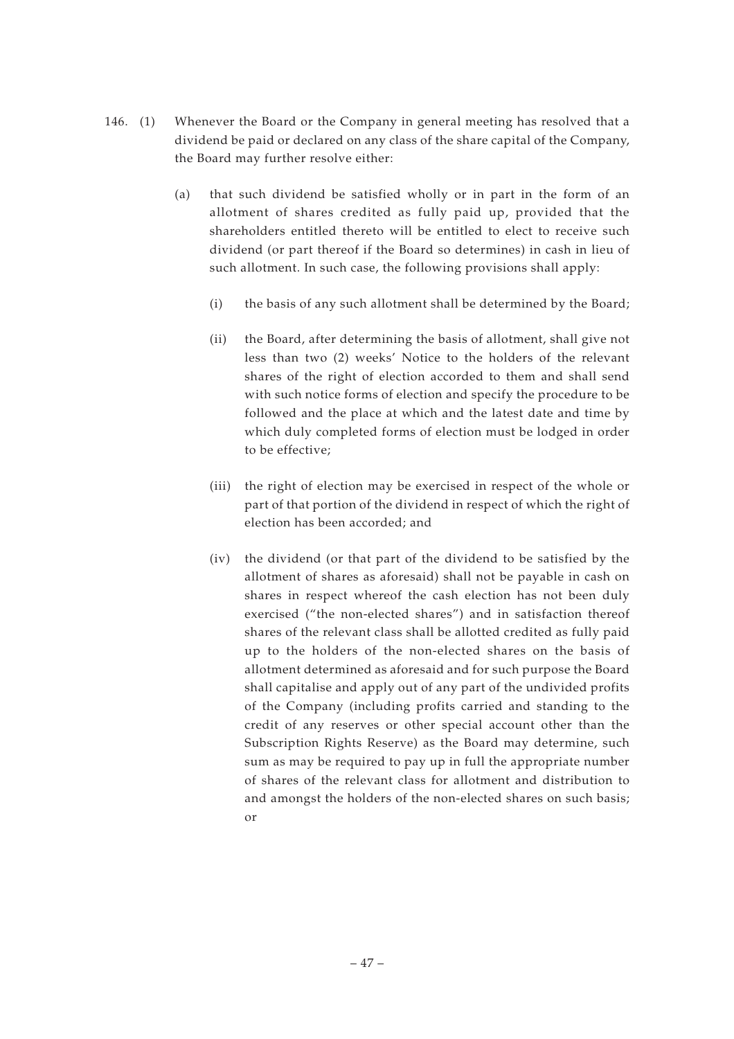- 146. (1) Whenever the Board or the Company in general meeting has resolved that a dividend be paid or declared on any class of the share capital of the Company, the Board may further resolve either:
	- (a) that such dividend be satisfied wholly or in part in the form of an allotment of shares credited as fully paid up, provided that the shareholders entitled thereto will be entitled to elect to receive such dividend (or part thereof if the Board so determines) in cash in lieu of such allotment. In such case, the following provisions shall apply:
		- (i) the basis of any such allotment shall be determined by the Board;
		- (ii) the Board, after determining the basis of allotment, shall give not less than two (2) weeks' Notice to the holders of the relevant shares of the right of election accorded to them and shall send with such notice forms of election and specify the procedure to be followed and the place at which and the latest date and time by which duly completed forms of election must be lodged in order to be effective;
		- (iii) the right of election may be exercised in respect of the whole or part of that portion of the dividend in respect of which the right of election has been accorded; and
		- (iv) the dividend (or that part of the dividend to be satisfied by the allotment of shares as aforesaid) shall not be payable in cash on shares in respect whereof the cash election has not been duly exercised ("the non-elected shares") and in satisfaction thereof shares of the relevant class shall be allotted credited as fully paid up to the holders of the non-elected shares on the basis of allotment determined as aforesaid and for such purpose the Board shall capitalise and apply out of any part of the undivided profits of the Company (including profits carried and standing to the credit of any reserves or other special account other than the Subscription Rights Reserve) as the Board may determine, such sum as may be required to pay up in full the appropriate number of shares of the relevant class for allotment and distribution to and amongst the holders of the non-elected shares on such basis; or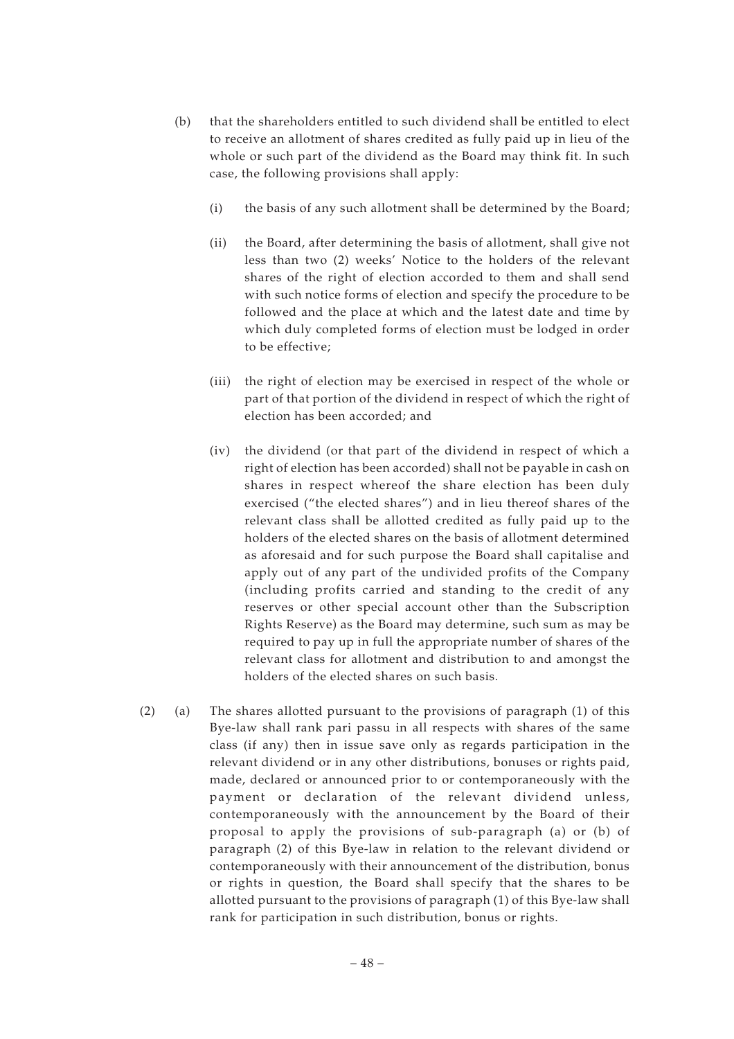- (b) that the shareholders entitled to such dividend shall be entitled to elect to receive an allotment of shares credited as fully paid up in lieu of the whole or such part of the dividend as the Board may think fit. In such case, the following provisions shall apply:
	- (i) the basis of any such allotment shall be determined by the Board;
	- (ii) the Board, after determining the basis of allotment, shall give not less than two (2) weeks' Notice to the holders of the relevant shares of the right of election accorded to them and shall send with such notice forms of election and specify the procedure to be followed and the place at which and the latest date and time by which duly completed forms of election must be lodged in order to be effective;
	- (iii) the right of election may be exercised in respect of the whole or part of that portion of the dividend in respect of which the right of election has been accorded; and
	- (iv) the dividend (or that part of the dividend in respect of which a right of election has been accorded) shall not be payable in cash on shares in respect whereof the share election has been duly exercised ("the elected shares") and in lieu thereof shares of the relevant class shall be allotted credited as fully paid up to the holders of the elected shares on the basis of allotment determined as aforesaid and for such purpose the Board shall capitalise and apply out of any part of the undivided profits of the Company (including profits carried and standing to the credit of any reserves or other special account other than the Subscription Rights Reserve) as the Board may determine, such sum as may be required to pay up in full the appropriate number of shares of the relevant class for allotment and distribution to and amongst the holders of the elected shares on such basis.
- (2) (a) The shares allotted pursuant to the provisions of paragraph (1) of this Bye-law shall rank pari passu in all respects with shares of the same class (if any) then in issue save only as regards participation in the relevant dividend or in any other distributions, bonuses or rights paid, made, declared or announced prior to or contemporaneously with the payment or declaration of the relevant dividend unless, contemporaneously with the announcement by the Board of their proposal to apply the provisions of sub-paragraph (a) or (b) of paragraph (2) of this Bye-law in relation to the relevant dividend or contemporaneously with their announcement of the distribution, bonus or rights in question, the Board shall specify that the shares to be allotted pursuant to the provisions of paragraph (1) of this Bye-law shall rank for participation in such distribution, bonus or rights.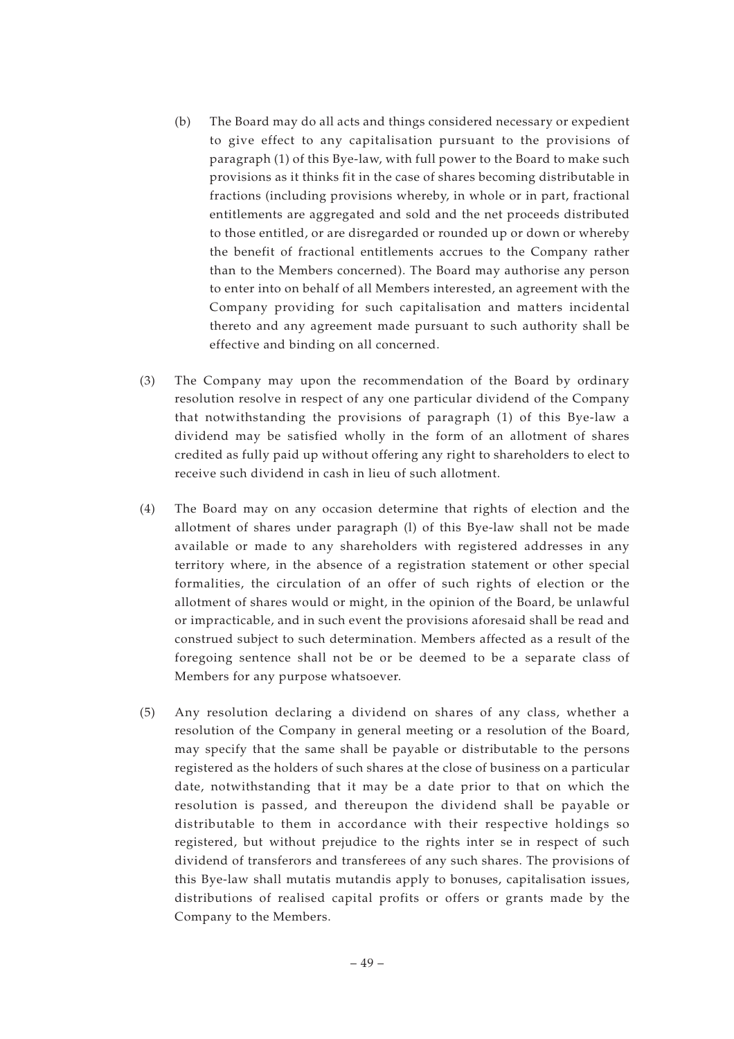- (b) The Board may do all acts and things considered necessary or expedient to give effect to any capitalisation pursuant to the provisions of paragraph (1) of this Bye-law, with full power to the Board to make such provisions as it thinks fit in the case of shares becoming distributable in fractions (including provisions whereby, in whole or in part, fractional entitlements are aggregated and sold and the net proceeds distributed to those entitled, or are disregarded or rounded up or down or whereby the benefit of fractional entitlements accrues to the Company rather than to the Members concerned). The Board may authorise any person to enter into on behalf of all Members interested, an agreement with the Company providing for such capitalisation and matters incidental thereto and any agreement made pursuant to such authority shall be effective and binding on all concerned.
- (3) The Company may upon the recommendation of the Board by ordinary resolution resolve in respect of any one particular dividend of the Company that notwithstanding the provisions of paragraph (1) of this Bye-law a dividend may be satisfied wholly in the form of an allotment of shares credited as fully paid up without offering any right to shareholders to elect to receive such dividend in cash in lieu of such allotment.
- (4) The Board may on any occasion determine that rights of election and the allotment of shares under paragraph (l) of this Bye-law shall not be made available or made to any shareholders with registered addresses in any territory where, in the absence of a registration statement or other special formalities, the circulation of an offer of such rights of election or the allotment of shares would or might, in the opinion of the Board, be unlawful or impracticable, and in such event the provisions aforesaid shall be read and construed subject to such determination. Members affected as a result of the foregoing sentence shall not be or be deemed to be a separate class of Members for any purpose whatsoever.
- (5) Any resolution declaring a dividend on shares of any class, whether a resolution of the Company in general meeting or a resolution of the Board, may specify that the same shall be payable or distributable to the persons registered as the holders of such shares at the close of business on a particular date, notwithstanding that it may be a date prior to that on which the resolution is passed, and thereupon the dividend shall be payable or distributable to them in accordance with their respective holdings so registered, but without prejudice to the rights inter se in respect of such dividend of transferors and transferees of any such shares. The provisions of this Bye-law shall mutatis mutandis apply to bonuses, capitalisation issues, distributions of realised capital profits or offers or grants made by the Company to the Members.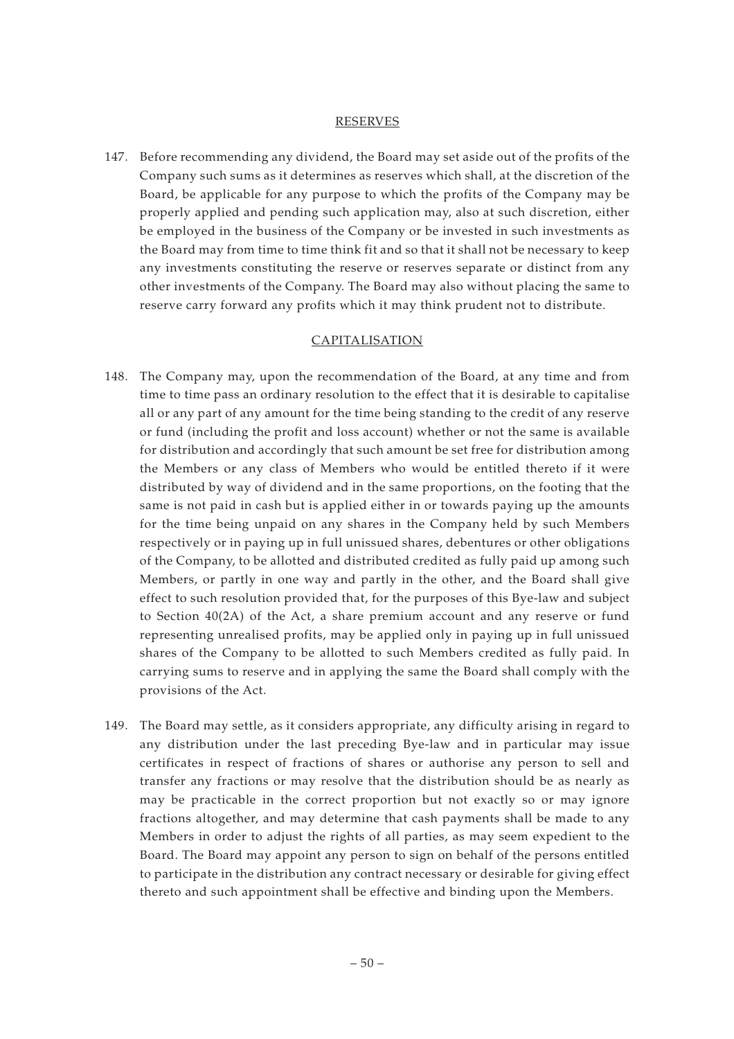#### RESERVES

147. Before recommending any dividend, the Board may set aside out of the profits of the Company such sums as it determines as reserves which shall, at the discretion of the Board, be applicable for any purpose to which the profits of the Company may be properly applied and pending such application may, also at such discretion, either be employed in the business of the Company or be invested in such investments as the Board may from time to time think fit and so that it shall not be necessary to keep any investments constituting the reserve or reserves separate or distinct from any other investments of the Company. The Board may also without placing the same to reserve carry forward any profits which it may think prudent not to distribute.

#### CAPITALISATION

- 148. The Company may, upon the recommendation of the Board, at any time and from time to time pass an ordinary resolution to the effect that it is desirable to capitalise all or any part of any amount for the time being standing to the credit of any reserve or fund (including the profit and loss account) whether or not the same is available for distribution and accordingly that such amount be set free for distribution among the Members or any class of Members who would be entitled thereto if it were distributed by way of dividend and in the same proportions, on the footing that the same is not paid in cash but is applied either in or towards paying up the amounts for the time being unpaid on any shares in the Company held by such Members respectively or in paying up in full unissued shares, debentures or other obligations of the Company, to be allotted and distributed credited as fully paid up among such Members, or partly in one way and partly in the other, and the Board shall give effect to such resolution provided that, for the purposes of this Bye-law and subject to Section 40(2A) of the Act, a share premium account and any reserve or fund representing unrealised profits, may be applied only in paying up in full unissued shares of the Company to be allotted to such Members credited as fully paid. In carrying sums to reserve and in applying the same the Board shall comply with the provisions of the Act.
- 149. The Board may settle, as it considers appropriate, any difficulty arising in regard to any distribution under the last preceding Bye-law and in particular may issue certificates in respect of fractions of shares or authorise any person to sell and transfer any fractions or may resolve that the distribution should be as nearly as may be practicable in the correct proportion but not exactly so or may ignore fractions altogether, and may determine that cash payments shall be made to any Members in order to adjust the rights of all parties, as may seem expedient to the Board. The Board may appoint any person to sign on behalf of the persons entitled to participate in the distribution any contract necessary or desirable for giving effect thereto and such appointment shall be effective and binding upon the Members.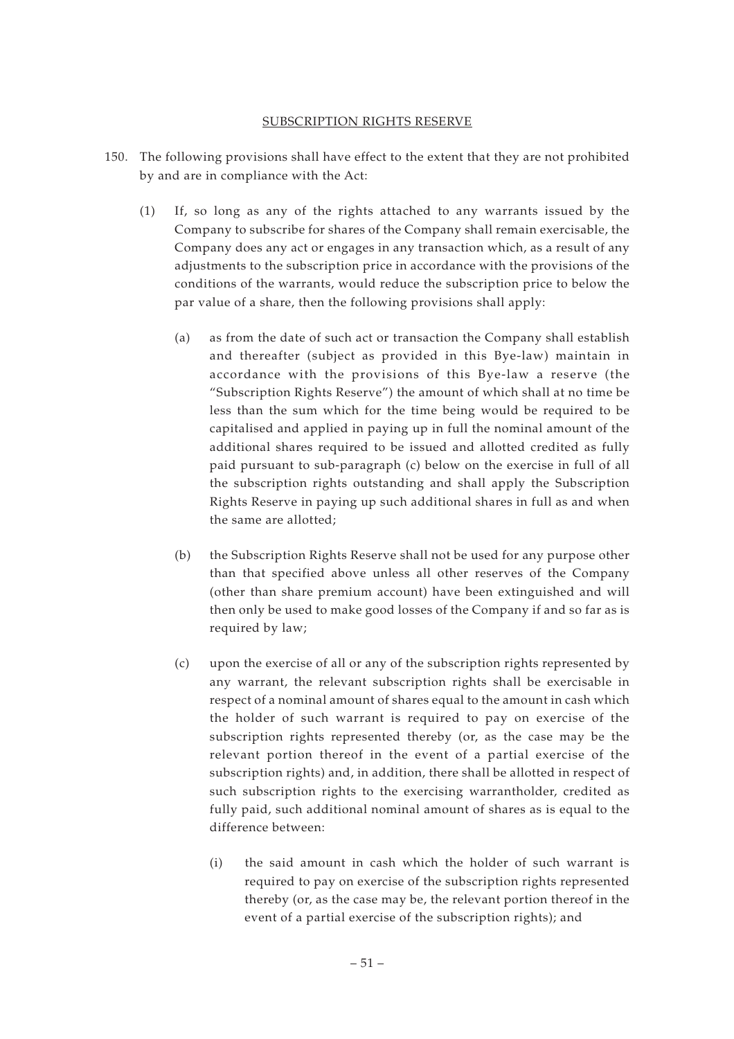#### SUBSCRIPTION RIGHTS RESERVE

- 150. The following provisions shall have effect to the extent that they are not prohibited by and are in compliance with the Act:
	- (1) If, so long as any of the rights attached to any warrants issued by the Company to subscribe for shares of the Company shall remain exercisable, the Company does any act or engages in any transaction which, as a result of any adjustments to the subscription price in accordance with the provisions of the conditions of the warrants, would reduce the subscription price to below the par value of a share, then the following provisions shall apply:
		- (a) as from the date of such act or transaction the Company shall establish and thereafter (subject as provided in this Bye-law) maintain in accordance with the provisions of this Bye-law a reserve (the "Subscription Rights Reserve") the amount of which shall at no time be less than the sum which for the time being would be required to be capitalised and applied in paying up in full the nominal amount of the additional shares required to be issued and allotted credited as fully paid pursuant to sub-paragraph (c) below on the exercise in full of all the subscription rights outstanding and shall apply the Subscription Rights Reserve in paying up such additional shares in full as and when the same are allotted;
		- (b) the Subscription Rights Reserve shall not be used for any purpose other than that specified above unless all other reserves of the Company (other than share premium account) have been extinguished and will then only be used to make good losses of the Company if and so far as is required by law;
		- (c) upon the exercise of all or any of the subscription rights represented by any warrant, the relevant subscription rights shall be exercisable in respect of a nominal amount of shares equal to the amount in cash which the holder of such warrant is required to pay on exercise of the subscription rights represented thereby (or, as the case may be the relevant portion thereof in the event of a partial exercise of the subscription rights) and, in addition, there shall be allotted in respect of such subscription rights to the exercising warrantholder, credited as fully paid, such additional nominal amount of shares as is equal to the difference between:
			- (i) the said amount in cash which the holder of such warrant is required to pay on exercise of the subscription rights represented thereby (or, as the case may be, the relevant portion thereof in the event of a partial exercise of the subscription rights); and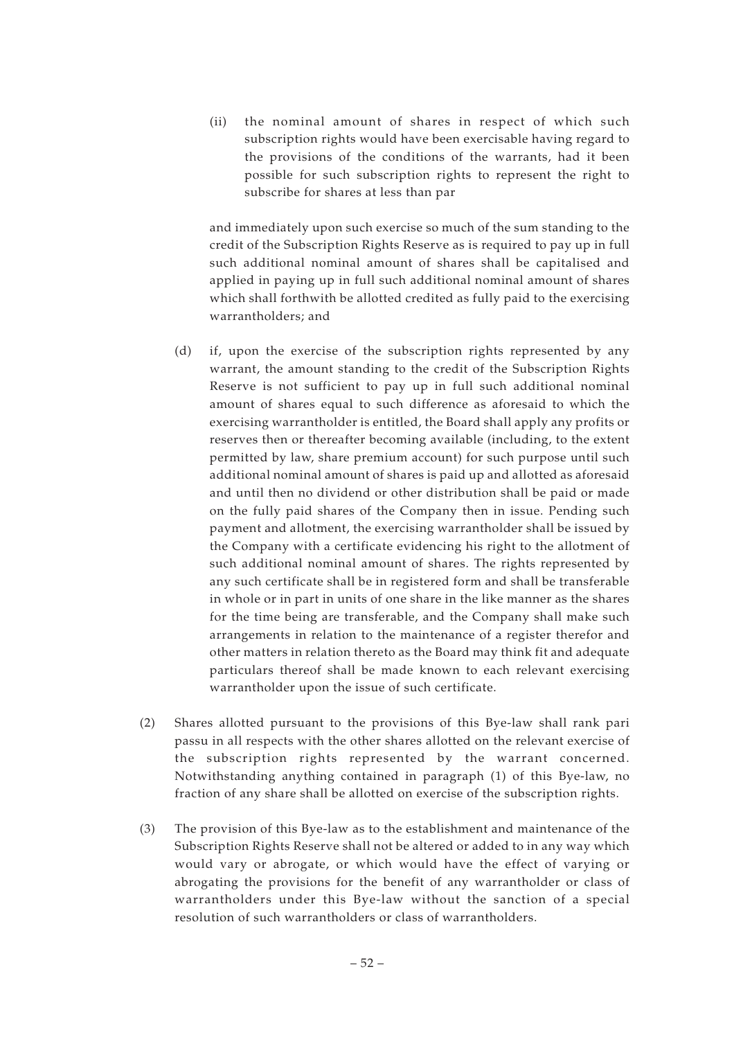(ii) the nominal amount of shares in respect of which such subscription rights would have been exercisable having regard to the provisions of the conditions of the warrants, had it been possible for such subscription rights to represent the right to subscribe for shares at less than par

and immediately upon such exercise so much of the sum standing to the credit of the Subscription Rights Reserve as is required to pay up in full such additional nominal amount of shares shall be capitalised and applied in paying up in full such additional nominal amount of shares which shall forthwith be allotted credited as fully paid to the exercising warrantholders; and

- (d) if, upon the exercise of the subscription rights represented by any warrant, the amount standing to the credit of the Subscription Rights Reserve is not sufficient to pay up in full such additional nominal amount of shares equal to such difference as aforesaid to which the exercising warrantholder is entitled, the Board shall apply any profits or reserves then or thereafter becoming available (including, to the extent permitted by law, share premium account) for such purpose until such additional nominal amount of shares is paid up and allotted as aforesaid and until then no dividend or other distribution shall be paid or made on the fully paid shares of the Company then in issue. Pending such payment and allotment, the exercising warrantholder shall be issued by the Company with a certificate evidencing his right to the allotment of such additional nominal amount of shares. The rights represented by any such certificate shall be in registered form and shall be transferable in whole or in part in units of one share in the like manner as the shares for the time being are transferable, and the Company shall make such arrangements in relation to the maintenance of a register therefor and other matters in relation thereto as the Board may think fit and adequate particulars thereof shall be made known to each relevant exercising warrantholder upon the issue of such certificate.
- (2) Shares allotted pursuant to the provisions of this Bye-law shall rank pari passu in all respects with the other shares allotted on the relevant exercise of the subscription rights represented by the warrant concerned. Notwithstanding anything contained in paragraph (1) of this Bye-law, no fraction of any share shall be allotted on exercise of the subscription rights.
- (3) The provision of this Bye-law as to the establishment and maintenance of the Subscription Rights Reserve shall not be altered or added to in any way which would vary or abrogate, or which would have the effect of varying or abrogating the provisions for the benefit of any warrantholder or class of warrantholders under this Bye-law without the sanction of a special resolution of such warrantholders or class of warrantholders.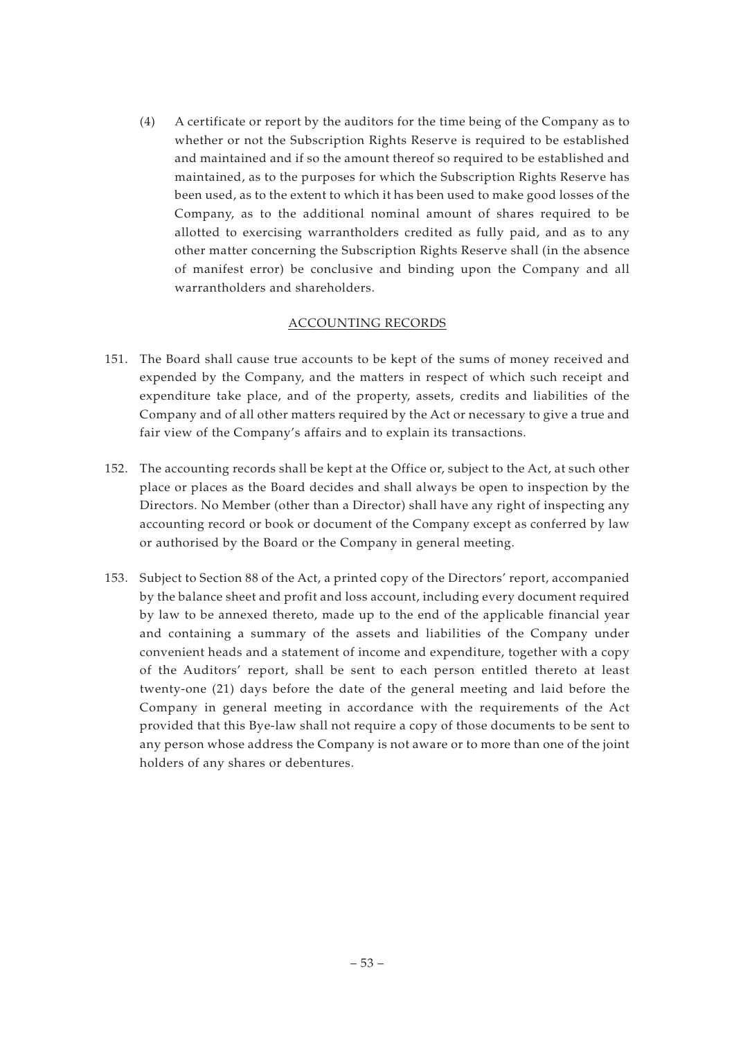(4) A certificate or report by the auditors for the time being of the Company as to whether or not the Subscription Rights Reserve is required to be established and maintained and if so the amount thereof so required to be established and maintained, as to the purposes for which the Subscription Rights Reserve has been used, as to the extent to which it has been used to make good losses of the Company, as to the additional nominal amount of shares required to be allotted to exercising warrantholders credited as fully paid, and as to any other matter concerning the Subscription Rights Reserve shall (in the absence of manifest error) be conclusive and binding upon the Company and all warrantholders and shareholders.

## ACCOUNTING RECORDS

- 151. The Board shall cause true accounts to be kept of the sums of money received and expended by the Company, and the matters in respect of which such receipt and expenditure take place, and of the property, assets, credits and liabilities of the Company and of all other matters required by the Act or necessary to give a true and fair view of the Company's affairs and to explain its transactions.
- 152. The accounting records shall be kept at the Office or, subject to the Act, at such other place or places as the Board decides and shall always be open to inspection by the Directors. No Member (other than a Director) shall have any right of inspecting any accounting record or book or document of the Company except as conferred by law or authorised by the Board or the Company in general meeting.
- 153. Subject to Section 88 of the Act, a printed copy of the Directors' report, accompanied by the balance sheet and profit and loss account, including every document required by law to be annexed thereto, made up to the end of the applicable financial year and containing a summary of the assets and liabilities of the Company under convenient heads and a statement of income and expenditure, together with a copy of the Auditors' report, shall be sent to each person entitled thereto at least twenty-one (21) days before the date of the general meeting and laid before the Company in general meeting in accordance with the requirements of the Act provided that this Bye-law shall not require a copy of those documents to be sent to any person whose address the Company is not aware or to more than one of the joint holders of any shares or debentures.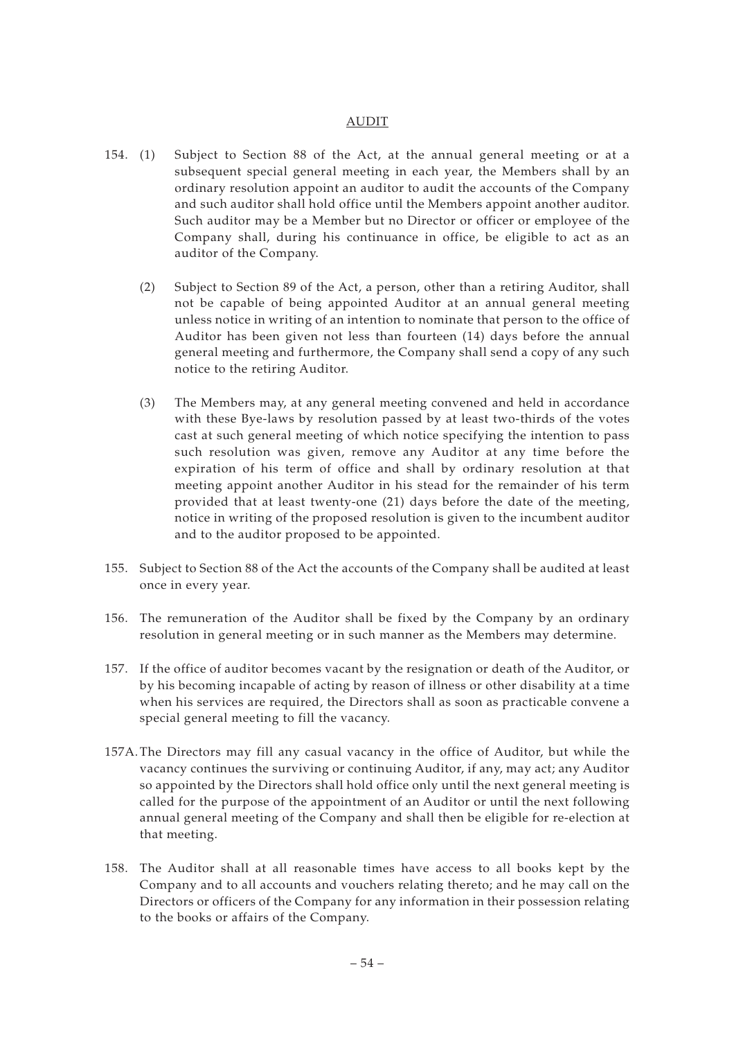#### AUDIT

- 154. (1) Subject to Section 88 of the Act, at the annual general meeting or at a subsequent special general meeting in each year, the Members shall by an ordinary resolution appoint an auditor to audit the accounts of the Company and such auditor shall hold office until the Members appoint another auditor. Such auditor may be a Member but no Director or officer or employee of the Company shall, during his continuance in office, be eligible to act as an auditor of the Company.
	- (2) Subject to Section 89 of the Act, a person, other than a retiring Auditor, shall not be capable of being appointed Auditor at an annual general meeting unless notice in writing of an intention to nominate that person to the office of Auditor has been given not less than fourteen (14) days before the annual general meeting and furthermore, the Company shall send a copy of any such notice to the retiring Auditor.
	- (3) The Members may, at any general meeting convened and held in accordance with these Bye-laws by resolution passed by at least two-thirds of the votes cast at such general meeting of which notice specifying the intention to pass such resolution was given, remove any Auditor at any time before the expiration of his term of office and shall by ordinary resolution at that meeting appoint another Auditor in his stead for the remainder of his term provided that at least twenty-one (21) days before the date of the meeting, notice in writing of the proposed resolution is given to the incumbent auditor and to the auditor proposed to be appointed.
- 155. Subject to Section 88 of the Act the accounts of the Company shall be audited at least once in every year.
- 156. The remuneration of the Auditor shall be fixed by the Company by an ordinary resolution in general meeting or in such manner as the Members may determine.
- 157. If the office of auditor becomes vacant by the resignation or death of the Auditor, or by his becoming incapable of acting by reason of illness or other disability at a time when his services are required, the Directors shall as soon as practicable convene a special general meeting to fill the vacancy.
- 157A. The Directors may fill any casual vacancy in the office of Auditor, but while the vacancy continues the surviving or continuing Auditor, if any, may act; any Auditor so appointed by the Directors shall hold office only until the next general meeting is called for the purpose of the appointment of an Auditor or until the next following annual general meeting of the Company and shall then be eligible for re-election at that meeting.
- 158. The Auditor shall at all reasonable times have access to all books kept by the Company and to all accounts and vouchers relating thereto; and he may call on the Directors or officers of the Company for any information in their possession relating to the books or affairs of the Company.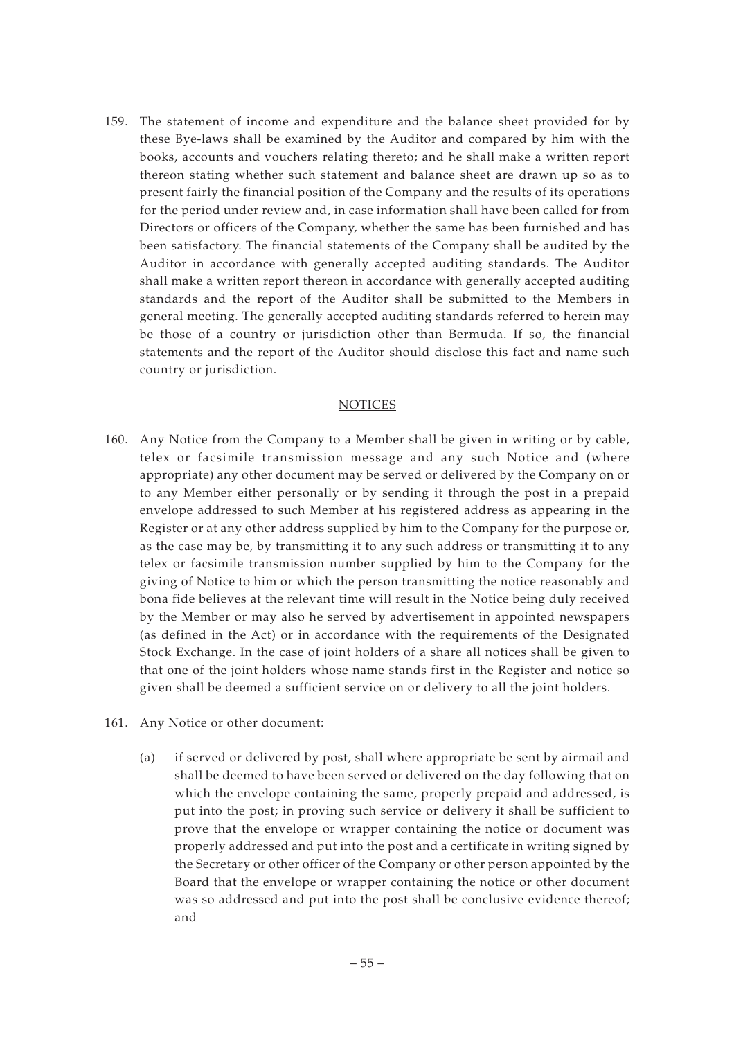159. The statement of income and expenditure and the balance sheet provided for by these Bye-laws shall be examined by the Auditor and compared by him with the books, accounts and vouchers relating thereto; and he shall make a written report thereon stating whether such statement and balance sheet are drawn up so as to present fairly the financial position of the Company and the results of its operations for the period under review and, in case information shall have been called for from Directors or officers of the Company, whether the same has been furnished and has been satisfactory. The financial statements of the Company shall be audited by the Auditor in accordance with generally accepted auditing standards. The Auditor shall make a written report thereon in accordance with generally accepted auditing standards and the report of the Auditor shall be submitted to the Members in general meeting. The generally accepted auditing standards referred to herein may be those of a country or jurisdiction other than Bermuda. If so, the financial statements and the report of the Auditor should disclose this fact and name such country or jurisdiction.

#### **NOTICES**

- 160. Any Notice from the Company to a Member shall be given in writing or by cable, telex or facsimile transmission message and any such Notice and (where appropriate) any other document may be served or delivered by the Company on or to any Member either personally or by sending it through the post in a prepaid envelope addressed to such Member at his registered address as appearing in the Register or at any other address supplied by him to the Company for the purpose or, as the case may be, by transmitting it to any such address or transmitting it to any telex or facsimile transmission number supplied by him to the Company for the giving of Notice to him or which the person transmitting the notice reasonably and bona fide believes at the relevant time will result in the Notice being duly received by the Member or may also he served by advertisement in appointed newspapers (as defined in the Act) or in accordance with the requirements of the Designated Stock Exchange. In the case of joint holders of a share all notices shall be given to that one of the joint holders whose name stands first in the Register and notice so given shall be deemed a sufficient service on or delivery to all the joint holders.
- 161. Any Notice or other document:
	- (a) if served or delivered by post, shall where appropriate be sent by airmail and shall be deemed to have been served or delivered on the day following that on which the envelope containing the same, properly prepaid and addressed, is put into the post; in proving such service or delivery it shall be sufficient to prove that the envelope or wrapper containing the notice or document was properly addressed and put into the post and a certificate in writing signed by the Secretary or other officer of the Company or other person appointed by the Board that the envelope or wrapper containing the notice or other document was so addressed and put into the post shall be conclusive evidence thereof; and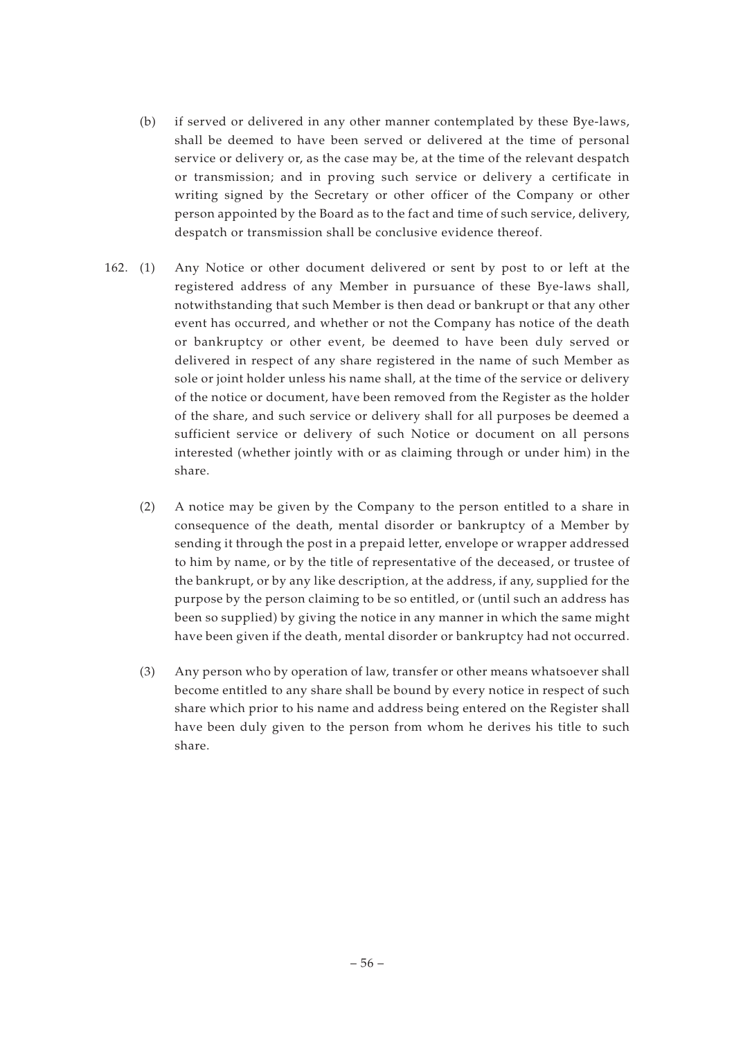- (b) if served or delivered in any other manner contemplated by these Bye-laws, shall be deemed to have been served or delivered at the time of personal service or delivery or, as the case may be, at the time of the relevant despatch or transmission; and in proving such service or delivery a certificate in writing signed by the Secretary or other officer of the Company or other person appointed by the Board as to the fact and time of such service, delivery, despatch or transmission shall be conclusive evidence thereof.
- 162. (1) Any Notice or other document delivered or sent by post to or left at the registered address of any Member in pursuance of these Bye-laws shall, notwithstanding that such Member is then dead or bankrupt or that any other event has occurred, and whether or not the Company has notice of the death or bankruptcy or other event, be deemed to have been duly served or delivered in respect of any share registered in the name of such Member as sole or joint holder unless his name shall, at the time of the service or delivery of the notice or document, have been removed from the Register as the holder of the share, and such service or delivery shall for all purposes be deemed a sufficient service or delivery of such Notice or document on all persons interested (whether jointly with or as claiming through or under him) in the share.
	- (2) A notice may be given by the Company to the person entitled to a share in consequence of the death, mental disorder or bankruptcy of a Member by sending it through the post in a prepaid letter, envelope or wrapper addressed to him by name, or by the title of representative of the deceased, or trustee of the bankrupt, or by any like description, at the address, if any, supplied for the purpose by the person claiming to be so entitled, or (until such an address has been so supplied) by giving the notice in any manner in which the same might have been given if the death, mental disorder or bankruptcy had not occurred.
	- (3) Any person who by operation of law, transfer or other means whatsoever shall become entitled to any share shall be bound by every notice in respect of such share which prior to his name and address being entered on the Register shall have been duly given to the person from whom he derives his title to such share.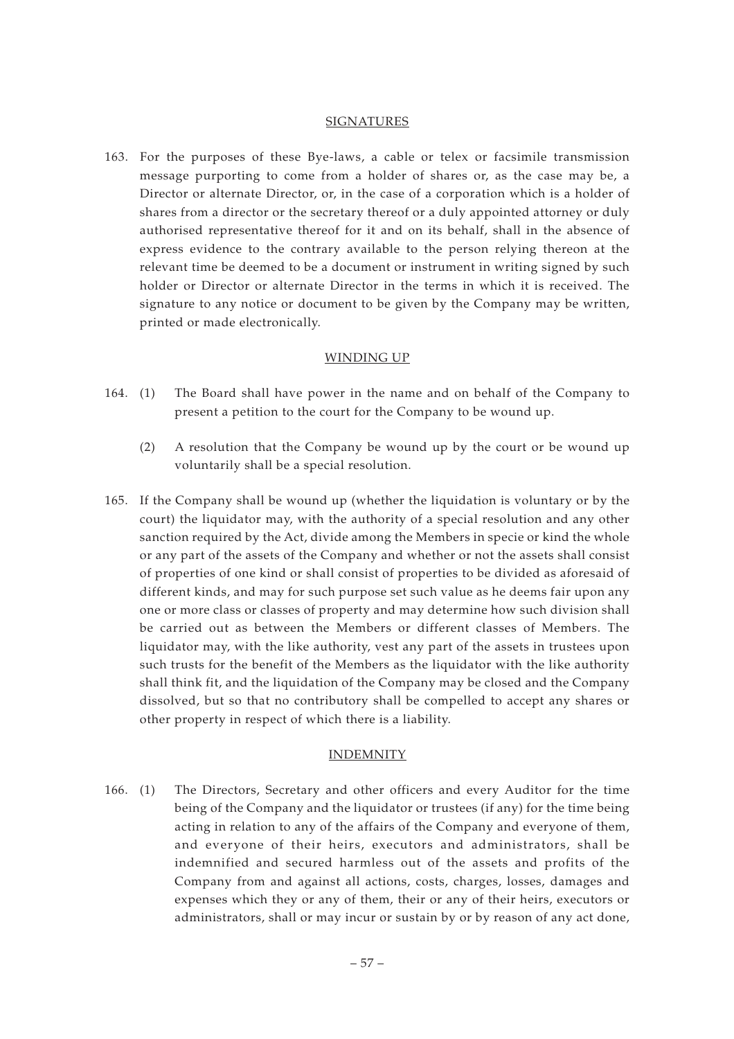#### SIGNATURES

163. For the purposes of these Bye-laws, a cable or telex or facsimile transmission message purporting to come from a holder of shares or, as the case may be, a Director or alternate Director, or, in the case of a corporation which is a holder of shares from a director or the secretary thereof or a duly appointed attorney or duly authorised representative thereof for it and on its behalf, shall in the absence of express evidence to the contrary available to the person relying thereon at the relevant time be deemed to be a document or instrument in writing signed by such holder or Director or alternate Director in the terms in which it is received. The signature to any notice or document to be given by the Company may be written, printed or made electronically.

#### WINDING UP

- 164. (1) The Board shall have power in the name and on behalf of the Company to present a petition to the court for the Company to be wound up.
	- (2) A resolution that the Company be wound up by the court or be wound up voluntarily shall be a special resolution.
- 165. If the Company shall be wound up (whether the liquidation is voluntary or by the court) the liquidator may, with the authority of a special resolution and any other sanction required by the Act, divide among the Members in specie or kind the whole or any part of the assets of the Company and whether or not the assets shall consist of properties of one kind or shall consist of properties to be divided as aforesaid of different kinds, and may for such purpose set such value as he deems fair upon any one or more class or classes of property and may determine how such division shall be carried out as between the Members or different classes of Members. The liquidator may, with the like authority, vest any part of the assets in trustees upon such trusts for the benefit of the Members as the liquidator with the like authority shall think fit, and the liquidation of the Company may be closed and the Company dissolved, but so that no contributory shall be compelled to accept any shares or other property in respect of which there is a liability.

#### INDEMNITY

166. (1) The Directors, Secretary and other officers and every Auditor for the time being of the Company and the liquidator or trustees (if any) for the time being acting in relation to any of the affairs of the Company and everyone of them, and everyone of their heirs, executors and administrators, shall be indemnified and secured harmless out of the assets and profits of the Company from and against all actions, costs, charges, losses, damages and expenses which they or any of them, their or any of their heirs, executors or administrators, shall or may incur or sustain by or by reason of any act done,